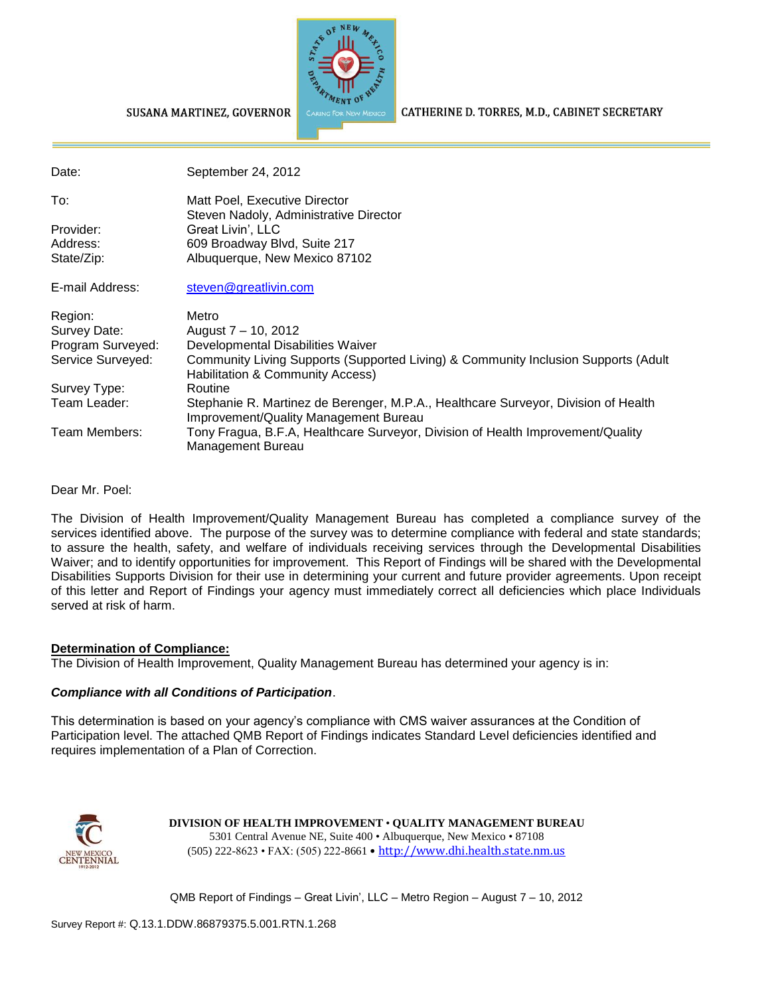

#### SUSANA MARTINEZ, GOVERNOR

CATHERINE D. TORRES, M.D., CABINET SECRETARY

| Date:             | September 24, 2012                                                                                                          |
|-------------------|-----------------------------------------------------------------------------------------------------------------------------|
| To:               | Matt Poel, Executive Director                                                                                               |
| Provider:         | Steven Nadoly, Administrative Director<br>Great Livin', LLC                                                                 |
| Address:          | 609 Broadway Blvd, Suite 217                                                                                                |
| State/Zip:        | Albuquerque, New Mexico 87102                                                                                               |
| E-mail Address:   | steven@greatlivin.com                                                                                                       |
| Region:           | Metro                                                                                                                       |
| Survey Date:      | August 7 - 10, 2012                                                                                                         |
| Program Surveyed: | Developmental Disabilities Waiver                                                                                           |
| Service Surveyed: | Community Living Supports (Supported Living) & Community Inclusion Supports (Adult<br>Habilitation & Community Access)      |
| Survey Type:      | Routine                                                                                                                     |
| Team Leader:      | Stephanie R. Martinez de Berenger, M.P.A., Healthcare Surveyor, Division of Health<br>Improvement/Quality Management Bureau |
| Team Members:     | Tony Fragua, B.F.A, Healthcare Surveyor, Division of Health Improvement/Quality<br>Management Bureau                        |

Dear Mr. Poel:

The Division of Health Improvement/Quality Management Bureau has completed a compliance survey of the services identified above. The purpose of the survey was to determine compliance with federal and state standards; to assure the health, safety, and welfare of individuals receiving services through the Developmental Disabilities Waiver; and to identify opportunities for improvement. This Report of Findings will be shared with the Developmental Disabilities Supports Division for their use in determining your current and future provider agreements. Upon receipt of this letter and Report of Findings your agency must immediately correct all deficiencies which place Individuals served at risk of harm.

#### **Determination of Compliance:**

The Division of Health Improvement, Quality Management Bureau has determined your agency is in:

#### *Compliance with all Conditions of Participation*.

This determination is based on your agency's compliance with CMS waiver assurances at the Condition of Participation level. The attached QMB Report of Findings indicates Standard Level deficiencies identified and requires implementation of a Plan of Correction.



**DIVISION OF HEALTH IMPROVEMENT** • **QUALITY MANAGEMENT BUREAU** 5301 Central Avenue NE, Suite 400 • Albuquerque, New Mexico • 87108 (505) 222-8623 • FAX: (505) 222-8661 • http://www.dhi.health.state.nm.us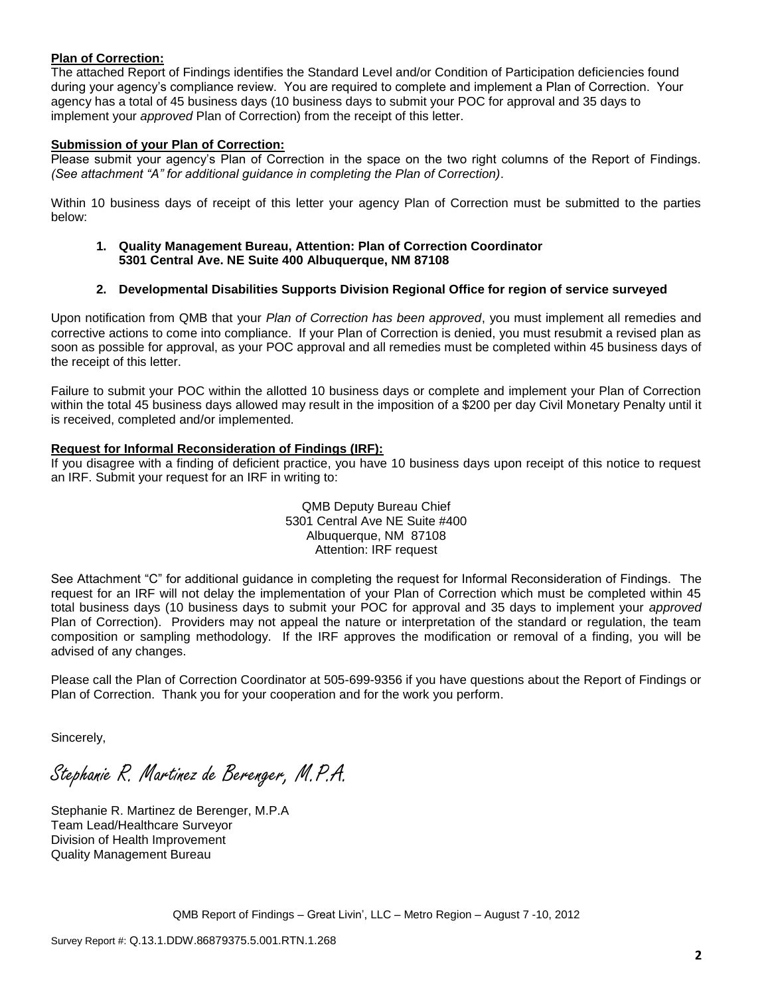#### **Plan of Correction:**

The attached Report of Findings identifies the Standard Level and/or Condition of Participation deficiencies found during your agency's compliance review. You are required to complete and implement a Plan of Correction. Your agency has a total of 45 business days (10 business days to submit your POC for approval and 35 days to implement your *approved* Plan of Correction) from the receipt of this letter.

#### **Submission of your Plan of Correction:**

Please submit your agency's Plan of Correction in the space on the two right columns of the Report of Findings. *(See attachment "A" for additional guidance in completing the Plan of Correction)*.

Within 10 business days of receipt of this letter your agency Plan of Correction must be submitted to the parties below:

**1. Quality Management Bureau, Attention: Plan of Correction Coordinator 5301 Central Ave. NE Suite 400 Albuquerque, NM 87108**

#### **2. Developmental Disabilities Supports Division Regional Office for region of service surveyed**

Upon notification from QMB that your *Plan of Correction has been approved*, you must implement all remedies and corrective actions to come into compliance. If your Plan of Correction is denied, you must resubmit a revised plan as soon as possible for approval, as your POC approval and all remedies must be completed within 45 business days of the receipt of this letter.

Failure to submit your POC within the allotted 10 business days or complete and implement your Plan of Correction within the total 45 business days allowed may result in the imposition of a \$200 per day Civil Monetary Penalty until it is received, completed and/or implemented.

#### **Request for Informal Reconsideration of Findings (IRF):**

If you disagree with a finding of deficient practice, you have 10 business days upon receipt of this notice to request an IRF. Submit your request for an IRF in writing to:

> QMB Deputy Bureau Chief 5301 Central Ave NE Suite #400 Albuquerque, NM 87108 Attention: IRF request

See Attachment "C" for additional guidance in completing the request for Informal Reconsideration of Findings. The request for an IRF will not delay the implementation of your Plan of Correction which must be completed within 45 total business days (10 business days to submit your POC for approval and 35 days to implement your *approved* Plan of Correction). Providers may not appeal the nature or interpretation of the standard or regulation, the team composition or sampling methodology. If the IRF approves the modification or removal of a finding, you will be advised of any changes.

Please call the Plan of Correction Coordinator at 505-699-9356 if you have questions about the Report of Findings or Plan of Correction. Thank you for your cooperation and for the work you perform.

Sincerely,

Stephanie R. Martinez de Berenger, M.P.A.

Stephanie R. Martinez de Berenger, M.P.A Team Lead/Healthcare Surveyor Division of Health Improvement Quality Management Bureau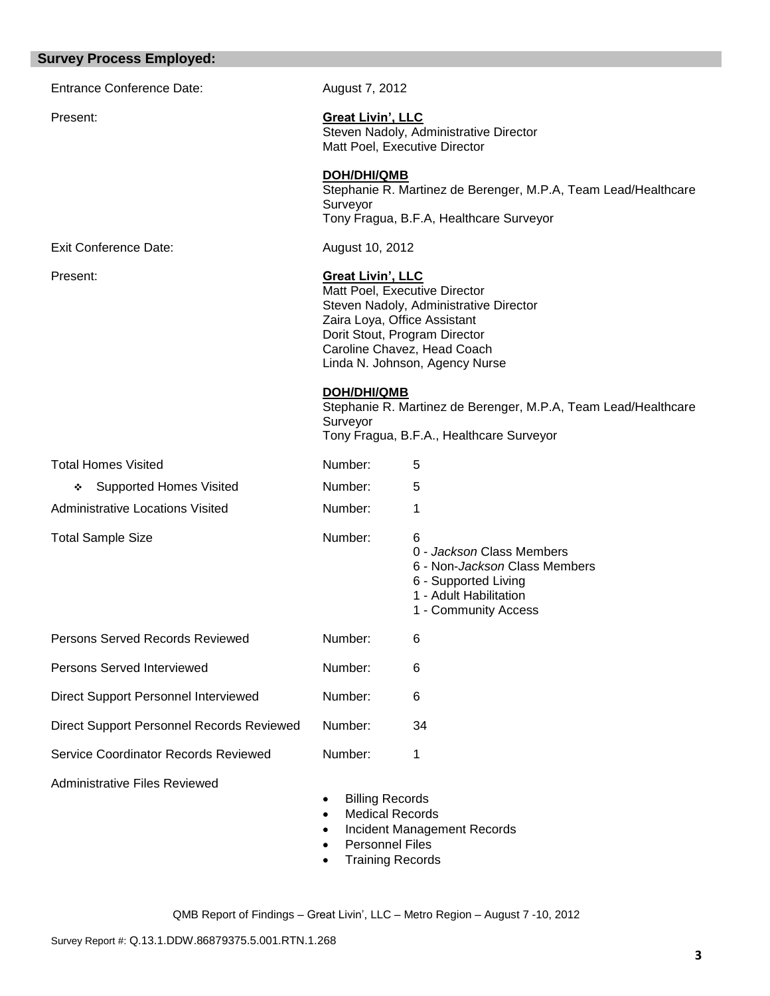| <b>Survey Process Employed:</b>           |                                                                                                                                              |                                                                                                                                                                                                           |
|-------------------------------------------|----------------------------------------------------------------------------------------------------------------------------------------------|-----------------------------------------------------------------------------------------------------------------------------------------------------------------------------------------------------------|
| <b>Entrance Conference Date:</b>          | August 7, 2012                                                                                                                               |                                                                                                                                                                                                           |
| Present:                                  | <b>Great Livin', LLC</b>                                                                                                                     | Steven Nadoly, Administrative Director<br>Matt Poel, Executive Director                                                                                                                                   |
|                                           | <b>DOH/DHI/QMB</b><br>Surveyor                                                                                                               | Stephanie R. Martinez de Berenger, M.P.A, Team Lead/Healthcare<br>Tony Fragua, B.F.A, Healthcare Surveyor                                                                                                 |
| <b>Exit Conference Date:</b>              | August 10, 2012                                                                                                                              |                                                                                                                                                                                                           |
| Present:                                  | <b>Great Livin', LLC</b>                                                                                                                     | Matt Poel, Executive Director<br>Steven Nadoly, Administrative Director<br>Zaira Loya, Office Assistant<br>Dorit Stout, Program Director<br>Caroline Chavez, Head Coach<br>Linda N. Johnson, Agency Nurse |
|                                           | DOH/DHI/QMB<br>Surveyor                                                                                                                      | Stephanie R. Martinez de Berenger, M.P.A, Team Lead/Healthcare<br>Tony Fragua, B.F.A., Healthcare Surveyor                                                                                                |
| <b>Total Homes Visited</b>                | Number:                                                                                                                                      | 5                                                                                                                                                                                                         |
| <b>Supported Homes Visited</b><br>❖       | Number:                                                                                                                                      | 5                                                                                                                                                                                                         |
| <b>Administrative Locations Visited</b>   | Number:                                                                                                                                      | 1                                                                                                                                                                                                         |
| <b>Total Sample Size</b>                  | Number:                                                                                                                                      | 6<br>0 - Jackson Class Members<br>6 - Non- <i>Jackson</i> Class Members<br>6 - Supported Living<br>1 - Adult Habilitation<br>1 - Community Access                                                         |
| Persons Served Records Reviewed           | Number:                                                                                                                                      | 6                                                                                                                                                                                                         |
| Persons Served Interviewed                | Number:                                                                                                                                      | 6                                                                                                                                                                                                         |
| Direct Support Personnel Interviewed      | Number:                                                                                                                                      | 6                                                                                                                                                                                                         |
| Direct Support Personnel Records Reviewed | Number:                                                                                                                                      | 34                                                                                                                                                                                                        |
| Service Coordinator Records Reviewed      | Number:                                                                                                                                      | 1                                                                                                                                                                                                         |
| <b>Administrative Files Reviewed</b>      | <b>Billing Records</b><br>$\bullet$<br><b>Medical Records</b><br>$\bullet$<br>$\bullet$<br><b>Personnel Files</b><br><b>Training Records</b> | Incident Management Records                                                                                                                                                                               |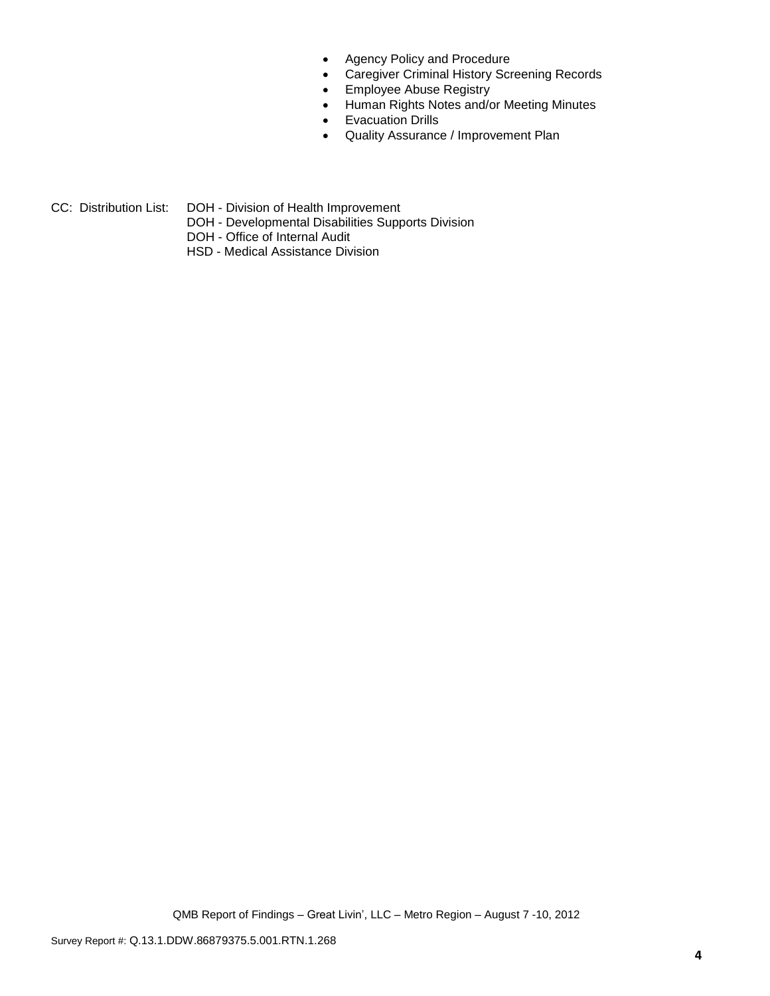- Agency Policy and Procedure
- Caregiver Criminal History Screening Records
- **•** Employee Abuse Registry
- Human Rights Notes and/or Meeting Minutes
- **•** Evacuation Drills
- Quality Assurance / Improvement Plan
- CC: Distribution List: DOH Division of Health Improvement
	- DOH Developmental Disabilities Supports Division
	- DOH Office of Internal Audit
	- HSD Medical Assistance Division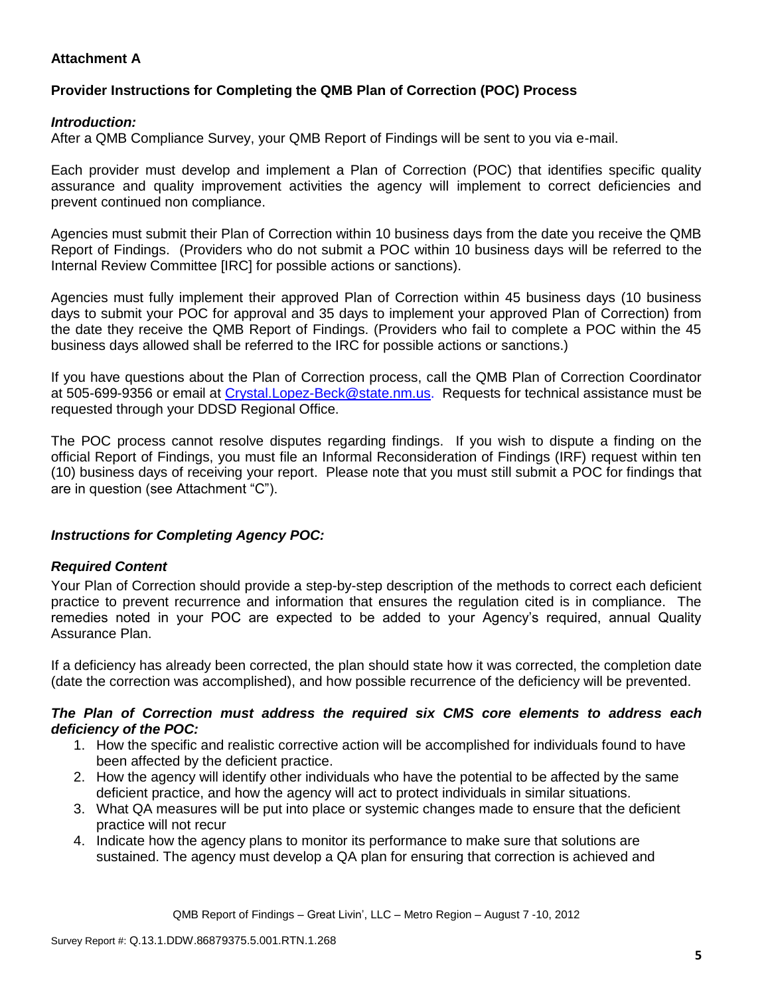# **Attachment A**

# **Provider Instructions for Completing the QMB Plan of Correction (POC) Process**

## *Introduction:*

After a QMB Compliance Survey, your QMB Report of Findings will be sent to you via e-mail.

Each provider must develop and implement a Plan of Correction (POC) that identifies specific quality assurance and quality improvement activities the agency will implement to correct deficiencies and prevent continued non compliance.

Agencies must submit their Plan of Correction within 10 business days from the date you receive the QMB Report of Findings. (Providers who do not submit a POC within 10 business days will be referred to the Internal Review Committee [IRC] for possible actions or sanctions).

Agencies must fully implement their approved Plan of Correction within 45 business days (10 business days to submit your POC for approval and 35 days to implement your approved Plan of Correction) from the date they receive the QMB Report of Findings. (Providers who fail to complete a POC within the 45 business days allowed shall be referred to the IRC for possible actions or sanctions.)

If you have questions about the Plan of Correction process, call the QMB Plan of Correction Coordinator at 505-699-9356 or email at Crystal.Lopez-Beck@state.nm.us. Requests for technical assistance must be requested through your DDSD Regional Office.

The POC process cannot resolve disputes regarding findings. If you wish to dispute a finding on the official Report of Findings, you must file an Informal Reconsideration of Findings (IRF) request within ten (10) business days of receiving your report. Please note that you must still submit a POC for findings that are in question (see Attachment "C").

## *Instructions for Completing Agency POC:*

## *Required Content*

Your Plan of Correction should provide a step-by-step description of the methods to correct each deficient practice to prevent recurrence and information that ensures the regulation cited is in compliance. The remedies noted in your POC are expected to be added to your Agency's required, annual Quality Assurance Plan.

If a deficiency has already been corrected, the plan should state how it was corrected, the completion date (date the correction was accomplished), and how possible recurrence of the deficiency will be prevented.

#### *The Plan of Correction must address the required six CMS core elements to address each deficiency of the POC:*

- 1. How the specific and realistic corrective action will be accomplished for individuals found to have been affected by the deficient practice.
- 2. How the agency will identify other individuals who have the potential to be affected by the same deficient practice, and how the agency will act to protect individuals in similar situations.
- 3. What QA measures will be put into place or systemic changes made to ensure that the deficient practice will not recur
- 4. Indicate how the agency plans to monitor its performance to make sure that solutions are sustained. The agency must develop a QA plan for ensuring that correction is achieved and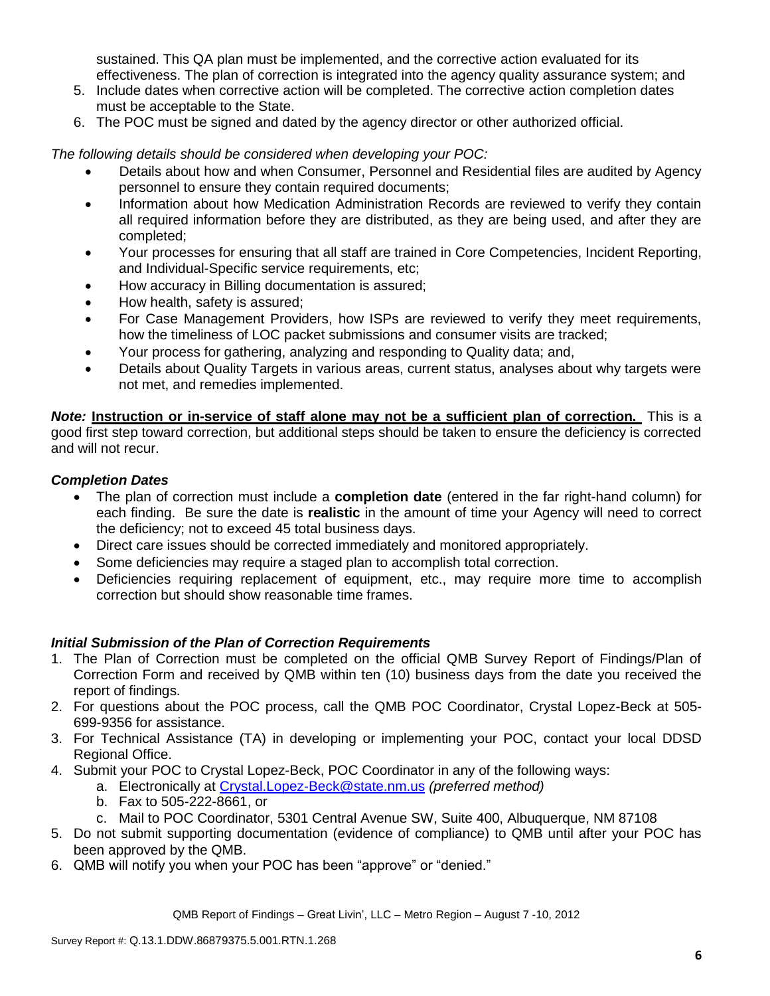sustained. This QA plan must be implemented, and the corrective action evaluated for its effectiveness. The plan of correction is integrated into the agency quality assurance system; and

- 5. Include dates when corrective action will be completed. The corrective action completion dates must be acceptable to the State.
- 6. The POC must be signed and dated by the agency director or other authorized official.

*The following details should be considered when developing your POC:*

- Details about how and when Consumer, Personnel and Residential files are audited by Agency personnel to ensure they contain required documents;
- Information about how Medication Administration Records are reviewed to verify they contain all required information before they are distributed, as they are being used, and after they are completed;
- Your processes for ensuring that all staff are trained in Core Competencies, Incident Reporting, and Individual-Specific service requirements, etc;
- How accuracy in Billing documentation is assured;
- How health, safety is assured;
- For Case Management Providers, how ISPs are reviewed to verify they meet requirements, how the timeliness of LOC packet submissions and consumer visits are tracked;
- Your process for gathering, analyzing and responding to Quality data; and,
- Details about Quality Targets in various areas, current status, analyses about why targets were not met, and remedies implemented.

*Note:* **Instruction or in-service of staff alone may not be a sufficient plan of correction.** This is a good first step toward correction, but additional steps should be taken to ensure the deficiency is corrected and will not recur.

## *Completion Dates*

- The plan of correction must include a **completion date** (entered in the far right-hand column) for each finding. Be sure the date is **realistic** in the amount of time your Agency will need to correct the deficiency; not to exceed 45 total business days.
- Direct care issues should be corrected immediately and monitored appropriately.
- Some deficiencies may require a staged plan to accomplish total correction.
- Deficiencies requiring replacement of equipment, etc., may require more time to accomplish correction but should show reasonable time frames.

# *Initial Submission of the Plan of Correction Requirements*

- 1. The Plan of Correction must be completed on the official QMB Survey Report of Findings/Plan of Correction Form and received by QMB within ten (10) business days from the date you received the report of findings.
- 2. For questions about the POC process, call the QMB POC Coordinator, Crystal Lopez-Beck at 505- 699-9356 for assistance.
- 3. For Technical Assistance (TA) in developing or implementing your POC, contact your local DDSD Regional Office.
- 4. Submit your POC to Crystal Lopez-Beck, POC Coordinator in any of the following ways:
	- a. Electronically at Crystal.Lopez-Beck@state.nm.us *(preferred method)*
	- b. Fax to 505-222-8661, or
	- c. Mail to POC Coordinator, 5301 Central Avenue SW, Suite 400, Albuquerque, NM 87108
- 5. Do not submit supporting documentation (evidence of compliance) to QMB until after your POC has been approved by the QMB.
- 6. QMB will notify you when your POC has been "approve" or "denied."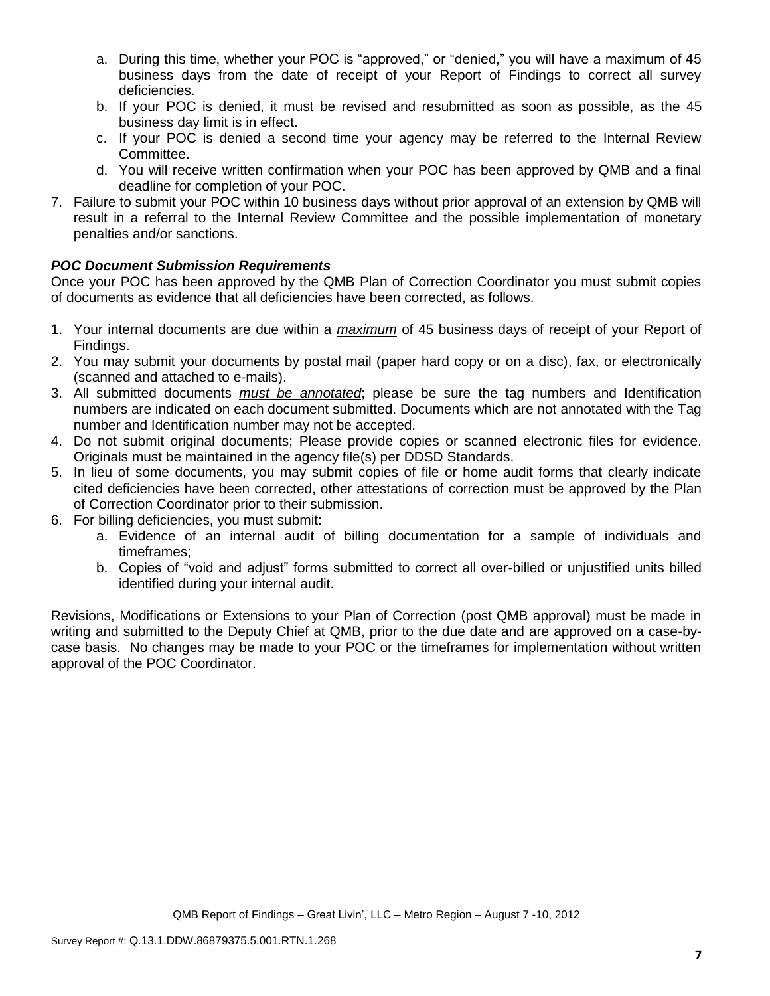- a. During this time, whether your POC is "approved," or "denied," you will have a maximum of 45 business days from the date of receipt of your Report of Findings to correct all survey deficiencies.
- b. If your POC is denied, it must be revised and resubmitted as soon as possible, as the 45 business day limit is in effect.
- c. If your POC is denied a second time your agency may be referred to the Internal Review Committee.
- d. You will receive written confirmation when your POC has been approved by QMB and a final deadline for completion of your POC.
- 7. Failure to submit your POC within 10 business days without prior approval of an extension by QMB will result in a referral to the Internal Review Committee and the possible implementation of monetary penalties and/or sanctions.

# *POC Document Submission Requirements*

Once your POC has been approved by the QMB Plan of Correction Coordinator you must submit copies of documents as evidence that all deficiencies have been corrected, as follows.

- 1. Your internal documents are due within a *maximum* of 45 business days of receipt of your Report of Findings.
- 2. You may submit your documents by postal mail (paper hard copy or on a disc), fax, or electronically (scanned and attached to e-mails).
- 3. All submitted documents *must be annotated*; please be sure the tag numbers and Identification numbers are indicated on each document submitted. Documents which are not annotated with the Tag number and Identification number may not be accepted.
- 4. Do not submit original documents; Please provide copies or scanned electronic files for evidence. Originals must be maintained in the agency file(s) per DDSD Standards.
- 5. In lieu of some documents, you may submit copies of file or home audit forms that clearly indicate cited deficiencies have been corrected, other attestations of correction must be approved by the Plan of Correction Coordinator prior to their submission.
- 6. For billing deficiencies, you must submit:
	- a. Evidence of an internal audit of billing documentation for a sample of individuals and timeframes;
	- b. Copies of "void and adjust" forms submitted to correct all over-billed or unjustified units billed identified during your internal audit.

Revisions, Modifications or Extensions to your Plan of Correction (post QMB approval) must be made in writing and submitted to the Deputy Chief at QMB, prior to the due date and are approved on a case-bycase basis. No changes may be made to your POC or the timeframes for implementation without written approval of the POC Coordinator.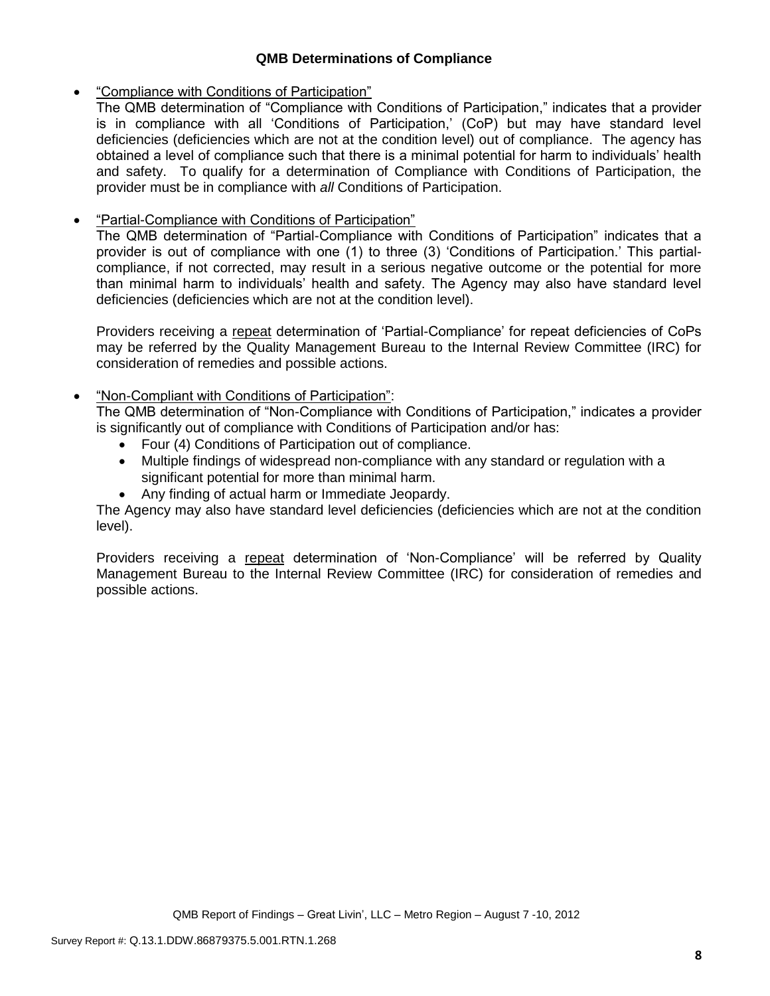## **QMB Determinations of Compliance**

## "Compliance with Conditions of Participation"

The QMB determination of "Compliance with Conditions of Participation," indicates that a provider is in compliance with all 'Conditions of Participation,' (CoP) but may have standard level deficiencies (deficiencies which are not at the condition level) out of compliance. The agency has obtained a level of compliance such that there is a minimal potential for harm to individuals' health and safety. To qualify for a determination of Compliance with Conditions of Participation, the provider must be in compliance with *all* Conditions of Participation.

# **•** "Partial-Compliance with Conditions of Participation"

The QMB determination of "Partial-Compliance with Conditions of Participation" indicates that a provider is out of compliance with one (1) to three (3) 'Conditions of Participation.' This partialcompliance, if not corrected, may result in a serious negative outcome or the potential for more than minimal harm to individuals' health and safety. The Agency may also have standard level deficiencies (deficiencies which are not at the condition level).

Providers receiving a repeat determination of 'Partial-Compliance' for repeat deficiencies of CoPs may be referred by the Quality Management Bureau to the Internal Review Committee (IRC) for consideration of remedies and possible actions.

# "Non-Compliant with Conditions of Participation":

The QMB determination of "Non-Compliance with Conditions of Participation," indicates a provider is significantly out of compliance with Conditions of Participation and/or has:

- Four (4) Conditions of Participation out of compliance.
- Multiple findings of widespread non-compliance with any standard or regulation with a significant potential for more than minimal harm.
- Any finding of actual harm or Immediate Jeopardy.

The Agency may also have standard level deficiencies (deficiencies which are not at the condition level).

Providers receiving a repeat determination of 'Non-Compliance' will be referred by Quality Management Bureau to the Internal Review Committee (IRC) for consideration of remedies and possible actions.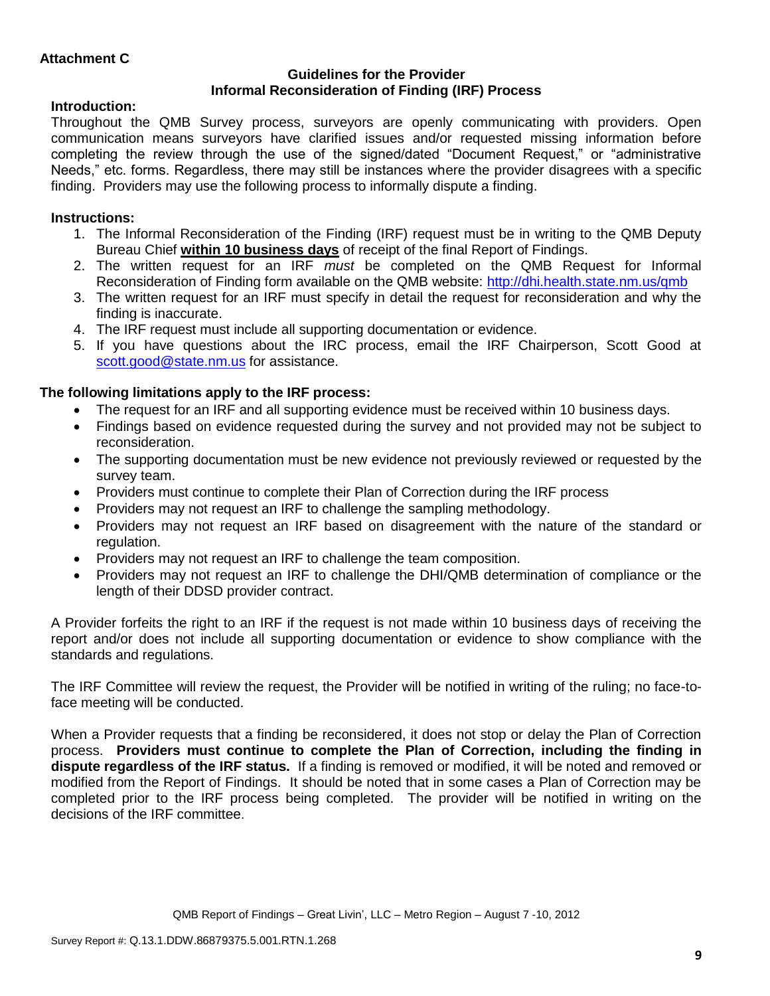## **Guidelines for the Provider Informal Reconsideration of Finding (IRF) Process**

# **Introduction:**

Throughout the QMB Survey process, surveyors are openly communicating with providers. Open communication means surveyors have clarified issues and/or requested missing information before completing the review through the use of the signed/dated "Document Request," or "administrative Needs," etc. forms. Regardless, there may still be instances where the provider disagrees with a specific finding. Providers may use the following process to informally dispute a finding.

# **Instructions:**

- 1. The Informal Reconsideration of the Finding (IRF) request must be in writing to the QMB Deputy Bureau Chief **within 10 business days** of receipt of the final Report of Findings.
- 2. The written request for an IRF *must* be completed on the QMB Request for Informal Reconsideration of Finding form available on the QMB website:<http://dhi.health.state.nm.us/qmb>
- 3. The written request for an IRF must specify in detail the request for reconsideration and why the finding is inaccurate.
- 4. The IRF request must include all supporting documentation or evidence.
- 5. If you have questions about the IRC process, email the IRF Chairperson, Scott Good at [scott.good@state.nm.us](mailto:scott.good@state.nm.us) for assistance.

# **The following limitations apply to the IRF process:**

- The request for an IRF and all supporting evidence must be received within 10 business days.
- Findings based on evidence requested during the survey and not provided may not be subject to reconsideration.
- The supporting documentation must be new evidence not previously reviewed or requested by the survey team.
- Providers must continue to complete their Plan of Correction during the IRF process
- Providers may not request an IRF to challenge the sampling methodology.
- Providers may not request an IRF based on disagreement with the nature of the standard or regulation.
- Providers may not request an IRF to challenge the team composition.
- Providers may not request an IRF to challenge the DHI/QMB determination of compliance or the length of their DDSD provider contract.

A Provider forfeits the right to an IRF if the request is not made within 10 business days of receiving the report and/or does not include all supporting documentation or evidence to show compliance with the standards and regulations.

The IRF Committee will review the request, the Provider will be notified in writing of the ruling; no face-toface meeting will be conducted.

When a Provider requests that a finding be reconsidered, it does not stop or delay the Plan of Correction process. **Providers must continue to complete the Plan of Correction, including the finding in dispute regardless of the IRF status.** If a finding is removed or modified, it will be noted and removed or modified from the Report of Findings. It should be noted that in some cases a Plan of Correction may be completed prior to the IRF process being completed. The provider will be notified in writing on the decisions of the IRF committee.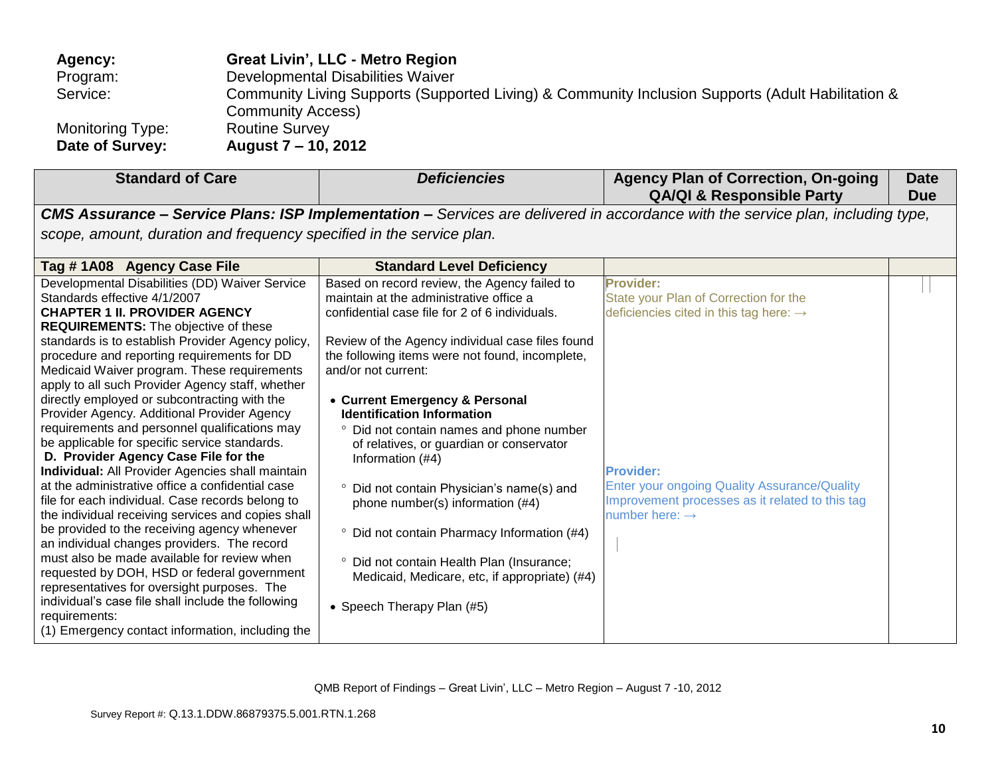| Agency:          | <b>Great Livin', LLC - Metro Region</b>                                                                                       |
|------------------|-------------------------------------------------------------------------------------------------------------------------------|
| Program:         | Developmental Disabilities Waiver                                                                                             |
| Service:         | Community Living Supports (Supported Living) & Community Inclusion Supports (Adult Habilitation &<br><b>Community Access)</b> |
| Monitoring Type: | <b>Routine Survey</b>                                                                                                         |
| Date of Survey:  | August 7 – 10, 2012                                                                                                           |

|                                                                                                                                                                                                                                                                                                                                                                                                                                                                                                                                                                                                                                                                                                                                                                                                                                                                                                                                                                                                                                                                                                                                                                                                                       |                                                                                                                                                                                                                                                                                                                                                                                                                                                                                                                                                                                                                                                                                                                                              |                                                                                                                                                                                                                                                               | <b>Due</b> |
|-----------------------------------------------------------------------------------------------------------------------------------------------------------------------------------------------------------------------------------------------------------------------------------------------------------------------------------------------------------------------------------------------------------------------------------------------------------------------------------------------------------------------------------------------------------------------------------------------------------------------------------------------------------------------------------------------------------------------------------------------------------------------------------------------------------------------------------------------------------------------------------------------------------------------------------------------------------------------------------------------------------------------------------------------------------------------------------------------------------------------------------------------------------------------------------------------------------------------|----------------------------------------------------------------------------------------------------------------------------------------------------------------------------------------------------------------------------------------------------------------------------------------------------------------------------------------------------------------------------------------------------------------------------------------------------------------------------------------------------------------------------------------------------------------------------------------------------------------------------------------------------------------------------------------------------------------------------------------------|---------------------------------------------------------------------------------------------------------------------------------------------------------------------------------------------------------------------------------------------------------------|------------|
|                                                                                                                                                                                                                                                                                                                                                                                                                                                                                                                                                                                                                                                                                                                                                                                                                                                                                                                                                                                                                                                                                                                                                                                                                       |                                                                                                                                                                                                                                                                                                                                                                                                                                                                                                                                                                                                                                                                                                                                              | CMS Assurance - Service Plans: ISP Implementation - Services are delivered in accordance with the service plan, including type,                                                                                                                               |            |
| scope, amount, duration and frequency specified in the service plan.                                                                                                                                                                                                                                                                                                                                                                                                                                                                                                                                                                                                                                                                                                                                                                                                                                                                                                                                                                                                                                                                                                                                                  |                                                                                                                                                                                                                                                                                                                                                                                                                                                                                                                                                                                                                                                                                                                                              |                                                                                                                                                                                                                                                               |            |
| Tag #1A08 Agency Case File                                                                                                                                                                                                                                                                                                                                                                                                                                                                                                                                                                                                                                                                                                                                                                                                                                                                                                                                                                                                                                                                                                                                                                                            | <b>Standard Level Deficiency</b>                                                                                                                                                                                                                                                                                                                                                                                                                                                                                                                                                                                                                                                                                                             |                                                                                                                                                                                                                                                               |            |
| Developmental Disabilities (DD) Waiver Service<br>Standards effective 4/1/2007<br><b>CHAPTER 1 II. PROVIDER AGENCY</b><br><b>REQUIREMENTS:</b> The objective of these<br>standards is to establish Provider Agency policy,<br>procedure and reporting requirements for DD<br>Medicaid Waiver program. These requirements<br>apply to all such Provider Agency staff, whether<br>directly employed or subcontracting with the<br>Provider Agency. Additional Provider Agency<br>requirements and personnel qualifications may<br>be applicable for specific service standards.<br>D. Provider Agency Case File for the<br><b>Individual:</b> All Provider Agencies shall maintain<br>at the administrative office a confidential case<br>file for each individual. Case records belong to<br>the individual receiving services and copies shall<br>be provided to the receiving agency whenever<br>an individual changes providers. The record<br>must also be made available for review when<br>requested by DOH, HSD or federal government<br>representatives for oversight purposes. The<br>individual's case file shall include the following<br>requirements:<br>(1) Emergency contact information, including the | Based on record review, the Agency failed to<br>maintain at the administrative office a<br>confidential case file for 2 of 6 individuals.<br>Review of the Agency individual case files found<br>the following items were not found, incomplete,<br>and/or not current:<br>• Current Emergency & Personal<br><b>Identification Information</b><br>° Did not contain names and phone number<br>of relatives, or guardian or conservator<br>Information (#4)<br><sup>o</sup> Did not contain Physician's name(s) and<br>phone number(s) information (#4)<br><sup>o</sup> Did not contain Pharmacy Information (#4)<br>° Did not contain Health Plan (Insurance;<br>Medicaid, Medicare, etc, if appropriate) (#4)<br>• Speech Therapy Plan (#5) | Provider:<br>State your Plan of Correction for the<br>deficiencies cited in this tag here: $\rightarrow$<br><b>Provider:</b><br>Enter your ongoing Quality Assurance/Quality<br>Improvement processes as it related to this tag<br>number here: $\rightarrow$ |            |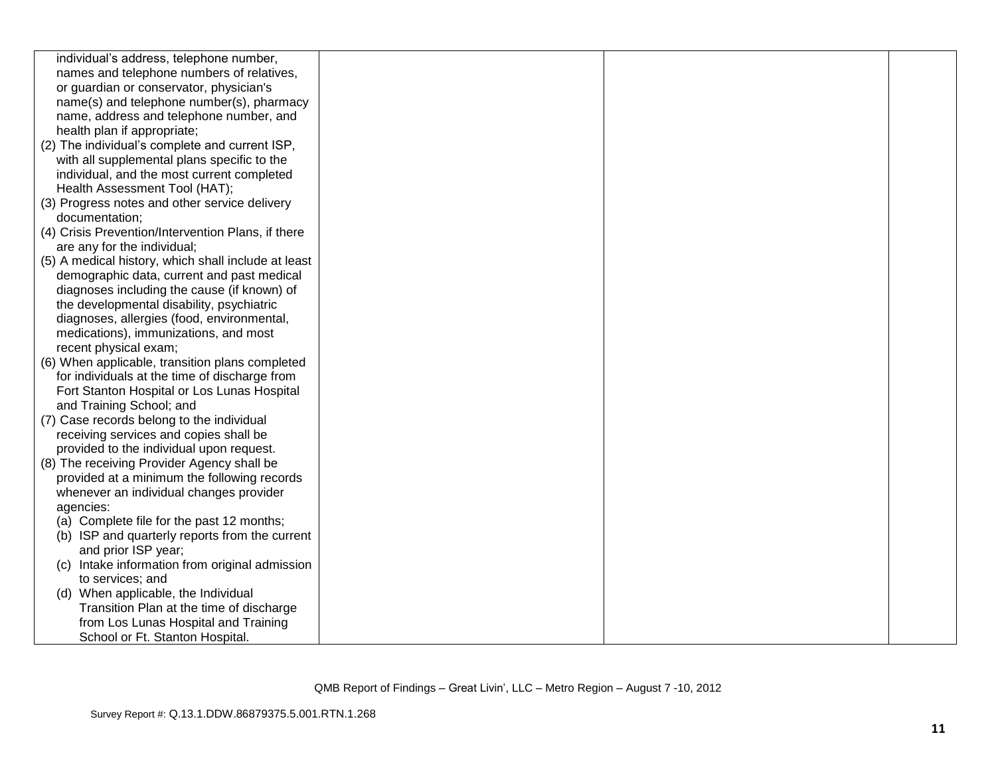| individual's address, telephone number,             |  |  |
|-----------------------------------------------------|--|--|
| names and telephone numbers of relatives,           |  |  |
| or guardian or conservator, physician's             |  |  |
| name(s) and telephone number(s), pharmacy           |  |  |
| name, address and telephone number, and             |  |  |
| health plan if appropriate;                         |  |  |
| (2) The individual's complete and current ISP,      |  |  |
| with all supplemental plans specific to the         |  |  |
| individual, and the most current completed          |  |  |
| Health Assessment Tool (HAT);                       |  |  |
| (3) Progress notes and other service delivery       |  |  |
| documentation;                                      |  |  |
| (4) Crisis Prevention/Intervention Plans, if there  |  |  |
| are any for the individual;                         |  |  |
| (5) A medical history, which shall include at least |  |  |
| demographic data, current and past medical          |  |  |
| diagnoses including the cause (if known) of         |  |  |
| the developmental disability, psychiatric           |  |  |
| diagnoses, allergies (food, environmental,          |  |  |
| medications), immunizations, and most               |  |  |
| recent physical exam;                               |  |  |
| (6) When applicable, transition plans completed     |  |  |
| for individuals at the time of discharge from       |  |  |
| Fort Stanton Hospital or Los Lunas Hospital         |  |  |
| and Training School; and                            |  |  |
| (7) Case records belong to the individual           |  |  |
| receiving services and copies shall be              |  |  |
| provided to the individual upon request.            |  |  |
| (8) The receiving Provider Agency shall be          |  |  |
| provided at a minimum the following records         |  |  |
| whenever an individual changes provider             |  |  |
| agencies:                                           |  |  |
| (a) Complete file for the past 12 months;           |  |  |
| (b) ISP and quarterly reports from the current      |  |  |
| and prior ISP year;                                 |  |  |
| (c) Intake information from original admission      |  |  |
| to services; and                                    |  |  |
| (d) When applicable, the Individual                 |  |  |
| Transition Plan at the time of discharge            |  |  |
| from Los Lunas Hospital and Training                |  |  |
| School or Ft. Stanton Hospital.                     |  |  |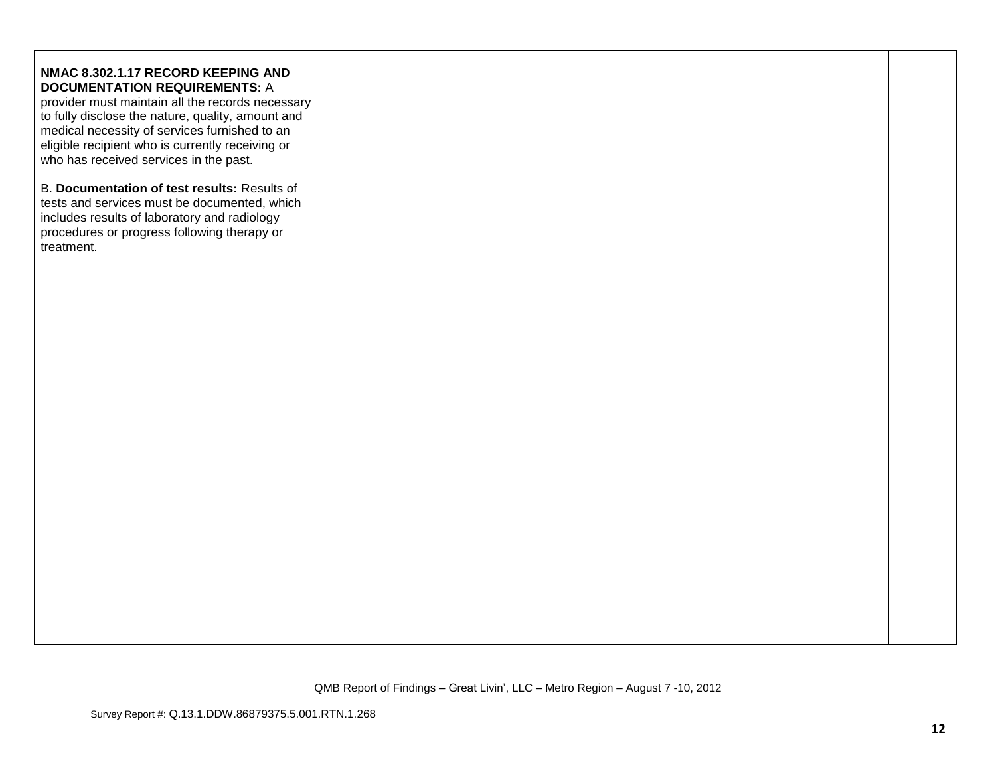| NMAC 8.302.1.17 RECORD KEEPING AND<br><b>DOCUMENTATION REQUIREMENTS: A</b><br>provider must maintain all the records necessary<br>to fully disclose the nature, quality, amount and<br>medical necessity of services furnished to an<br>eligible recipient who is currently receiving or<br>who has received services in the past.<br>B. Documentation of test results: Results of<br>tests and services must be documented, which<br>includes results of laboratory and radiology<br>procedures or progress following therapy or<br>treatment. |  |  |
|-------------------------------------------------------------------------------------------------------------------------------------------------------------------------------------------------------------------------------------------------------------------------------------------------------------------------------------------------------------------------------------------------------------------------------------------------------------------------------------------------------------------------------------------------|--|--|
|                                                                                                                                                                                                                                                                                                                                                                                                                                                                                                                                                 |  |  |
|                                                                                                                                                                                                                                                                                                                                                                                                                                                                                                                                                 |  |  |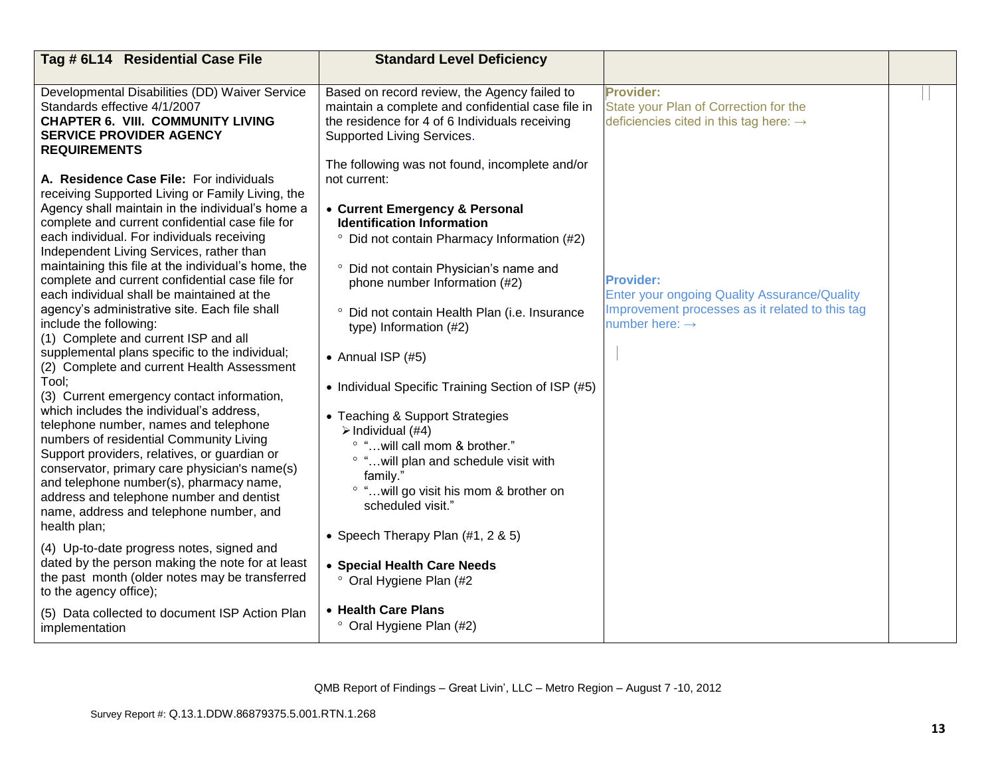| Tag # 6L14 Residential Case File                                                                                                                                                                                                                                                                                                                                                                                                                                                                                                                                                                                                                                                                                                                                                                                                                                                                                                                                                                                                                                                                                                                                                                                                                                                                                                                                   | <b>Standard Level Deficiency</b>                                                                                                                                                                                                                                                                                                                                                                                                                                                                                                                                                                                                                                                                                                                    |                                                                                                                                                          |  |
|--------------------------------------------------------------------------------------------------------------------------------------------------------------------------------------------------------------------------------------------------------------------------------------------------------------------------------------------------------------------------------------------------------------------------------------------------------------------------------------------------------------------------------------------------------------------------------------------------------------------------------------------------------------------------------------------------------------------------------------------------------------------------------------------------------------------------------------------------------------------------------------------------------------------------------------------------------------------------------------------------------------------------------------------------------------------------------------------------------------------------------------------------------------------------------------------------------------------------------------------------------------------------------------------------------------------------------------------------------------------|-----------------------------------------------------------------------------------------------------------------------------------------------------------------------------------------------------------------------------------------------------------------------------------------------------------------------------------------------------------------------------------------------------------------------------------------------------------------------------------------------------------------------------------------------------------------------------------------------------------------------------------------------------------------------------------------------------------------------------------------------------|----------------------------------------------------------------------------------------------------------------------------------------------------------|--|
| Developmental Disabilities (DD) Waiver Service<br>Standards effective 4/1/2007<br><b>CHAPTER 6. VIII. COMMUNITY LIVING</b><br><b>SERVICE PROVIDER AGENCY</b><br><b>REQUIREMENTS</b>                                                                                                                                                                                                                                                                                                                                                                                                                                                                                                                                                                                                                                                                                                                                                                                                                                                                                                                                                                                                                                                                                                                                                                                | Based on record review, the Agency failed to<br>maintain a complete and confidential case file in<br>the residence for 4 of 6 Individuals receiving<br>Supported Living Services.<br>The following was not found, incomplete and/or                                                                                                                                                                                                                                                                                                                                                                                                                                                                                                                 | <b>Provider:</b><br>State your Plan of Correction for the<br>deficiencies cited in this tag here: $\rightarrow$                                          |  |
| A. Residence Case File: For individuals<br>receiving Supported Living or Family Living, the<br>Agency shall maintain in the individual's home a<br>complete and current confidential case file for<br>each individual. For individuals receiving<br>Independent Living Services, rather than<br>maintaining this file at the individual's home, the<br>complete and current confidential case file for<br>each individual shall be maintained at the<br>agency's administrative site. Each file shall<br>include the following:<br>(1) Complete and current ISP and all<br>supplemental plans specific to the individual;<br>(2) Complete and current Health Assessment<br>Tool;<br>(3) Current emergency contact information,<br>which includes the individual's address,<br>telephone number, names and telephone<br>numbers of residential Community Living<br>Support providers, relatives, or guardian or<br>conservator, primary care physician's name(s)<br>and telephone number(s), pharmacy name,<br>address and telephone number and dentist<br>name, address and telephone number, and<br>health plan;<br>(4) Up-to-date progress notes, signed and<br>dated by the person making the note for at least<br>the past month (older notes may be transferred<br>to the agency office);<br>(5) Data collected to document ISP Action Plan<br>implementation | not current:<br>• Current Emergency & Personal<br><b>Identification Information</b><br><sup>o</sup> Did not contain Pharmacy Information (#2)<br>° Did not contain Physician's name and<br>phone number Information (#2)<br>° Did not contain Health Plan (i.e. Insurance<br>type) Information (#2)<br>• Annual ISP $(#5)$<br>• Individual Specific Training Section of ISP (#5)<br>• Teaching & Support Strategies<br>> Individual (#4)<br>° " will call mom & brother."<br>° " will plan and schedule visit with<br>family."<br>° " will go visit his mom & brother on<br>scheduled visit."<br>• Speech Therapy Plan $(\#1, 2 \& 5)$<br>• Special Health Care Needs<br>° Oral Hygiene Plan (#2<br>• Health Care Plans<br>° Oral Hygiene Plan (#2) | <b>Provider:</b><br><b>Enter your ongoing Quality Assurance/Quality</b><br>Improvement processes as it related to this tag<br>number here: $\rightarrow$ |  |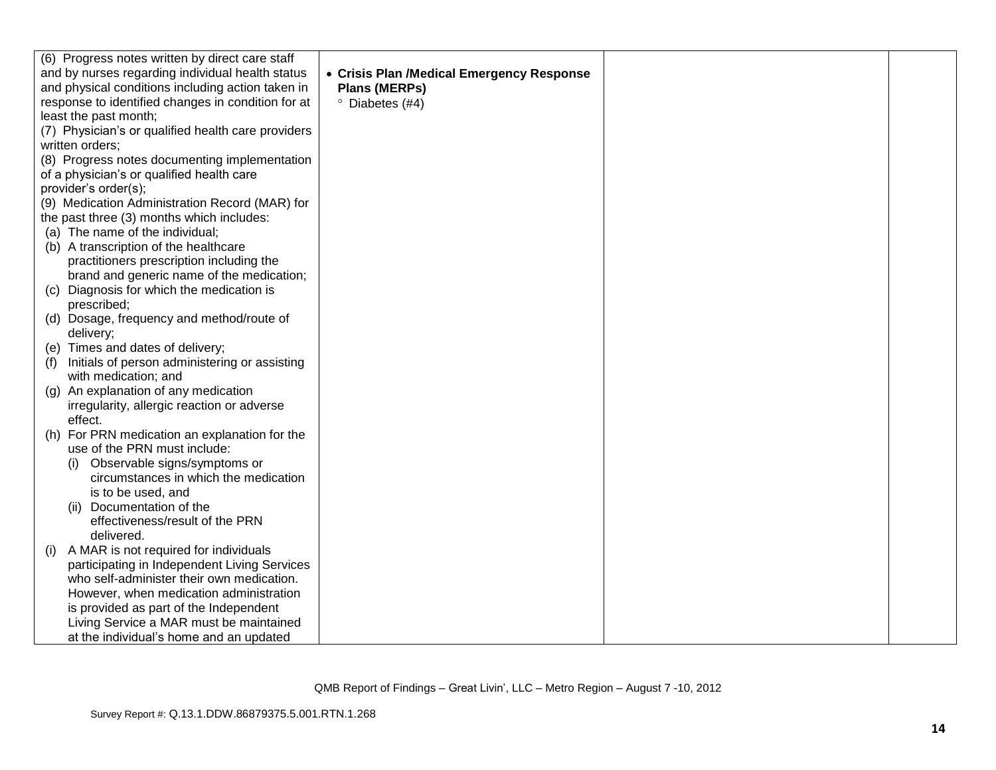|     | (6) Progress notes written by direct care staff    |                                           |  |
|-----|----------------------------------------------------|-------------------------------------------|--|
|     | and by nurses regarding individual health status   | • Crisis Plan /Medical Emergency Response |  |
|     | and physical conditions including action taken in  | <b>Plans (MERPs)</b>                      |  |
|     | response to identified changes in condition for at | <sup>o</sup> Diabetes (#4)                |  |
|     | least the past month;                              |                                           |  |
|     | (7) Physician's or qualified health care providers |                                           |  |
|     | written orders;                                    |                                           |  |
|     | (8) Progress notes documenting implementation      |                                           |  |
|     | of a physician's or qualified health care          |                                           |  |
|     | provider's order(s);                               |                                           |  |
|     | (9) Medication Administration Record (MAR) for     |                                           |  |
|     | the past three (3) months which includes:          |                                           |  |
|     | (a) The name of the individual;                    |                                           |  |
|     | (b) A transcription of the healthcare              |                                           |  |
|     | practitioners prescription including the           |                                           |  |
|     | brand and generic name of the medication;          |                                           |  |
|     | (c) Diagnosis for which the medication is          |                                           |  |
|     | prescribed;                                        |                                           |  |
|     | (d) Dosage, frequency and method/route of          |                                           |  |
|     | delivery;                                          |                                           |  |
|     | (e) Times and dates of delivery;                   |                                           |  |
| (f) | Initials of person administering or assisting      |                                           |  |
|     | with medication; and                               |                                           |  |
|     | (g) An explanation of any medication               |                                           |  |
|     | irregularity, allergic reaction or adverse         |                                           |  |
|     | effect.                                            |                                           |  |
|     | (h) For PRN medication an explanation for the      |                                           |  |
|     | use of the PRN must include:                       |                                           |  |
|     | Observable signs/symptoms or                       |                                           |  |
|     | circumstances in which the medication              |                                           |  |
|     | is to be used, and                                 |                                           |  |
|     | Documentation of the<br>(11)                       |                                           |  |
|     | effectiveness/result of the PRN                    |                                           |  |
|     | delivered.                                         |                                           |  |
| (i) | A MAR is not required for individuals              |                                           |  |
|     | participating in Independent Living Services       |                                           |  |
|     | who self-administer their own medication.          |                                           |  |
|     | However, when medication administration            |                                           |  |
|     | is provided as part of the Independent             |                                           |  |
|     | Living Service a MAR must be maintained            |                                           |  |
|     | at the individual's home and an updated            |                                           |  |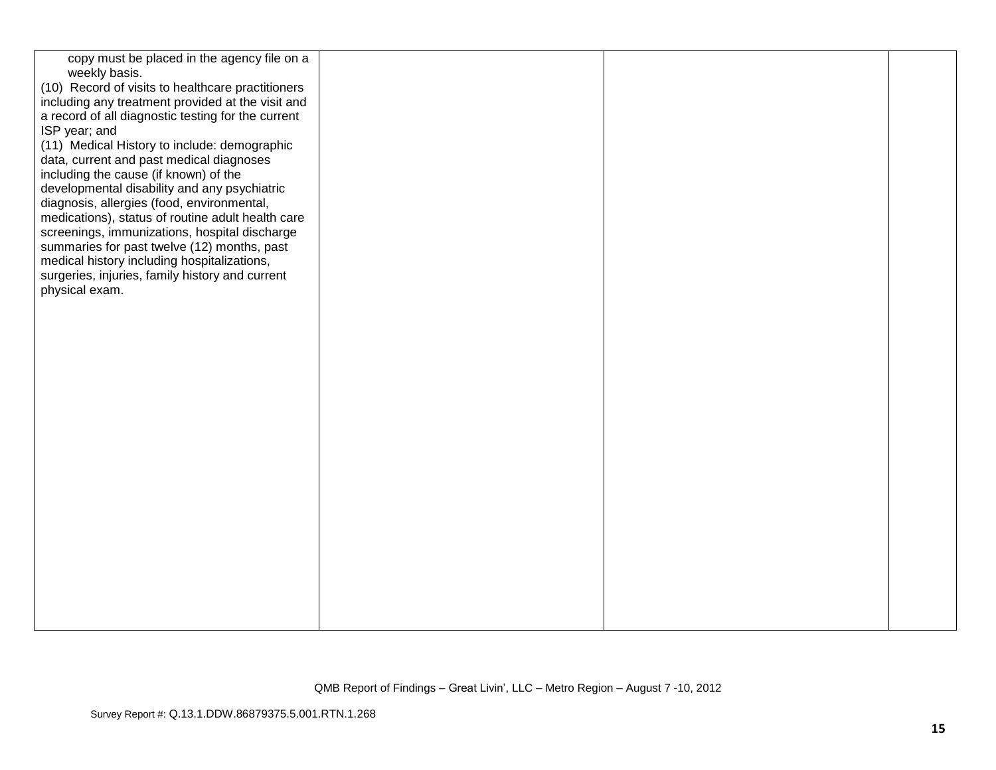| copy must be placed in the agency file on a<br>weekly basis.                                           |  |  |
|--------------------------------------------------------------------------------------------------------|--|--|
| (10) Record of visits to healthcare practitioners<br>including any treatment provided at the visit and |  |  |
| a record of all diagnostic testing for the current                                                     |  |  |
| ISP year; and<br>(11) Medical History to include: demographic                                          |  |  |
| data, current and past medical diagnoses                                                               |  |  |
| including the cause (if known) of the                                                                  |  |  |
| developmental disability and any psychiatric<br>diagnosis, allergies (food, environmental,             |  |  |
| medications), status of routine adult health care                                                      |  |  |
| screenings, immunizations, hospital discharge                                                          |  |  |
| summaries for past twelve (12) months, past<br>medical history including hospitalizations,             |  |  |
| surgeries, injuries, family history and current                                                        |  |  |
| physical exam.                                                                                         |  |  |
|                                                                                                        |  |  |
|                                                                                                        |  |  |
|                                                                                                        |  |  |
|                                                                                                        |  |  |
|                                                                                                        |  |  |
|                                                                                                        |  |  |
|                                                                                                        |  |  |
|                                                                                                        |  |  |
|                                                                                                        |  |  |
|                                                                                                        |  |  |
|                                                                                                        |  |  |
|                                                                                                        |  |  |
|                                                                                                        |  |  |
|                                                                                                        |  |  |
|                                                                                                        |  |  |
|                                                                                                        |  |  |
|                                                                                                        |  |  |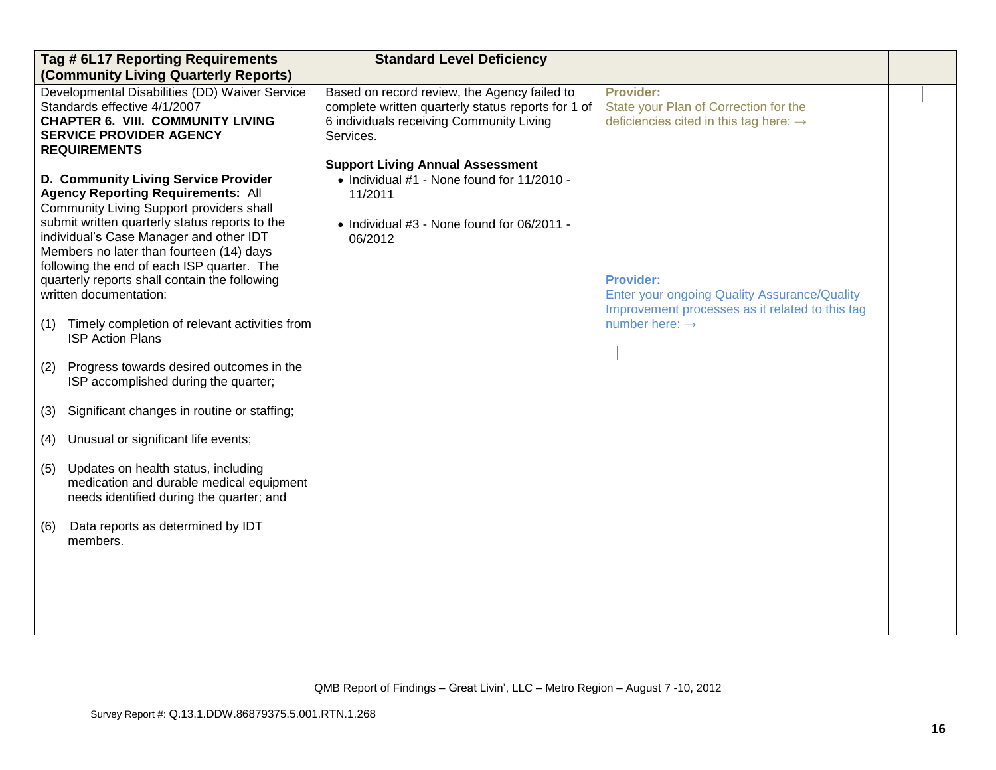| Tag # 6L17 Reporting Requirements<br>(Community Living Quarterly Reports)                                                                                                                                                                                                                                                                                                                                                                                                                                                                                                                                                                                                                                                                                                                                                                                                                                       | <b>Standard Level Deficiency</b>                                                                                                                                                                                                                                                                                         |                                                                                                                                                                                                                                                                      |  |
|-----------------------------------------------------------------------------------------------------------------------------------------------------------------------------------------------------------------------------------------------------------------------------------------------------------------------------------------------------------------------------------------------------------------------------------------------------------------------------------------------------------------------------------------------------------------------------------------------------------------------------------------------------------------------------------------------------------------------------------------------------------------------------------------------------------------------------------------------------------------------------------------------------------------|--------------------------------------------------------------------------------------------------------------------------------------------------------------------------------------------------------------------------------------------------------------------------------------------------------------------------|----------------------------------------------------------------------------------------------------------------------------------------------------------------------------------------------------------------------------------------------------------------------|--|
| Developmental Disabilities (DD) Waiver Service<br>Standards effective 4/1/2007<br><b>CHAPTER 6. VIII. COMMUNITY LIVING</b><br><b>SERVICE PROVIDER AGENCY</b><br><b>REQUIREMENTS</b><br>D. Community Living Service Provider<br><b>Agency Reporting Requirements: All</b><br>Community Living Support providers shall<br>submit written quarterly status reports to the<br>individual's Case Manager and other IDT<br>Members no later than fourteen (14) days<br>following the end of each ISP quarter. The<br>quarterly reports shall contain the following<br>written documentation:<br>Timely completion of relevant activities from<br>(1)<br><b>ISP Action Plans</b><br>Progress towards desired outcomes in the<br>(2)<br>ISP accomplished during the quarter;<br>Significant changes in routine or staffing;<br>(3)<br>Unusual or significant life events;<br>(4)<br>Updates on health status, including | Based on record review, the Agency failed to<br>complete written quarterly status reports for 1 of<br>6 individuals receiving Community Living<br>Services.<br><b>Support Living Annual Assessment</b><br>• Individual #1 - None found for 11/2010 -<br>11/2011<br>• Individual #3 - None found for 06/2011 -<br>06/2012 | Provider:<br>State your Plan of Correction for the<br>deficiencies cited in this tag here: $\rightarrow$<br><b>Provider:</b><br><b>Enter your ongoing Quality Assurance/Quality</b><br>Improvement processes as it related to this tag<br>number here: $\rightarrow$ |  |
| (5)<br>medication and durable medical equipment<br>needs identified during the quarter; and                                                                                                                                                                                                                                                                                                                                                                                                                                                                                                                                                                                                                                                                                                                                                                                                                     |                                                                                                                                                                                                                                                                                                                          |                                                                                                                                                                                                                                                                      |  |
| Data reports as determined by IDT<br>(6)<br>members.                                                                                                                                                                                                                                                                                                                                                                                                                                                                                                                                                                                                                                                                                                                                                                                                                                                            |                                                                                                                                                                                                                                                                                                                          |                                                                                                                                                                                                                                                                      |  |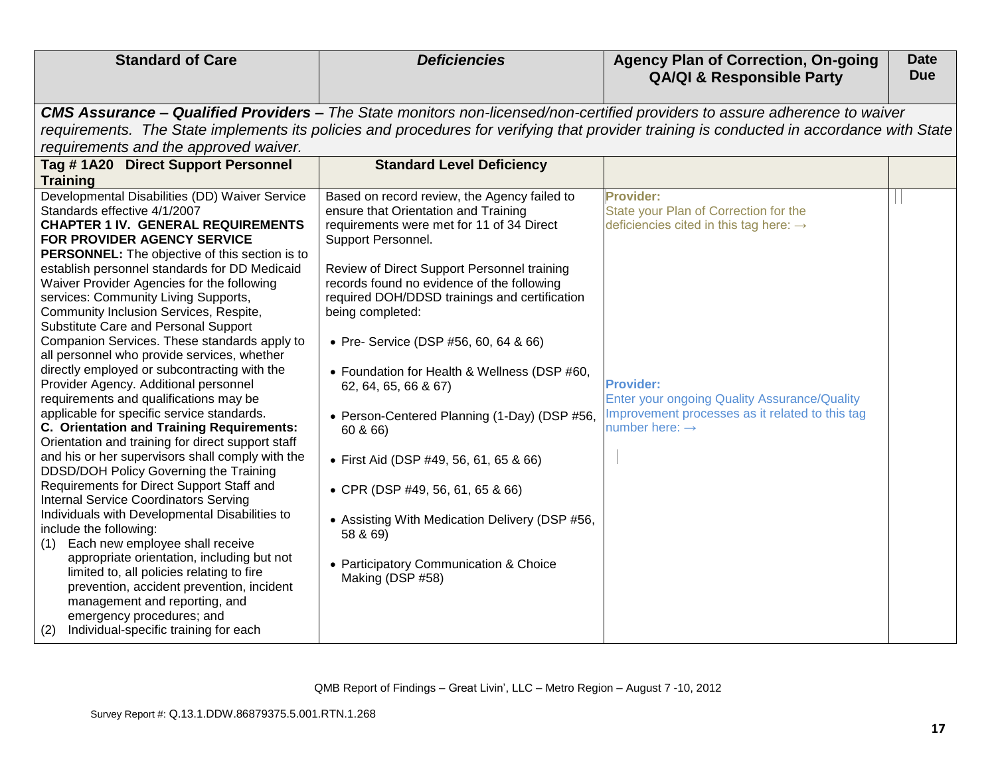| <b>CMS Assurance – Qualified Providers –</b> The State monitors non-licensed/non-certified providers to assure adherence to waiver<br>requirements. The State implements its policies and procedures for verifying that provider training is conducted in accordance with State<br>requirements and the approved waiver.<br>Tag #1A20 Direct Support Personnel<br><b>Standard Level Deficiency</b><br><b>Training</b><br>Developmental Disabilities (DD) Waiver Service<br>Based on record review, the Agency failed to<br><b>Provider:</b><br>State your Plan of Correction for the<br>Standards effective 4/1/2007<br>ensure that Orientation and Training<br><b>CHAPTER 1 IV. GENERAL REQUIREMENTS</b><br>requirements were met for 11 of 34 Direct<br>deficiencies cited in this tag here: $\rightarrow$<br>FOR PROVIDER AGENCY SERVICE<br>Support Personnel.<br><b>PERSONNEL:</b> The objective of this section is to<br>establish personnel standards for DD Medicaid<br>Review of Direct Support Personnel training<br>Waiver Provider Agencies for the following<br>records found no evidence of the following<br>services: Community Living Supports,<br>required DOH/DDSD trainings and certification<br>Community Inclusion Services, Respite,<br>being completed:<br>Substitute Care and Personal Support<br>Companion Services. These standards apply to<br>• Pre- Service (DSP #56, 60, 64 & 66)<br>all personnel who provide services, whether<br>directly employed or subcontracting with the<br>• Foundation for Health & Wellness (DSP #60,<br>Provider Agency. Additional personnel<br><b>Provider:</b><br>62, 64, 65, 66 & 67)<br>requirements and qualifications may be<br><b>Enter your ongoing Quality Assurance/Quality</b><br>applicable for specific service standards.<br>Improvement processes as it related to this tag<br>• Person-Centered Planning (1-Day) (DSP #56,<br>C. Orientation and Training Requirements:<br>number here: $\rightarrow$<br>60 & 66)<br>Orientation and training for direct support staff<br>and his or her supervisors shall comply with the<br>• First Aid (DSP #49, 56, 61, 65 & 66)<br>DDSD/DOH Policy Governing the Training<br>Requirements for Direct Support Staff and<br>• CPR (DSP #49, 56, 61, 65 & 66)<br><b>Internal Service Coordinators Serving</b><br>Individuals with Developmental Disabilities to<br>• Assisting With Medication Delivery (DSP #56,<br>include the following:<br>58 & 69)<br>Each new employee shall receive<br>(1)<br>appropriate orientation, including but not<br>• Participatory Communication & Choice<br>limited to, all policies relating to fire<br>Making (DSP #58)<br>prevention, accident prevention, incident<br>management and reporting, and<br>emergency procedures; and | <b>Standard of Care</b> | <b>Deficiencies</b> | <b>Agency Plan of Correction, On-going</b><br><b>QA/QI &amp; Responsible Party</b> | <b>Date</b><br><b>Due</b> |
|-----------------------------------------------------------------------------------------------------------------------------------------------------------------------------------------------------------------------------------------------------------------------------------------------------------------------------------------------------------------------------------------------------------------------------------------------------------------------------------------------------------------------------------------------------------------------------------------------------------------------------------------------------------------------------------------------------------------------------------------------------------------------------------------------------------------------------------------------------------------------------------------------------------------------------------------------------------------------------------------------------------------------------------------------------------------------------------------------------------------------------------------------------------------------------------------------------------------------------------------------------------------------------------------------------------------------------------------------------------------------------------------------------------------------------------------------------------------------------------------------------------------------------------------------------------------------------------------------------------------------------------------------------------------------------------------------------------------------------------------------------------------------------------------------------------------------------------------------------------------------------------------------------------------------------------------------------------------------------------------------------------------------------------------------------------------------------------------------------------------------------------------------------------------------------------------------------------------------------------------------------------------------------------------------------------------------------------------------------------------------------------------------------------------------------------------------------------------------------------------------------------------------------------------------------------------------------------------------------------------------------------------------------------------------------------------------------------------------------------------------------------------------------------|-------------------------|---------------------|------------------------------------------------------------------------------------|---------------------------|
|                                                                                                                                                                                                                                                                                                                                                                                                                                                                                                                                                                                                                                                                                                                                                                                                                                                                                                                                                                                                                                                                                                                                                                                                                                                                                                                                                                                                                                                                                                                                                                                                                                                                                                                                                                                                                                                                                                                                                                                                                                                                                                                                                                                                                                                                                                                                                                                                                                                                                                                                                                                                                                                                                                                                                                                   |                         |                     |                                                                                    |                           |
|                                                                                                                                                                                                                                                                                                                                                                                                                                                                                                                                                                                                                                                                                                                                                                                                                                                                                                                                                                                                                                                                                                                                                                                                                                                                                                                                                                                                                                                                                                                                                                                                                                                                                                                                                                                                                                                                                                                                                                                                                                                                                                                                                                                                                                                                                                                                                                                                                                                                                                                                                                                                                                                                                                                                                                                   |                         |                     |                                                                                    |                           |
|                                                                                                                                                                                                                                                                                                                                                                                                                                                                                                                                                                                                                                                                                                                                                                                                                                                                                                                                                                                                                                                                                                                                                                                                                                                                                                                                                                                                                                                                                                                                                                                                                                                                                                                                                                                                                                                                                                                                                                                                                                                                                                                                                                                                                                                                                                                                                                                                                                                                                                                                                                                                                                                                                                                                                                                   |                         |                     |                                                                                    |                           |
|                                                                                                                                                                                                                                                                                                                                                                                                                                                                                                                                                                                                                                                                                                                                                                                                                                                                                                                                                                                                                                                                                                                                                                                                                                                                                                                                                                                                                                                                                                                                                                                                                                                                                                                                                                                                                                                                                                                                                                                                                                                                                                                                                                                                                                                                                                                                                                                                                                                                                                                                                                                                                                                                                                                                                                                   |                         |                     |                                                                                    |                           |
|                                                                                                                                                                                                                                                                                                                                                                                                                                                                                                                                                                                                                                                                                                                                                                                                                                                                                                                                                                                                                                                                                                                                                                                                                                                                                                                                                                                                                                                                                                                                                                                                                                                                                                                                                                                                                                                                                                                                                                                                                                                                                                                                                                                                                                                                                                                                                                                                                                                                                                                                                                                                                                                                                                                                                                                   |                         |                     |                                                                                    |                           |
|                                                                                                                                                                                                                                                                                                                                                                                                                                                                                                                                                                                                                                                                                                                                                                                                                                                                                                                                                                                                                                                                                                                                                                                                                                                                                                                                                                                                                                                                                                                                                                                                                                                                                                                                                                                                                                                                                                                                                                                                                                                                                                                                                                                                                                                                                                                                                                                                                                                                                                                                                                                                                                                                                                                                                                                   |                         |                     |                                                                                    |                           |
|                                                                                                                                                                                                                                                                                                                                                                                                                                                                                                                                                                                                                                                                                                                                                                                                                                                                                                                                                                                                                                                                                                                                                                                                                                                                                                                                                                                                                                                                                                                                                                                                                                                                                                                                                                                                                                                                                                                                                                                                                                                                                                                                                                                                                                                                                                                                                                                                                                                                                                                                                                                                                                                                                                                                                                                   |                         |                     |                                                                                    |                           |
|                                                                                                                                                                                                                                                                                                                                                                                                                                                                                                                                                                                                                                                                                                                                                                                                                                                                                                                                                                                                                                                                                                                                                                                                                                                                                                                                                                                                                                                                                                                                                                                                                                                                                                                                                                                                                                                                                                                                                                                                                                                                                                                                                                                                                                                                                                                                                                                                                                                                                                                                                                                                                                                                                                                                                                                   |                         |                     |                                                                                    |                           |
|                                                                                                                                                                                                                                                                                                                                                                                                                                                                                                                                                                                                                                                                                                                                                                                                                                                                                                                                                                                                                                                                                                                                                                                                                                                                                                                                                                                                                                                                                                                                                                                                                                                                                                                                                                                                                                                                                                                                                                                                                                                                                                                                                                                                                                                                                                                                                                                                                                                                                                                                                                                                                                                                                                                                                                                   |                         |                     |                                                                                    |                           |
|                                                                                                                                                                                                                                                                                                                                                                                                                                                                                                                                                                                                                                                                                                                                                                                                                                                                                                                                                                                                                                                                                                                                                                                                                                                                                                                                                                                                                                                                                                                                                                                                                                                                                                                                                                                                                                                                                                                                                                                                                                                                                                                                                                                                                                                                                                                                                                                                                                                                                                                                                                                                                                                                                                                                                                                   |                         |                     |                                                                                    |                           |
|                                                                                                                                                                                                                                                                                                                                                                                                                                                                                                                                                                                                                                                                                                                                                                                                                                                                                                                                                                                                                                                                                                                                                                                                                                                                                                                                                                                                                                                                                                                                                                                                                                                                                                                                                                                                                                                                                                                                                                                                                                                                                                                                                                                                                                                                                                                                                                                                                                                                                                                                                                                                                                                                                                                                                                                   |                         |                     |                                                                                    |                           |
|                                                                                                                                                                                                                                                                                                                                                                                                                                                                                                                                                                                                                                                                                                                                                                                                                                                                                                                                                                                                                                                                                                                                                                                                                                                                                                                                                                                                                                                                                                                                                                                                                                                                                                                                                                                                                                                                                                                                                                                                                                                                                                                                                                                                                                                                                                                                                                                                                                                                                                                                                                                                                                                                                                                                                                                   |                         |                     |                                                                                    |                           |
|                                                                                                                                                                                                                                                                                                                                                                                                                                                                                                                                                                                                                                                                                                                                                                                                                                                                                                                                                                                                                                                                                                                                                                                                                                                                                                                                                                                                                                                                                                                                                                                                                                                                                                                                                                                                                                                                                                                                                                                                                                                                                                                                                                                                                                                                                                                                                                                                                                                                                                                                                                                                                                                                                                                                                                                   |                         |                     |                                                                                    |                           |
|                                                                                                                                                                                                                                                                                                                                                                                                                                                                                                                                                                                                                                                                                                                                                                                                                                                                                                                                                                                                                                                                                                                                                                                                                                                                                                                                                                                                                                                                                                                                                                                                                                                                                                                                                                                                                                                                                                                                                                                                                                                                                                                                                                                                                                                                                                                                                                                                                                                                                                                                                                                                                                                                                                                                                                                   |                         |                     |                                                                                    |                           |
|                                                                                                                                                                                                                                                                                                                                                                                                                                                                                                                                                                                                                                                                                                                                                                                                                                                                                                                                                                                                                                                                                                                                                                                                                                                                                                                                                                                                                                                                                                                                                                                                                                                                                                                                                                                                                                                                                                                                                                                                                                                                                                                                                                                                                                                                                                                                                                                                                                                                                                                                                                                                                                                                                                                                                                                   |                         |                     |                                                                                    |                           |
|                                                                                                                                                                                                                                                                                                                                                                                                                                                                                                                                                                                                                                                                                                                                                                                                                                                                                                                                                                                                                                                                                                                                                                                                                                                                                                                                                                                                                                                                                                                                                                                                                                                                                                                                                                                                                                                                                                                                                                                                                                                                                                                                                                                                                                                                                                                                                                                                                                                                                                                                                                                                                                                                                                                                                                                   |                         |                     |                                                                                    |                           |
|                                                                                                                                                                                                                                                                                                                                                                                                                                                                                                                                                                                                                                                                                                                                                                                                                                                                                                                                                                                                                                                                                                                                                                                                                                                                                                                                                                                                                                                                                                                                                                                                                                                                                                                                                                                                                                                                                                                                                                                                                                                                                                                                                                                                                                                                                                                                                                                                                                                                                                                                                                                                                                                                                                                                                                                   |                         |                     |                                                                                    |                           |
|                                                                                                                                                                                                                                                                                                                                                                                                                                                                                                                                                                                                                                                                                                                                                                                                                                                                                                                                                                                                                                                                                                                                                                                                                                                                                                                                                                                                                                                                                                                                                                                                                                                                                                                                                                                                                                                                                                                                                                                                                                                                                                                                                                                                                                                                                                                                                                                                                                                                                                                                                                                                                                                                                                                                                                                   |                         |                     |                                                                                    |                           |
|                                                                                                                                                                                                                                                                                                                                                                                                                                                                                                                                                                                                                                                                                                                                                                                                                                                                                                                                                                                                                                                                                                                                                                                                                                                                                                                                                                                                                                                                                                                                                                                                                                                                                                                                                                                                                                                                                                                                                                                                                                                                                                                                                                                                                                                                                                                                                                                                                                                                                                                                                                                                                                                                                                                                                                                   |                         |                     |                                                                                    |                           |
|                                                                                                                                                                                                                                                                                                                                                                                                                                                                                                                                                                                                                                                                                                                                                                                                                                                                                                                                                                                                                                                                                                                                                                                                                                                                                                                                                                                                                                                                                                                                                                                                                                                                                                                                                                                                                                                                                                                                                                                                                                                                                                                                                                                                                                                                                                                                                                                                                                                                                                                                                                                                                                                                                                                                                                                   |                         |                     |                                                                                    |                           |
|                                                                                                                                                                                                                                                                                                                                                                                                                                                                                                                                                                                                                                                                                                                                                                                                                                                                                                                                                                                                                                                                                                                                                                                                                                                                                                                                                                                                                                                                                                                                                                                                                                                                                                                                                                                                                                                                                                                                                                                                                                                                                                                                                                                                                                                                                                                                                                                                                                                                                                                                                                                                                                                                                                                                                                                   |                         |                     |                                                                                    |                           |
|                                                                                                                                                                                                                                                                                                                                                                                                                                                                                                                                                                                                                                                                                                                                                                                                                                                                                                                                                                                                                                                                                                                                                                                                                                                                                                                                                                                                                                                                                                                                                                                                                                                                                                                                                                                                                                                                                                                                                                                                                                                                                                                                                                                                                                                                                                                                                                                                                                                                                                                                                                                                                                                                                                                                                                                   |                         |                     |                                                                                    |                           |
|                                                                                                                                                                                                                                                                                                                                                                                                                                                                                                                                                                                                                                                                                                                                                                                                                                                                                                                                                                                                                                                                                                                                                                                                                                                                                                                                                                                                                                                                                                                                                                                                                                                                                                                                                                                                                                                                                                                                                                                                                                                                                                                                                                                                                                                                                                                                                                                                                                                                                                                                                                                                                                                                                                                                                                                   |                         |                     |                                                                                    |                           |
|                                                                                                                                                                                                                                                                                                                                                                                                                                                                                                                                                                                                                                                                                                                                                                                                                                                                                                                                                                                                                                                                                                                                                                                                                                                                                                                                                                                                                                                                                                                                                                                                                                                                                                                                                                                                                                                                                                                                                                                                                                                                                                                                                                                                                                                                                                                                                                                                                                                                                                                                                                                                                                                                                                                                                                                   |                         |                     |                                                                                    |                           |
|                                                                                                                                                                                                                                                                                                                                                                                                                                                                                                                                                                                                                                                                                                                                                                                                                                                                                                                                                                                                                                                                                                                                                                                                                                                                                                                                                                                                                                                                                                                                                                                                                                                                                                                                                                                                                                                                                                                                                                                                                                                                                                                                                                                                                                                                                                                                                                                                                                                                                                                                                                                                                                                                                                                                                                                   |                         |                     |                                                                                    |                           |
|                                                                                                                                                                                                                                                                                                                                                                                                                                                                                                                                                                                                                                                                                                                                                                                                                                                                                                                                                                                                                                                                                                                                                                                                                                                                                                                                                                                                                                                                                                                                                                                                                                                                                                                                                                                                                                                                                                                                                                                                                                                                                                                                                                                                                                                                                                                                                                                                                                                                                                                                                                                                                                                                                                                                                                                   |                         |                     |                                                                                    |                           |
|                                                                                                                                                                                                                                                                                                                                                                                                                                                                                                                                                                                                                                                                                                                                                                                                                                                                                                                                                                                                                                                                                                                                                                                                                                                                                                                                                                                                                                                                                                                                                                                                                                                                                                                                                                                                                                                                                                                                                                                                                                                                                                                                                                                                                                                                                                                                                                                                                                                                                                                                                                                                                                                                                                                                                                                   |                         |                     |                                                                                    |                           |
|                                                                                                                                                                                                                                                                                                                                                                                                                                                                                                                                                                                                                                                                                                                                                                                                                                                                                                                                                                                                                                                                                                                                                                                                                                                                                                                                                                                                                                                                                                                                                                                                                                                                                                                                                                                                                                                                                                                                                                                                                                                                                                                                                                                                                                                                                                                                                                                                                                                                                                                                                                                                                                                                                                                                                                                   |                         |                     |                                                                                    |                           |
|                                                                                                                                                                                                                                                                                                                                                                                                                                                                                                                                                                                                                                                                                                                                                                                                                                                                                                                                                                                                                                                                                                                                                                                                                                                                                                                                                                                                                                                                                                                                                                                                                                                                                                                                                                                                                                                                                                                                                                                                                                                                                                                                                                                                                                                                                                                                                                                                                                                                                                                                                                                                                                                                                                                                                                                   |                         |                     |                                                                                    |                           |
|                                                                                                                                                                                                                                                                                                                                                                                                                                                                                                                                                                                                                                                                                                                                                                                                                                                                                                                                                                                                                                                                                                                                                                                                                                                                                                                                                                                                                                                                                                                                                                                                                                                                                                                                                                                                                                                                                                                                                                                                                                                                                                                                                                                                                                                                                                                                                                                                                                                                                                                                                                                                                                                                                                                                                                                   |                         |                     |                                                                                    |                           |
|                                                                                                                                                                                                                                                                                                                                                                                                                                                                                                                                                                                                                                                                                                                                                                                                                                                                                                                                                                                                                                                                                                                                                                                                                                                                                                                                                                                                                                                                                                                                                                                                                                                                                                                                                                                                                                                                                                                                                                                                                                                                                                                                                                                                                                                                                                                                                                                                                                                                                                                                                                                                                                                                                                                                                                                   |                         |                     |                                                                                    |                           |
|                                                                                                                                                                                                                                                                                                                                                                                                                                                                                                                                                                                                                                                                                                                                                                                                                                                                                                                                                                                                                                                                                                                                                                                                                                                                                                                                                                                                                                                                                                                                                                                                                                                                                                                                                                                                                                                                                                                                                                                                                                                                                                                                                                                                                                                                                                                                                                                                                                                                                                                                                                                                                                                                                                                                                                                   |                         |                     |                                                                                    |                           |
|                                                                                                                                                                                                                                                                                                                                                                                                                                                                                                                                                                                                                                                                                                                                                                                                                                                                                                                                                                                                                                                                                                                                                                                                                                                                                                                                                                                                                                                                                                                                                                                                                                                                                                                                                                                                                                                                                                                                                                                                                                                                                                                                                                                                                                                                                                                                                                                                                                                                                                                                                                                                                                                                                                                                                                                   |                         |                     |                                                                                    |                           |
|                                                                                                                                                                                                                                                                                                                                                                                                                                                                                                                                                                                                                                                                                                                                                                                                                                                                                                                                                                                                                                                                                                                                                                                                                                                                                                                                                                                                                                                                                                                                                                                                                                                                                                                                                                                                                                                                                                                                                                                                                                                                                                                                                                                                                                                                                                                                                                                                                                                                                                                                                                                                                                                                                                                                                                                   |                         |                     |                                                                                    |                           |
| Individual-specific training for each<br>(2)                                                                                                                                                                                                                                                                                                                                                                                                                                                                                                                                                                                                                                                                                                                                                                                                                                                                                                                                                                                                                                                                                                                                                                                                                                                                                                                                                                                                                                                                                                                                                                                                                                                                                                                                                                                                                                                                                                                                                                                                                                                                                                                                                                                                                                                                                                                                                                                                                                                                                                                                                                                                                                                                                                                                      |                         |                     |                                                                                    |                           |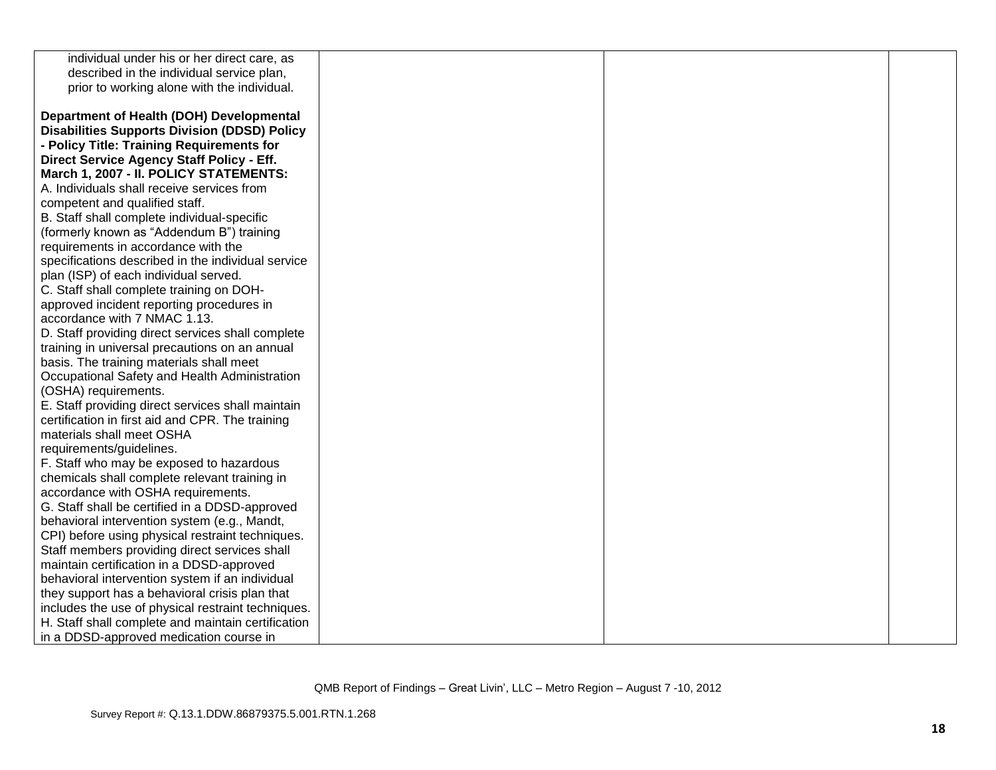| individual under his or her direct care, as         |  |  |
|-----------------------------------------------------|--|--|
| described in the individual service plan,           |  |  |
| prior to working alone with the individual.         |  |  |
|                                                     |  |  |
| Department of Health (DOH) Developmental            |  |  |
| <b>Disabilities Supports Division (DDSD) Policy</b> |  |  |
| - Policy Title: Training Requirements for           |  |  |
| Direct Service Agency Staff Policy - Eff.           |  |  |
| March 1, 2007 - II. POLICY STATEMENTS:              |  |  |
| A. Individuals shall receive services from          |  |  |
| competent and qualified staff.                      |  |  |
| B. Staff shall complete individual-specific         |  |  |
| (formerly known as "Addendum B") training           |  |  |
| requirements in accordance with the                 |  |  |
| specifications described in the individual service  |  |  |
| plan (ISP) of each individual served.               |  |  |
| C. Staff shall complete training on DOH-            |  |  |
| approved incident reporting procedures in           |  |  |
| accordance with 7 NMAC 1.13.                        |  |  |
| D. Staff providing direct services shall complete   |  |  |
| training in universal precautions on an annual      |  |  |
| basis. The training materials shall meet            |  |  |
| Occupational Safety and Health Administration       |  |  |
| (OSHA) requirements.                                |  |  |
| E. Staff providing direct services shall maintain   |  |  |
| certification in first aid and CPR. The training    |  |  |
| materials shall meet OSHA                           |  |  |
| requirements/guidelines.                            |  |  |
| F. Staff who may be exposed to hazardous            |  |  |
| chemicals shall complete relevant training in       |  |  |
| accordance with OSHA requirements.                  |  |  |
| G. Staff shall be certified in a DDSD-approved      |  |  |
| behavioral intervention system (e.g., Mandt,        |  |  |
| CPI) before using physical restraint techniques.    |  |  |
| Staff members providing direct services shall       |  |  |
| maintain certification in a DDSD-approved           |  |  |
| behavioral intervention system if an individual     |  |  |
| they support has a behavioral crisis plan that      |  |  |
| includes the use of physical restraint techniques.  |  |  |
| H. Staff shall complete and maintain certification  |  |  |
| in a DDSD-approved medication course in             |  |  |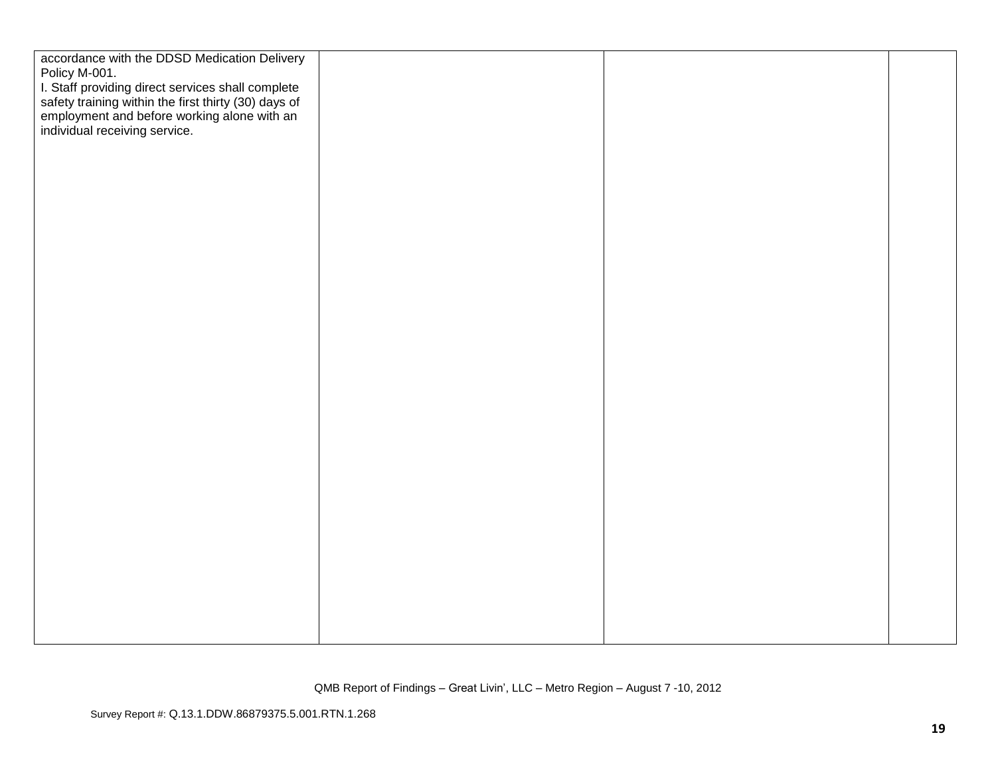| accordance with the DDSD Medication Delivery                                                                                                                                              |  |  |
|-------------------------------------------------------------------------------------------------------------------------------------------------------------------------------------------|--|--|
| Policy M-001.                                                                                                                                                                             |  |  |
| I. Staff providing direct services shall complete<br>safety training within the first thirty (30) days of<br>employment and before working alone with an<br>individual receiving service. |  |  |
|                                                                                                                                                                                           |  |  |
|                                                                                                                                                                                           |  |  |
|                                                                                                                                                                                           |  |  |
|                                                                                                                                                                                           |  |  |
|                                                                                                                                                                                           |  |  |
|                                                                                                                                                                                           |  |  |
|                                                                                                                                                                                           |  |  |
|                                                                                                                                                                                           |  |  |
|                                                                                                                                                                                           |  |  |
|                                                                                                                                                                                           |  |  |
|                                                                                                                                                                                           |  |  |
|                                                                                                                                                                                           |  |  |
|                                                                                                                                                                                           |  |  |
|                                                                                                                                                                                           |  |  |
|                                                                                                                                                                                           |  |  |
|                                                                                                                                                                                           |  |  |
|                                                                                                                                                                                           |  |  |
|                                                                                                                                                                                           |  |  |
|                                                                                                                                                                                           |  |  |
|                                                                                                                                                                                           |  |  |
|                                                                                                                                                                                           |  |  |
|                                                                                                                                                                                           |  |  |
|                                                                                                                                                                                           |  |  |
|                                                                                                                                                                                           |  |  |
|                                                                                                                                                                                           |  |  |
|                                                                                                                                                                                           |  |  |
|                                                                                                                                                                                           |  |  |
|                                                                                                                                                                                           |  |  |
|                                                                                                                                                                                           |  |  |
|                                                                                                                                                                                           |  |  |
|                                                                                                                                                                                           |  |  |
|                                                                                                                                                                                           |  |  |
|                                                                                                                                                                                           |  |  |
|                                                                                                                                                                                           |  |  |
|                                                                                                                                                                                           |  |  |
|                                                                                                                                                                                           |  |  |
|                                                                                                                                                                                           |  |  |
|                                                                                                                                                                                           |  |  |
|                                                                                                                                                                                           |  |  |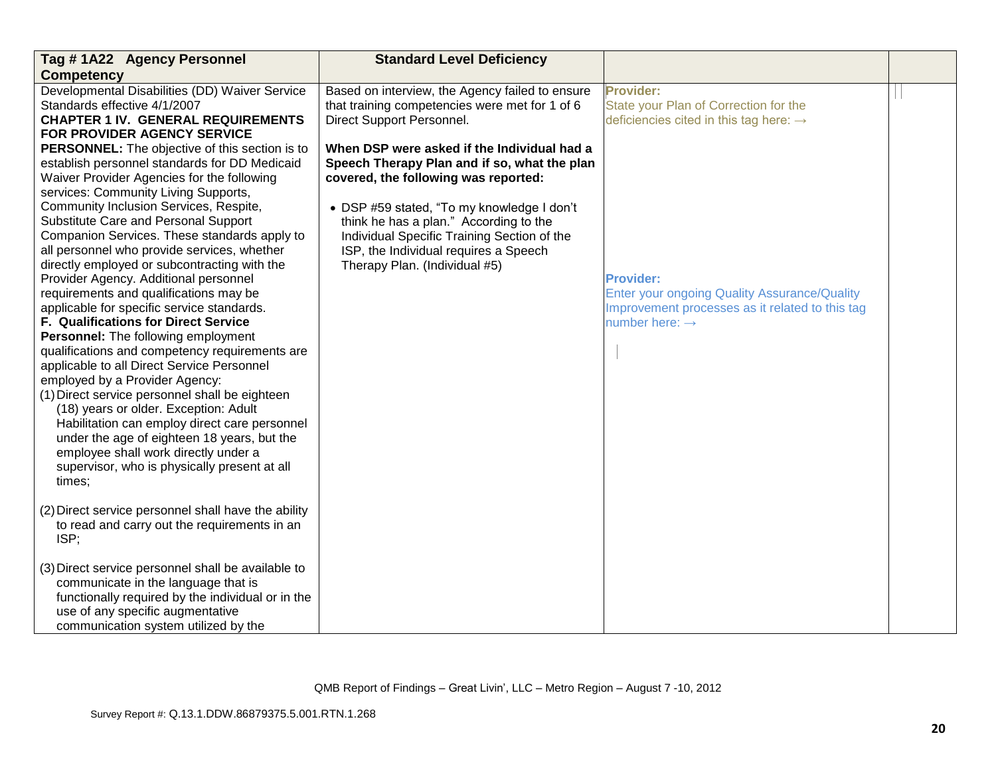| Tag #1A22 Agency Personnel                                                                                                                                                                                                                                                                                                                                                                                                                                                                                                                                                                                                                                                                                                                 | <b>Standard Level Deficiency</b>                                                                                                                                                                                                                                           |                                                                                                                                                          |  |
|--------------------------------------------------------------------------------------------------------------------------------------------------------------------------------------------------------------------------------------------------------------------------------------------------------------------------------------------------------------------------------------------------------------------------------------------------------------------------------------------------------------------------------------------------------------------------------------------------------------------------------------------------------------------------------------------------------------------------------------------|----------------------------------------------------------------------------------------------------------------------------------------------------------------------------------------------------------------------------------------------------------------------------|----------------------------------------------------------------------------------------------------------------------------------------------------------|--|
| <b>Competency</b>                                                                                                                                                                                                                                                                                                                                                                                                                                                                                                                                                                                                                                                                                                                          |                                                                                                                                                                                                                                                                            |                                                                                                                                                          |  |
| Developmental Disabilities (DD) Waiver Service<br>Standards effective 4/1/2007<br><b>CHAPTER 1 IV. GENERAL REQUIREMENTS</b><br>FOR PROVIDER AGENCY SERVICE                                                                                                                                                                                                                                                                                                                                                                                                                                                                                                                                                                                 | Based on interview, the Agency failed to ensure<br>that training competencies were met for 1 of 6<br>Direct Support Personnel.                                                                                                                                             | <b>Provider:</b><br>State your Plan of Correction for the<br>deficiencies cited in this tag here: $\rightarrow$                                          |  |
| <b>PERSONNEL:</b> The objective of this section is to<br>establish personnel standards for DD Medicaid<br>Waiver Provider Agencies for the following<br>services: Community Living Supports,<br>Community Inclusion Services, Respite,<br>Substitute Care and Personal Support<br>Companion Services. These standards apply to                                                                                                                                                                                                                                                                                                                                                                                                             | When DSP were asked if the Individual had a<br>Speech Therapy Plan and if so, what the plan<br>covered, the following was reported:<br>• DSP #59 stated, "To my knowledge I don't<br>think he has a plan." According to the<br>Individual Specific Training Section of the |                                                                                                                                                          |  |
| all personnel who provide services, whether<br>directly employed or subcontracting with the<br>Provider Agency. Additional personnel<br>requirements and qualifications may be<br>applicable for specific service standards.<br>F. Qualifications for Direct Service<br>Personnel: The following employment<br>qualifications and competency requirements are<br>applicable to all Direct Service Personnel<br>employed by a Provider Agency:<br>(1) Direct service personnel shall be eighteen<br>(18) years or older. Exception: Adult<br>Habilitation can employ direct care personnel<br>under the age of eighteen 18 years, but the<br>employee shall work directly under a<br>supervisor, who is physically present at all<br>times; | ISP, the Individual requires a Speech<br>Therapy Plan. (Individual #5)                                                                                                                                                                                                     | <b>Provider:</b><br><b>Enter your ongoing Quality Assurance/Quality</b><br>Improvement processes as it related to this tag<br>number here: $\rightarrow$ |  |
| (2) Direct service personnel shall have the ability<br>to read and carry out the requirements in an<br>ISP;                                                                                                                                                                                                                                                                                                                                                                                                                                                                                                                                                                                                                                |                                                                                                                                                                                                                                                                            |                                                                                                                                                          |  |
| (3) Direct service personnel shall be available to<br>communicate in the language that is<br>functionally required by the individual or in the<br>use of any specific augmentative<br>communication system utilized by the                                                                                                                                                                                                                                                                                                                                                                                                                                                                                                                 |                                                                                                                                                                                                                                                                            |                                                                                                                                                          |  |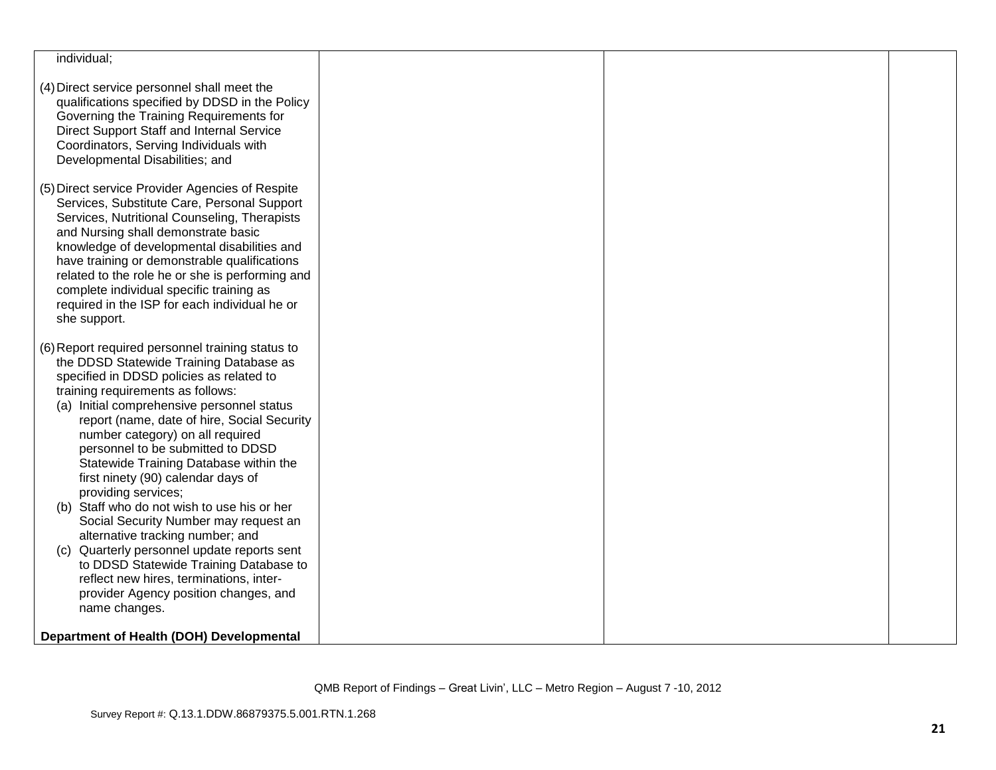| individual;                                                                                                                                                                                                                                                                                                                                                                                                                                                                                                                                                                                                                                                                                                                                                                            |  |  |
|----------------------------------------------------------------------------------------------------------------------------------------------------------------------------------------------------------------------------------------------------------------------------------------------------------------------------------------------------------------------------------------------------------------------------------------------------------------------------------------------------------------------------------------------------------------------------------------------------------------------------------------------------------------------------------------------------------------------------------------------------------------------------------------|--|--|
| (4) Direct service personnel shall meet the<br>qualifications specified by DDSD in the Policy<br>Governing the Training Requirements for<br>Direct Support Staff and Internal Service<br>Coordinators, Serving Individuals with<br>Developmental Disabilities; and                                                                                                                                                                                                                                                                                                                                                                                                                                                                                                                     |  |  |
| (5) Direct service Provider Agencies of Respite<br>Services, Substitute Care, Personal Support<br>Services, Nutritional Counseling, Therapists<br>and Nursing shall demonstrate basic<br>knowledge of developmental disabilities and<br>have training or demonstrable qualifications<br>related to the role he or she is performing and<br>complete individual specific training as<br>required in the ISP for each individual he or<br>she support.                                                                                                                                                                                                                                                                                                                                   |  |  |
| (6) Report required personnel training status to<br>the DDSD Statewide Training Database as<br>specified in DDSD policies as related to<br>training requirements as follows:<br>(a) Initial comprehensive personnel status<br>report (name, date of hire, Social Security<br>number category) on all required<br>personnel to be submitted to DDSD<br>Statewide Training Database within the<br>first ninety (90) calendar days of<br>providing services;<br>(b) Staff who do not wish to use his or her<br>Social Security Number may request an<br>alternative tracking number; and<br>Quarterly personnel update reports sent<br>(C)<br>to DDSD Statewide Training Database to<br>reflect new hires, terminations, inter-<br>provider Agency position changes, and<br>name changes. |  |  |
| Department of Health (DOH) Developmental                                                                                                                                                                                                                                                                                                                                                                                                                                                                                                                                                                                                                                                                                                                                               |  |  |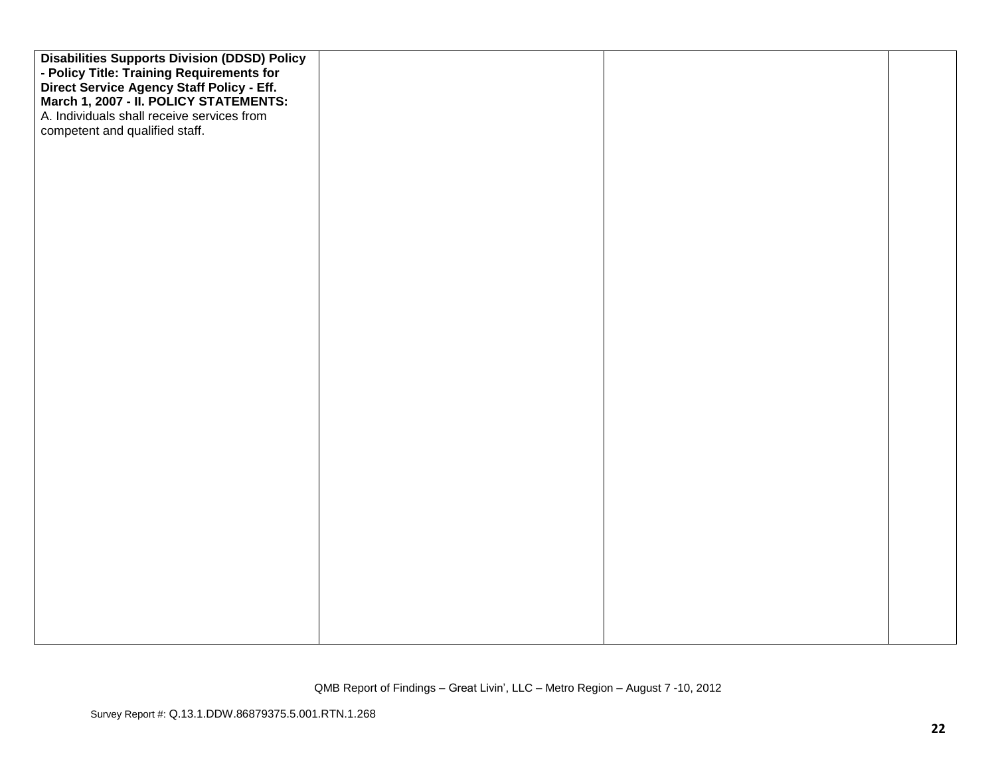| <b>Disabilities Supports Division (DDSD) Policy</b>                                 |  |  |
|-------------------------------------------------------------------------------------|--|--|
| - Policy Title: Training Requirements for                                           |  |  |
| Direct Service Agency Staff Policy - Eff.<br>March 1, 2007 - II. POLICY STATEMENTS: |  |  |
|                                                                                     |  |  |
| A. Individuals shall receive services from                                          |  |  |
| competent and qualified staff.                                                      |  |  |
|                                                                                     |  |  |
|                                                                                     |  |  |
|                                                                                     |  |  |
|                                                                                     |  |  |
|                                                                                     |  |  |
|                                                                                     |  |  |
|                                                                                     |  |  |
|                                                                                     |  |  |
|                                                                                     |  |  |
|                                                                                     |  |  |
|                                                                                     |  |  |
|                                                                                     |  |  |
|                                                                                     |  |  |
|                                                                                     |  |  |
|                                                                                     |  |  |
|                                                                                     |  |  |
|                                                                                     |  |  |
|                                                                                     |  |  |
|                                                                                     |  |  |
|                                                                                     |  |  |
|                                                                                     |  |  |
|                                                                                     |  |  |
|                                                                                     |  |  |
|                                                                                     |  |  |
|                                                                                     |  |  |
|                                                                                     |  |  |
|                                                                                     |  |  |
|                                                                                     |  |  |
|                                                                                     |  |  |
|                                                                                     |  |  |
|                                                                                     |  |  |
|                                                                                     |  |  |
|                                                                                     |  |  |
|                                                                                     |  |  |
|                                                                                     |  |  |
|                                                                                     |  |  |
|                                                                                     |  |  |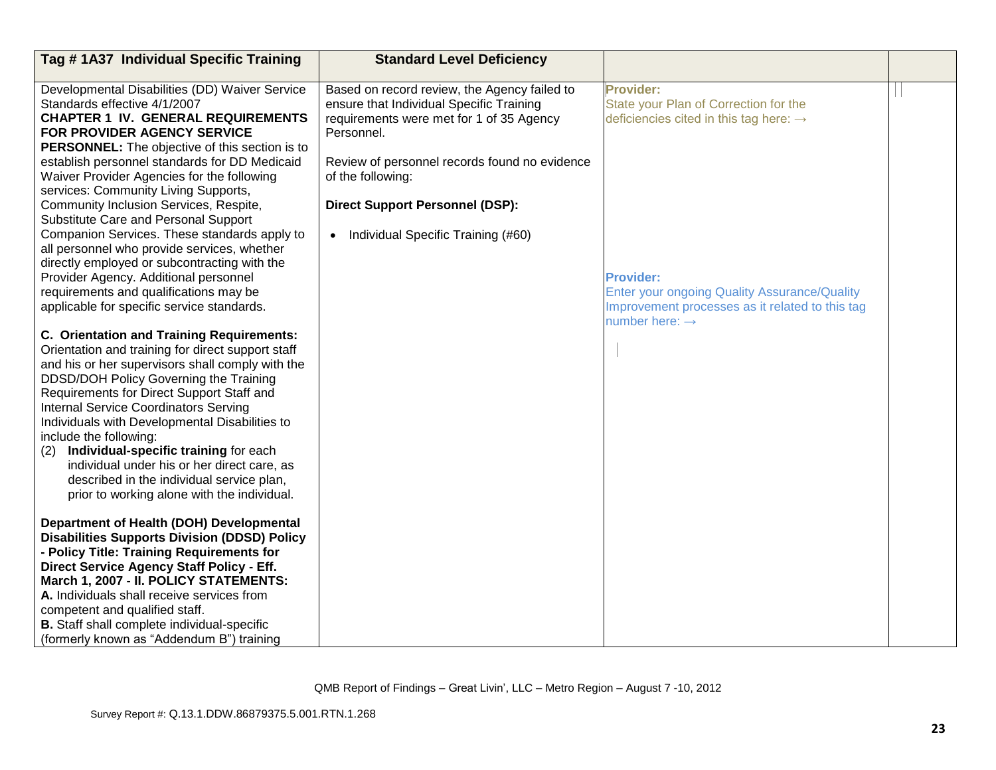| Tag #1A37 Individual Specific Training                                                                                                                                                                                                                                                                                                                                                                                                                                                                                                                                                                                                                                                                                | <b>Standard Level Deficiency</b>                                                                                                                                                                                                                                                                           |                                                                                                                                                                                                                                                                      |  |
|-----------------------------------------------------------------------------------------------------------------------------------------------------------------------------------------------------------------------------------------------------------------------------------------------------------------------------------------------------------------------------------------------------------------------------------------------------------------------------------------------------------------------------------------------------------------------------------------------------------------------------------------------------------------------------------------------------------------------|------------------------------------------------------------------------------------------------------------------------------------------------------------------------------------------------------------------------------------------------------------------------------------------------------------|----------------------------------------------------------------------------------------------------------------------------------------------------------------------------------------------------------------------------------------------------------------------|--|
| Developmental Disabilities (DD) Waiver Service<br>Standards effective 4/1/2007<br><b>CHAPTER 1 IV. GENERAL REQUIREMENTS</b><br>FOR PROVIDER AGENCY SERVICE<br>PERSONNEL: The objective of this section is to<br>establish personnel standards for DD Medicaid<br>Waiver Provider Agencies for the following<br>services: Community Living Supports,<br>Community Inclusion Services, Respite,<br>Substitute Care and Personal Support<br>Companion Services. These standards apply to<br>all personnel who provide services, whether<br>directly employed or subcontracting with the<br>Provider Agency. Additional personnel<br>requirements and qualifications may be<br>applicable for specific service standards. | Based on record review, the Agency failed to<br>ensure that Individual Specific Training<br>requirements were met for 1 of 35 Agency<br>Personnel.<br>Review of personnel records found no evidence<br>of the following:<br><b>Direct Support Personnel (DSP):</b><br>• Individual Specific Training (#60) | <b>Provider:</b><br>State your Plan of Correction for the<br>deficiencies cited in this tag here: $\rightarrow$<br><b>Provider:</b><br>Enter your ongoing Quality Assurance/Quality<br>Improvement processes as it related to this tag<br>number here: $\rightarrow$ |  |
| <b>C. Orientation and Training Requirements:</b><br>Orientation and training for direct support staff<br>and his or her supervisors shall comply with the<br>DDSD/DOH Policy Governing the Training<br>Requirements for Direct Support Staff and<br><b>Internal Service Coordinators Serving</b><br>Individuals with Developmental Disabilities to<br>include the following:<br>Individual-specific training for each<br>(2)<br>individual under his or her direct care, as<br>described in the individual service plan,<br>prior to working alone with the individual.                                                                                                                                               |                                                                                                                                                                                                                                                                                                            |                                                                                                                                                                                                                                                                      |  |
| Department of Health (DOH) Developmental<br><b>Disabilities Supports Division (DDSD) Policy</b><br>- Policy Title: Training Requirements for<br>Direct Service Agency Staff Policy - Eff.<br>March 1, 2007 - II. POLICY STATEMENTS:<br>A. Individuals shall receive services from<br>competent and qualified staff.<br><b>B.</b> Staff shall complete individual-specific<br>(formerly known as "Addendum B") training                                                                                                                                                                                                                                                                                                |                                                                                                                                                                                                                                                                                                            |                                                                                                                                                                                                                                                                      |  |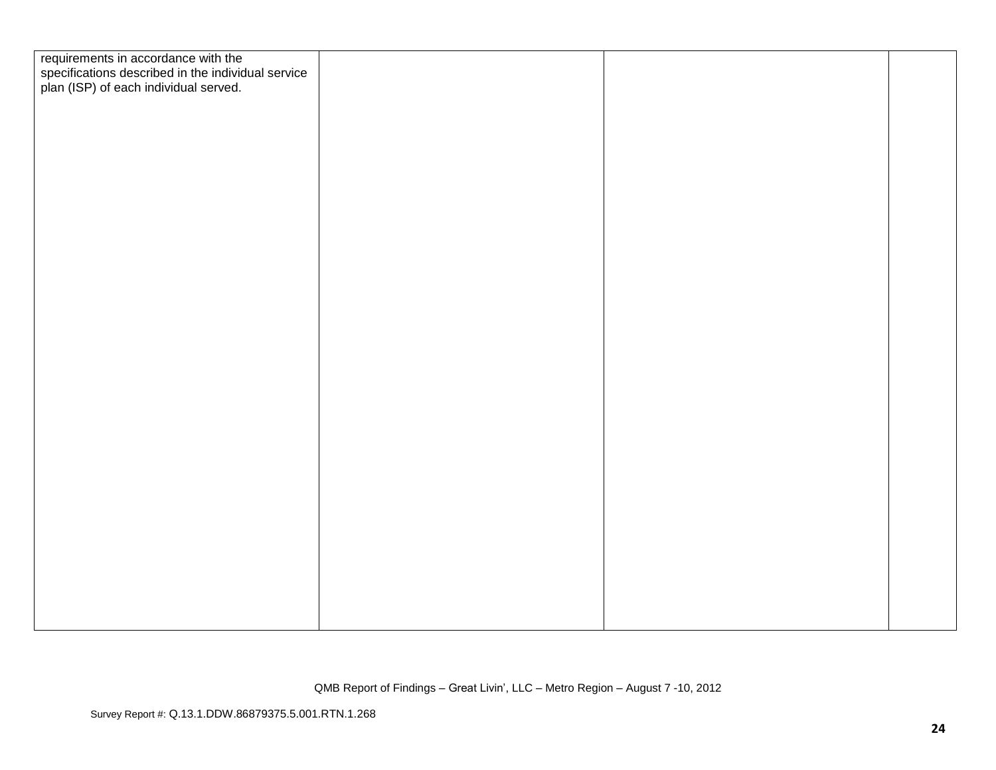| requirements in accordance with the                                                         |  |  |
|---------------------------------------------------------------------------------------------|--|--|
|                                                                                             |  |  |
| specifications described in the individual service<br>plan (ISP) of each individual served. |  |  |
|                                                                                             |  |  |
|                                                                                             |  |  |
|                                                                                             |  |  |
|                                                                                             |  |  |
|                                                                                             |  |  |
|                                                                                             |  |  |
|                                                                                             |  |  |
|                                                                                             |  |  |
|                                                                                             |  |  |
|                                                                                             |  |  |
|                                                                                             |  |  |
|                                                                                             |  |  |
|                                                                                             |  |  |
|                                                                                             |  |  |
|                                                                                             |  |  |
|                                                                                             |  |  |
|                                                                                             |  |  |
|                                                                                             |  |  |
|                                                                                             |  |  |
|                                                                                             |  |  |
|                                                                                             |  |  |
|                                                                                             |  |  |
|                                                                                             |  |  |
|                                                                                             |  |  |
|                                                                                             |  |  |
|                                                                                             |  |  |
|                                                                                             |  |  |
|                                                                                             |  |  |
|                                                                                             |  |  |
|                                                                                             |  |  |
|                                                                                             |  |  |
|                                                                                             |  |  |
|                                                                                             |  |  |
|                                                                                             |  |  |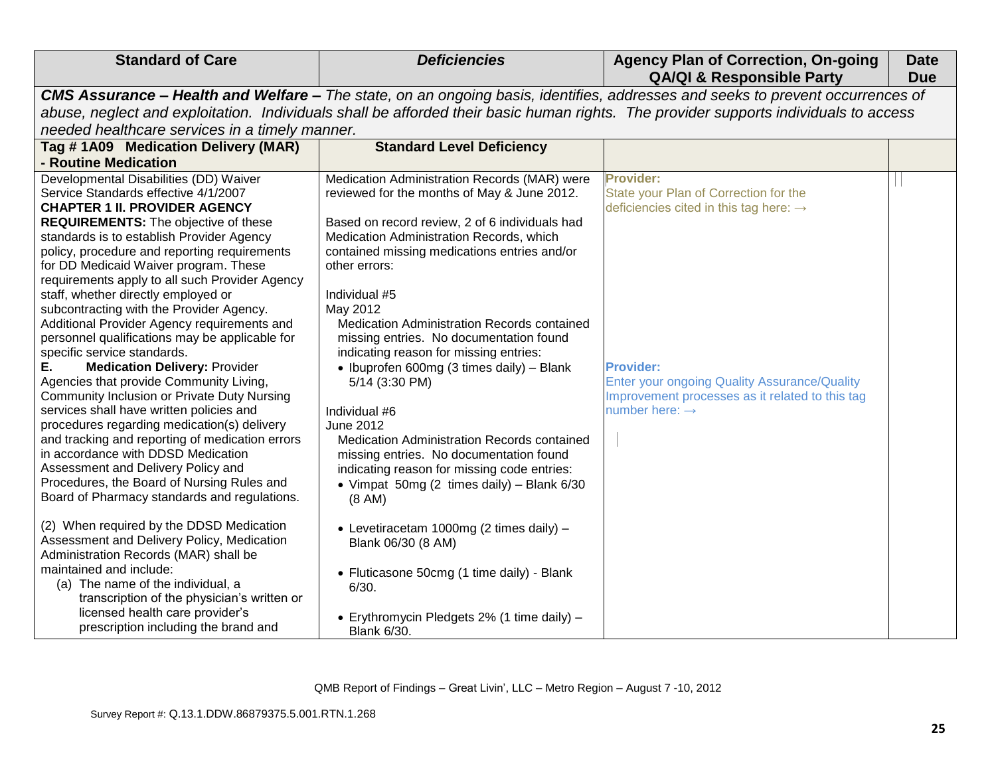| <b>Standard of Care</b>                                                                                                              | <b>Deficiencies</b>                                                                                                            | <b>Agency Plan of Correction, On-going</b><br><b>QA/QI &amp; Responsible Party</b> | <b>Date</b><br><b>Due</b> |  |
|--------------------------------------------------------------------------------------------------------------------------------------|--------------------------------------------------------------------------------------------------------------------------------|------------------------------------------------------------------------------------|---------------------------|--|
|                                                                                                                                      | CMS Assurance - Health and Welfare - The state, on an ongoing basis, identifies, addresses and seeks to prevent occurrences of |                                                                                    |                           |  |
| abuse, neglect and exploitation. Individuals shall be afforded their basic human rights. The provider supports individuals to access |                                                                                                                                |                                                                                    |                           |  |
| needed healthcare services in a timely manner.                                                                                       |                                                                                                                                |                                                                                    |                           |  |
| Tag # 1A09 Medication Delivery (MAR)                                                                                                 | <b>Standard Level Deficiency</b>                                                                                               |                                                                                    |                           |  |
| - Routine Medication                                                                                                                 |                                                                                                                                |                                                                                    |                           |  |
| Developmental Disabilities (DD) Waiver                                                                                               | Medication Administration Records (MAR) were                                                                                   | <b>Provider:</b>                                                                   |                           |  |
| Service Standards effective 4/1/2007                                                                                                 | reviewed for the months of May & June 2012.                                                                                    | State your Plan of Correction for the                                              |                           |  |
| <b>CHAPTER 1 II. PROVIDER AGENCY</b>                                                                                                 |                                                                                                                                | deficiencies cited in this tag here: $\rightarrow$                                 |                           |  |
| <b>REQUIREMENTS:</b> The objective of these                                                                                          | Based on record review, 2 of 6 individuals had                                                                                 |                                                                                    |                           |  |
| standards is to establish Provider Agency                                                                                            | Medication Administration Records, which                                                                                       |                                                                                    |                           |  |
| policy, procedure and reporting requirements                                                                                         | contained missing medications entries and/or                                                                                   |                                                                                    |                           |  |
| for DD Medicaid Waiver program. These                                                                                                | other errors:                                                                                                                  |                                                                                    |                           |  |
| requirements apply to all such Provider Agency<br>staff, whether directly employed or                                                | Individual #5                                                                                                                  |                                                                                    |                           |  |
| subcontracting with the Provider Agency.                                                                                             | May 2012                                                                                                                       |                                                                                    |                           |  |
| Additional Provider Agency requirements and                                                                                          | Medication Administration Records contained                                                                                    |                                                                                    |                           |  |
| personnel qualifications may be applicable for                                                                                       | missing entries. No documentation found                                                                                        |                                                                                    |                           |  |
| specific service standards.                                                                                                          | indicating reason for missing entries:                                                                                         |                                                                                    |                           |  |
| <b>Medication Delivery: Provider</b><br>Е.                                                                                           | • Ibuprofen 600mg (3 times daily) - Blank                                                                                      | <b>Provider:</b>                                                                   |                           |  |
| Agencies that provide Community Living,                                                                                              | 5/14 (3:30 PM)                                                                                                                 | <b>Enter your ongoing Quality Assurance/Quality</b>                                |                           |  |
| <b>Community Inclusion or Private Duty Nursing</b>                                                                                   |                                                                                                                                | Improvement processes as it related to this tag                                    |                           |  |
| services shall have written policies and                                                                                             | Individual #6                                                                                                                  | number here: $\rightarrow$                                                         |                           |  |
| procedures regarding medication(s) delivery                                                                                          | June 2012                                                                                                                      |                                                                                    |                           |  |
| and tracking and reporting of medication errors                                                                                      | Medication Administration Records contained                                                                                    |                                                                                    |                           |  |
| in accordance with DDSD Medication                                                                                                   | missing entries. No documentation found                                                                                        |                                                                                    |                           |  |
| Assessment and Delivery Policy and                                                                                                   | indicating reason for missing code entries:                                                                                    |                                                                                    |                           |  |
| Procedures, the Board of Nursing Rules and                                                                                           | • Vimpat 50mg (2 times daily) – Blank $6/30$                                                                                   |                                                                                    |                           |  |
| Board of Pharmacy standards and regulations.                                                                                         | (8 AM)                                                                                                                         |                                                                                    |                           |  |
| (2) When required by the DDSD Medication                                                                                             |                                                                                                                                |                                                                                    |                           |  |
| Assessment and Delivery Policy, Medication                                                                                           | • Levetiracetam 1000mg (2 times daily) -                                                                                       |                                                                                    |                           |  |
| Administration Records (MAR) shall be                                                                                                | Blank 06/30 (8 AM)                                                                                                             |                                                                                    |                           |  |
| maintained and include:                                                                                                              |                                                                                                                                |                                                                                    |                           |  |
| (a) The name of the individual, a                                                                                                    | • Fluticasone 50cmg (1 time daily) - Blank<br>6/30.                                                                            |                                                                                    |                           |  |
| transcription of the physician's written or                                                                                          |                                                                                                                                |                                                                                    |                           |  |
| licensed health care provider's                                                                                                      | • Erythromycin Pledgets 2% (1 time daily) -                                                                                    |                                                                                    |                           |  |
| prescription including the brand and                                                                                                 | <b>Blank 6/30.</b>                                                                                                             |                                                                                    |                           |  |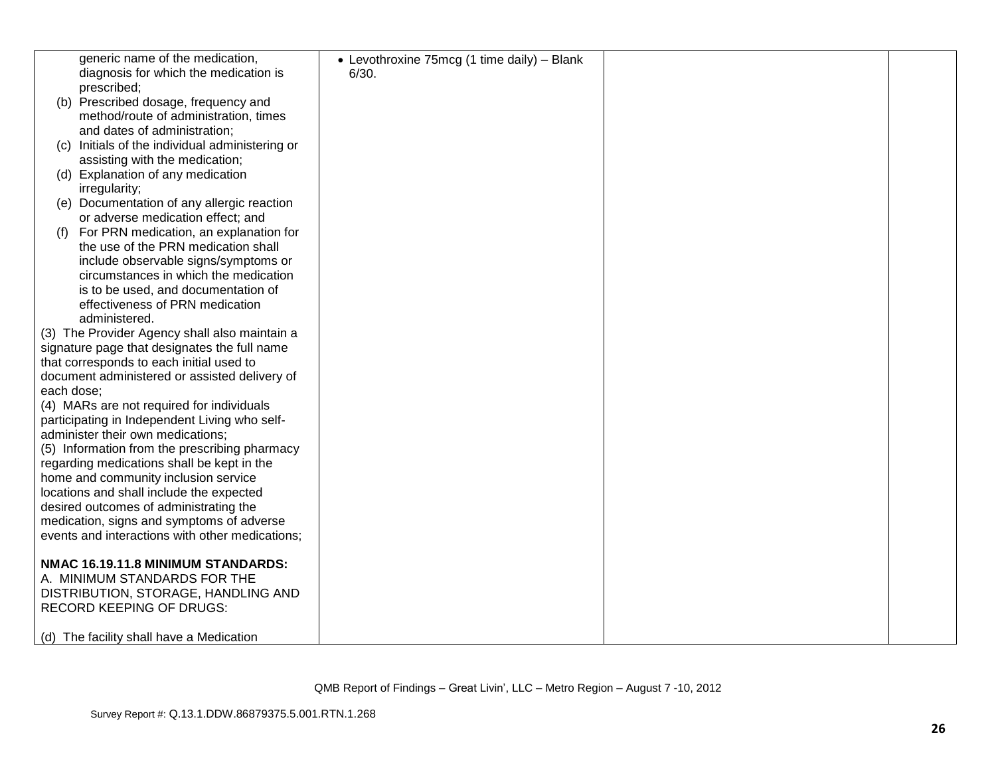|            | generic name of the medication,                 | • Levothroxine 75mcg (1 time daily) - Blank |  |
|------------|-------------------------------------------------|---------------------------------------------|--|
|            | diagnosis for which the medication is           | 6/30.                                       |  |
|            | prescribed;                                     |                                             |  |
|            | (b) Prescribed dosage, frequency and            |                                             |  |
|            | method/route of administration, times           |                                             |  |
|            | and dates of administration;                    |                                             |  |
| (C)        | Initials of the individual administering or     |                                             |  |
|            | assisting with the medication;                  |                                             |  |
|            | (d) Explanation of any medication               |                                             |  |
|            |                                                 |                                             |  |
|            | irregularity;                                   |                                             |  |
| (e)        | Documentation of any allergic reaction          |                                             |  |
|            | or adverse medication effect; and               |                                             |  |
| (t)        | For PRN medication, an explanation for          |                                             |  |
|            | the use of the PRN medication shall             |                                             |  |
|            | include observable signs/symptoms or            |                                             |  |
|            | circumstances in which the medication           |                                             |  |
|            | is to be used, and documentation of             |                                             |  |
|            | effectiveness of PRN medication                 |                                             |  |
|            | administered.                                   |                                             |  |
|            | (3) The Provider Agency shall also maintain a   |                                             |  |
|            | signature page that designates the full name    |                                             |  |
|            | that corresponds to each initial used to        |                                             |  |
|            | document administered or assisted delivery of   |                                             |  |
| each dose: |                                                 |                                             |  |
|            | (4) MARs are not required for individuals       |                                             |  |
|            | participating in Independent Living who self-   |                                             |  |
|            | administer their own medications;               |                                             |  |
|            | (5) Information from the prescribing pharmacy   |                                             |  |
|            | regarding medications shall be kept in the      |                                             |  |
|            | home and community inclusion service            |                                             |  |
|            | locations and shall include the expected        |                                             |  |
|            | desired outcomes of administrating the          |                                             |  |
|            | medication, signs and symptoms of adverse       |                                             |  |
|            | events and interactions with other medications; |                                             |  |
|            |                                                 |                                             |  |
|            | NMAC 16.19.11.8 MINIMUM STANDARDS:              |                                             |  |
|            | A. MINIMUM STANDARDS FOR THE                    |                                             |  |
|            |                                                 |                                             |  |
|            | DISTRIBUTION, STORAGE, HANDLING AND             |                                             |  |
|            | <b>RECORD KEEPING OF DRUGS:</b>                 |                                             |  |
|            | (d) The facility shall have a Medication        |                                             |  |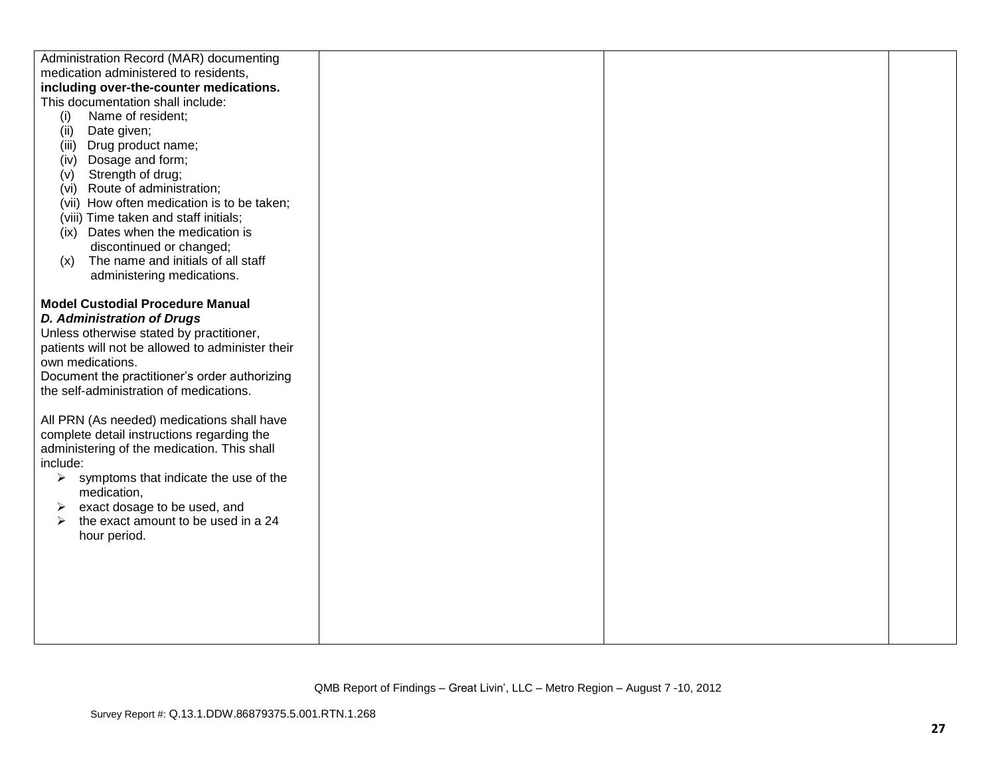| Administration Record (MAR) documenting          |  |  |
|--------------------------------------------------|--|--|
| medication administered to residents,            |  |  |
| including over-the-counter medications.          |  |  |
| This documentation shall include:                |  |  |
| (i)<br>Name of resident;                         |  |  |
| Date given;<br>(ii)                              |  |  |
| Drug product name;<br>(iii)                      |  |  |
| Dosage and form;<br>(iv)                         |  |  |
| Strength of drug;<br>(v)                         |  |  |
| Route of administration;<br>(vi)                 |  |  |
| (vii) How often medication is to be taken;       |  |  |
| (viii) Time taken and staff initials;            |  |  |
| (ix) Dates when the medication is                |  |  |
| discontinued or changed;                         |  |  |
| The name and initials of all staff<br>(x)        |  |  |
| administering medications.                       |  |  |
|                                                  |  |  |
| <b>Model Custodial Procedure Manual</b>          |  |  |
| <b>D. Administration of Drugs</b>                |  |  |
| Unless otherwise stated by practitioner,         |  |  |
| patients will not be allowed to administer their |  |  |
| own medications.                                 |  |  |
| Document the practitioner's order authorizing    |  |  |
| the self-administration of medications.          |  |  |
|                                                  |  |  |
| All PRN (As needed) medications shall have       |  |  |
| complete detail instructions regarding the       |  |  |
| administering of the medication. This shall      |  |  |
| include:                                         |  |  |
| symptoms that indicate the use of the<br>➤       |  |  |
| medication,                                      |  |  |
| exact dosage to be used, and<br>➤                |  |  |
| the exact amount to be used in a 24<br>≻         |  |  |
| hour period.                                     |  |  |
|                                                  |  |  |
|                                                  |  |  |
|                                                  |  |  |
|                                                  |  |  |
|                                                  |  |  |
|                                                  |  |  |
|                                                  |  |  |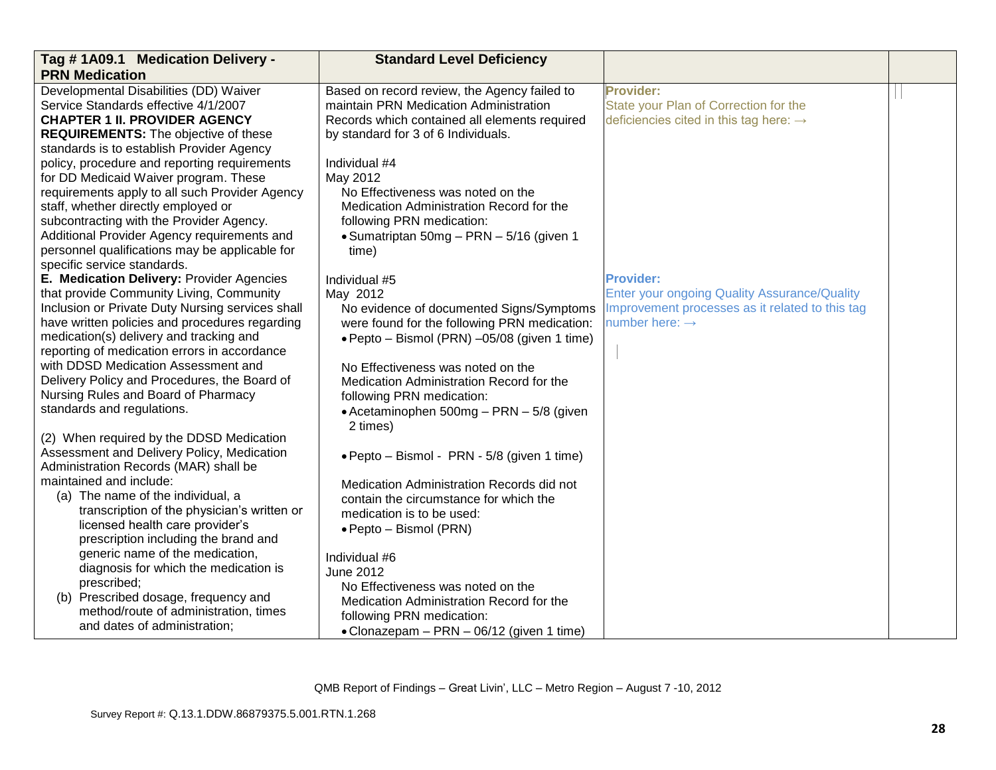| Tag #1A09.1 Medication Delivery -<br><b>PRN Medication</b>   | <b>Standard Level Deficiency</b>              |                                                     |  |
|--------------------------------------------------------------|-----------------------------------------------|-----------------------------------------------------|--|
| Developmental Disabilities (DD) Waiver                       | Based on record review, the Agency failed to  | <b>Provider:</b>                                    |  |
| Service Standards effective 4/1/2007                         | maintain PRN Medication Administration        | State your Plan of Correction for the               |  |
| <b>CHAPTER 1 II. PROVIDER AGENCY</b>                         | Records which contained all elements required | deficiencies cited in this tag here: $\rightarrow$  |  |
| <b>REQUIREMENTS:</b> The objective of these                  | by standard for 3 of 6 Individuals.           |                                                     |  |
| standards is to establish Provider Agency                    |                                               |                                                     |  |
| policy, procedure and reporting requirements                 | Individual #4                                 |                                                     |  |
| for DD Medicaid Waiver program. These                        | May 2012                                      |                                                     |  |
| requirements apply to all such Provider Agency               | No Effectiveness was noted on the             |                                                     |  |
| staff, whether directly employed or                          | Medication Administration Record for the      |                                                     |  |
| subcontracting with the Provider Agency.                     | following PRN medication:                     |                                                     |  |
| Additional Provider Agency requirements and                  | • Sumatriptan 50mg - PRN - 5/16 (given 1      |                                                     |  |
| personnel qualifications may be applicable for               | time)                                         |                                                     |  |
| specific service standards.                                  |                                               |                                                     |  |
| E. Medication Delivery: Provider Agencies                    | Individual #5                                 | <b>Provider:</b>                                    |  |
| that provide Community Living, Community                     | May 2012                                      | <b>Enter your ongoing Quality Assurance/Quality</b> |  |
| Inclusion or Private Duty Nursing services shall             | No evidence of documented Signs/Symptoms      | Improvement processes as it related to this tag     |  |
| have written policies and procedures regarding               | were found for the following PRN medication:  | number here: $\rightarrow$                          |  |
| medication(s) delivery and tracking and                      | · Pepto - Bismol (PRN) -05/08 (given 1 time)  |                                                     |  |
| reporting of medication errors in accordance                 |                                               |                                                     |  |
| with DDSD Medication Assessment and                          | No Effectiveness was noted on the             |                                                     |  |
| Delivery Policy and Procedures, the Board of                 | Medication Administration Record for the      |                                                     |  |
| Nursing Rules and Board of Pharmacy                          | following PRN medication:                     |                                                     |  |
| standards and regulations.                                   | • Acetaminophen 500mg - PRN - 5/8 (given      |                                                     |  |
|                                                              | 2 times)                                      |                                                     |  |
| (2) When required by the DDSD Medication                     |                                               |                                                     |  |
| Assessment and Delivery Policy, Medication                   | · Pepto - Bismol - PRN - 5/8 (given 1 time)   |                                                     |  |
| Administration Records (MAR) shall be                        |                                               |                                                     |  |
| maintained and include:<br>(a) The name of the individual, a | Medication Administration Records did not     |                                                     |  |
| transcription of the physician's written or                  | contain the circumstance for which the        |                                                     |  |
| licensed health care provider's                              | medication is to be used:                     |                                                     |  |
| prescription including the brand and                         | • Pepto – Bismol (PRN)                        |                                                     |  |
| generic name of the medication,                              |                                               |                                                     |  |
| diagnosis for which the medication is                        | Individual #6                                 |                                                     |  |
| prescribed;                                                  | <b>June 2012</b>                              |                                                     |  |
| (b) Prescribed dosage, frequency and                         | No Effectiveness was noted on the             |                                                     |  |
| method/route of administration, times                        | Medication Administration Record for the      |                                                     |  |
| and dates of administration;                                 | following PRN medication:                     |                                                     |  |
|                                                              | • Clonazepam - PRN - 06/12 (given 1 time)     |                                                     |  |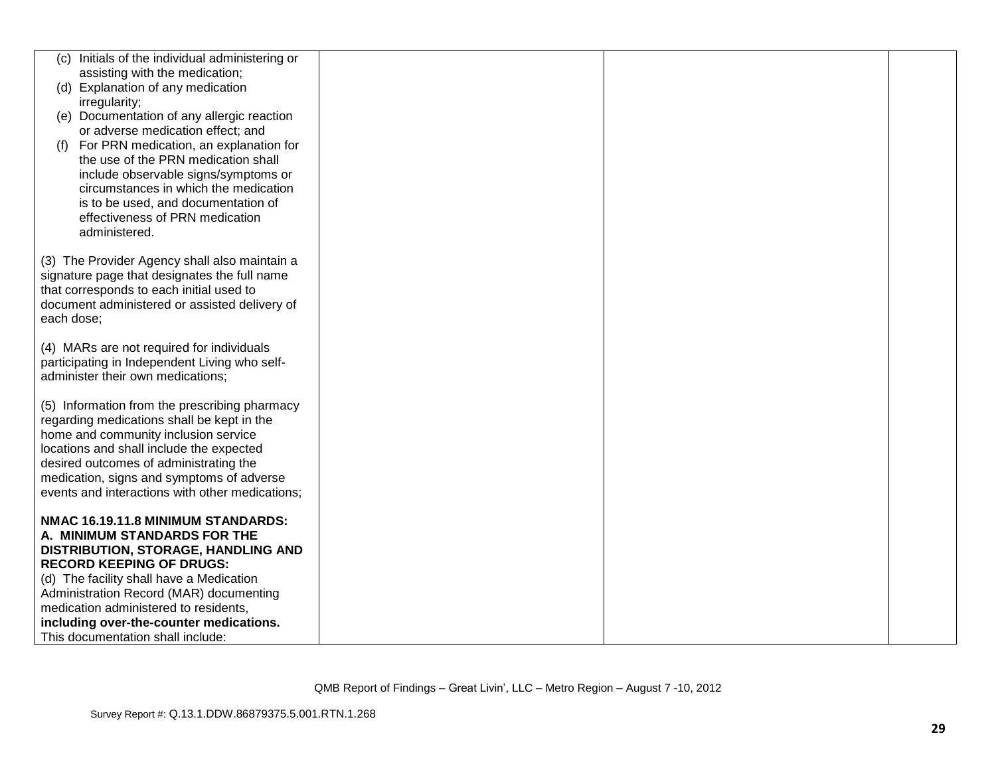|            | (c) Initials of the individual administering or                               |  |  |
|------------|-------------------------------------------------------------------------------|--|--|
|            | assisting with the medication;                                                |  |  |
|            | (d) Explanation of any medication                                             |  |  |
|            | irregularity;                                                                 |  |  |
|            | (e) Documentation of any allergic reaction                                    |  |  |
|            | or adverse medication effect; and                                             |  |  |
|            |                                                                               |  |  |
| (f)        | For PRN medication, an explanation for<br>the use of the PRN medication shall |  |  |
|            |                                                                               |  |  |
|            | include observable signs/symptoms or                                          |  |  |
|            | circumstances in which the medication                                         |  |  |
|            | is to be used, and documentation of                                           |  |  |
|            | effectiveness of PRN medication                                               |  |  |
|            | administered.                                                                 |  |  |
|            |                                                                               |  |  |
|            | (3) The Provider Agency shall also maintain a                                 |  |  |
|            | signature page that designates the full name                                  |  |  |
|            | that corresponds to each initial used to                                      |  |  |
|            | document administered or assisted delivery of                                 |  |  |
| each dose; |                                                                               |  |  |
|            |                                                                               |  |  |
|            | (4) MARs are not required for individuals                                     |  |  |
|            | participating in Independent Living who self-                                 |  |  |
|            | administer their own medications;                                             |  |  |
|            |                                                                               |  |  |
|            | (5) Information from the prescribing pharmacy                                 |  |  |
|            | regarding medications shall be kept in the                                    |  |  |
|            | home and community inclusion service                                          |  |  |
|            | locations and shall include the expected                                      |  |  |
|            | desired outcomes of administrating the                                        |  |  |
|            | medication, signs and symptoms of adverse                                     |  |  |
|            | events and interactions with other medications;                               |  |  |
|            | NMAC 16.19.11.8 MINIMUM STANDARDS:                                            |  |  |
|            | A. MINIMUM STANDARDS FOR THE                                                  |  |  |
|            | DISTRIBUTION, STORAGE, HANDLING AND                                           |  |  |
|            | <b>RECORD KEEPING OF DRUGS:</b>                                               |  |  |
|            | (d) The facility shall have a Medication                                      |  |  |
|            | Administration Record (MAR) documenting                                       |  |  |
|            | medication administered to residents,                                         |  |  |
|            | including over-the-counter medications.                                       |  |  |
|            | This documentation shall include:                                             |  |  |
|            |                                                                               |  |  |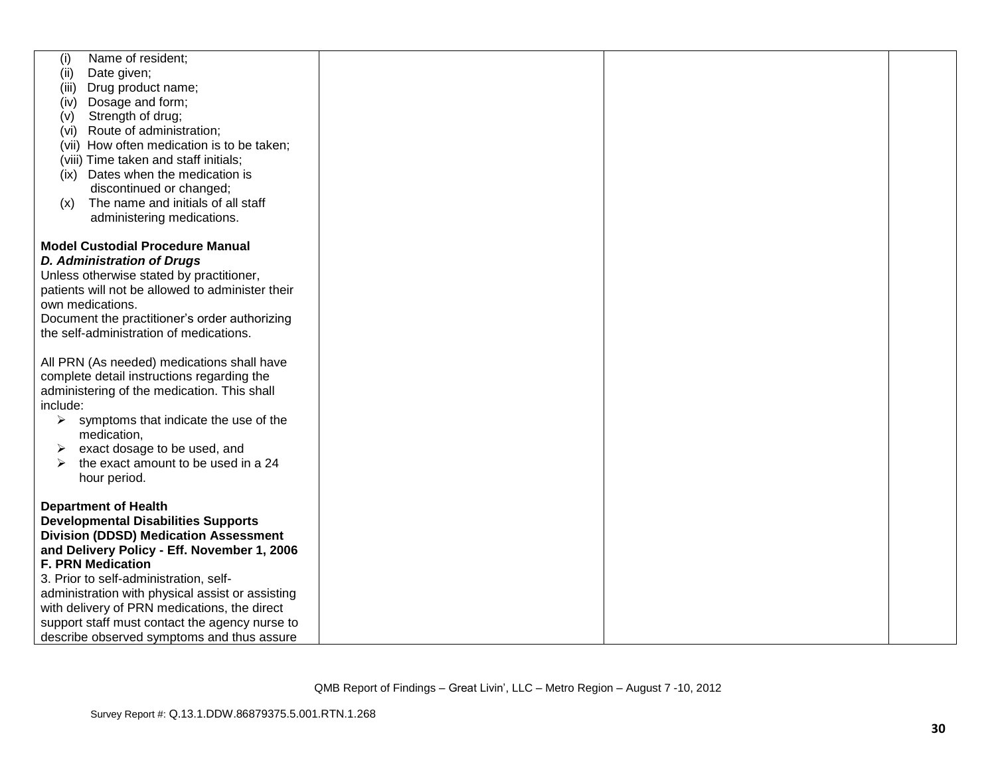| Name of resident;<br>(i)                               |  |  |
|--------------------------------------------------------|--|--|
| Date given;<br>(ii)                                    |  |  |
| Drug product name;<br>(iii)                            |  |  |
| Dosage and form;<br>(iv)                               |  |  |
| Strength of drug;<br>(v)                               |  |  |
| (vi) Route of administration;                          |  |  |
| (vii) How often medication is to be taken;             |  |  |
| (viii) Time taken and staff initials;                  |  |  |
|                                                        |  |  |
| (ix) Dates when the medication is                      |  |  |
| discontinued or changed;                               |  |  |
| The name and initials of all staff<br>(x)              |  |  |
| administering medications.                             |  |  |
|                                                        |  |  |
| <b>Model Custodial Procedure Manual</b>                |  |  |
| <b>D. Administration of Drugs</b>                      |  |  |
| Unless otherwise stated by practitioner,               |  |  |
| patients will not be allowed to administer their       |  |  |
| own medications.                                       |  |  |
| Document the practitioner's order authorizing          |  |  |
| the self-administration of medications.                |  |  |
|                                                        |  |  |
| All PRN (As needed) medications shall have             |  |  |
|                                                        |  |  |
| complete detail instructions regarding the             |  |  |
| administering of the medication. This shall            |  |  |
| include:                                               |  |  |
| $\triangleright$ symptoms that indicate the use of the |  |  |
| medication,                                            |  |  |
| exact dosage to be used, and<br>➤                      |  |  |
| the exact amount to be used in a 24                    |  |  |
| hour period.                                           |  |  |
|                                                        |  |  |
| <b>Department of Health</b>                            |  |  |
| <b>Developmental Disabilities Supports</b>             |  |  |
| <b>Division (DDSD) Medication Assessment</b>           |  |  |
| and Delivery Policy - Eff. November 1, 2006            |  |  |
| <b>F. PRN Medication</b>                               |  |  |
| 3. Prior to self-administration, self-                 |  |  |
| administration with physical assist or assisting       |  |  |
|                                                        |  |  |
| with delivery of PRN medications, the direct           |  |  |
| support staff must contact the agency nurse to         |  |  |
| describe observed symptoms and thus assure             |  |  |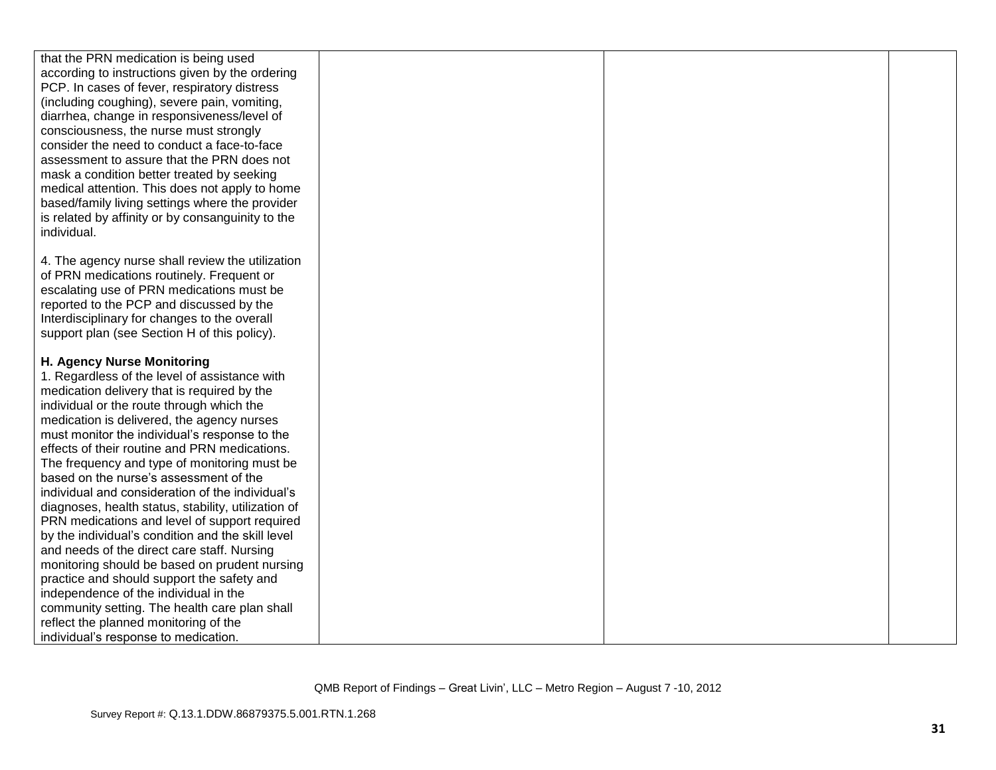| that the PRN medication is being used               |  |  |
|-----------------------------------------------------|--|--|
| according to instructions given by the ordering     |  |  |
| PCP. In cases of fever, respiratory distress        |  |  |
|                                                     |  |  |
| (including coughing), severe pain, vomiting,        |  |  |
| diarrhea, change in responsiveness/level of         |  |  |
| consciousness, the nurse must strongly              |  |  |
| consider the need to conduct a face-to-face         |  |  |
| assessment to assure that the PRN does not          |  |  |
| mask a condition better treated by seeking          |  |  |
| medical attention. This does not apply to home      |  |  |
| based/family living settings where the provider     |  |  |
| is related by affinity or by consanguinity to the   |  |  |
| individual.                                         |  |  |
|                                                     |  |  |
| 4. The agency nurse shall review the utilization    |  |  |
| of PRN medications routinely. Frequent or           |  |  |
| escalating use of PRN medications must be           |  |  |
| reported to the PCP and discussed by the            |  |  |
| Interdisciplinary for changes to the overall        |  |  |
| support plan (see Section H of this policy).        |  |  |
|                                                     |  |  |
| H. Agency Nurse Monitoring                          |  |  |
| 1. Regardless of the level of assistance with       |  |  |
| medication delivery that is required by the         |  |  |
| individual or the route through which the           |  |  |
| medication is delivered, the agency nurses          |  |  |
| must monitor the individual's response to the       |  |  |
| effects of their routine and PRN medications.       |  |  |
| The frequency and type of monitoring must be        |  |  |
| based on the nurse's assessment of the              |  |  |
| individual and consideration of the individual's    |  |  |
| diagnoses, health status, stability, utilization of |  |  |
| PRN medications and level of support required       |  |  |
| by the individual's condition and the skill level   |  |  |
| and needs of the direct care staff. Nursing         |  |  |
| monitoring should be based on prudent nursing       |  |  |
| practice and should support the safety and          |  |  |
| independence of the individual in the               |  |  |
| community setting. The health care plan shall       |  |  |
| reflect the planned monitoring of the               |  |  |
| individual's response to medication.                |  |  |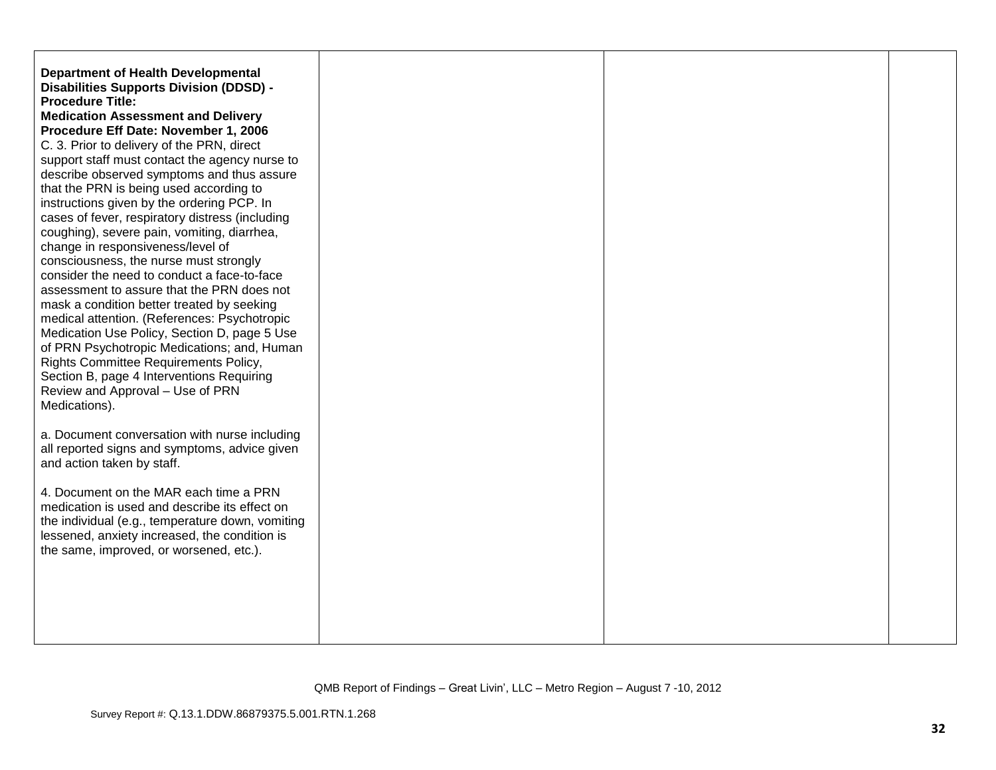| <b>Department of Health Developmental</b><br><b>Disabilities Supports Division (DDSD) -</b><br><b>Procedure Title:</b><br><b>Medication Assessment and Delivery</b><br>Procedure Eff Date: November 1, 2006<br>C. 3. Prior to delivery of the PRN, direct<br>support staff must contact the agency nurse to<br>describe observed symptoms and thus assure<br>that the PRN is being used according to<br>instructions given by the ordering PCP. In<br>cases of fever, respiratory distress (including<br>coughing), severe pain, vomiting, diarrhea,<br>change in responsiveness/level of<br>consciousness, the nurse must strongly<br>consider the need to conduct a face-to-face<br>assessment to assure that the PRN does not<br>mask a condition better treated by seeking<br>medical attention. (References: Psychotropic<br>Medication Use Policy, Section D, page 5 Use<br>of PRN Psychotropic Medications; and, Human<br>Rights Committee Requirements Policy,<br>Section B, page 4 Interventions Requiring<br>Review and Approval - Use of PRN<br>Medications). |  |  |
|--------------------------------------------------------------------------------------------------------------------------------------------------------------------------------------------------------------------------------------------------------------------------------------------------------------------------------------------------------------------------------------------------------------------------------------------------------------------------------------------------------------------------------------------------------------------------------------------------------------------------------------------------------------------------------------------------------------------------------------------------------------------------------------------------------------------------------------------------------------------------------------------------------------------------------------------------------------------------------------------------------------------------------------------------------------------------|--|--|
| a. Document conversation with nurse including<br>all reported signs and symptoms, advice given<br>and action taken by staff.                                                                                                                                                                                                                                                                                                                                                                                                                                                                                                                                                                                                                                                                                                                                                                                                                                                                                                                                             |  |  |
| 4. Document on the MAR each time a PRN<br>medication is used and describe its effect on<br>the individual (e.g., temperature down, vomiting<br>lessened, anxiety increased, the condition is<br>the same, improved, or worsened, etc.).                                                                                                                                                                                                                                                                                                                                                                                                                                                                                                                                                                                                                                                                                                                                                                                                                                  |  |  |
|                                                                                                                                                                                                                                                                                                                                                                                                                                                                                                                                                                                                                                                                                                                                                                                                                                                                                                                                                                                                                                                                          |  |  |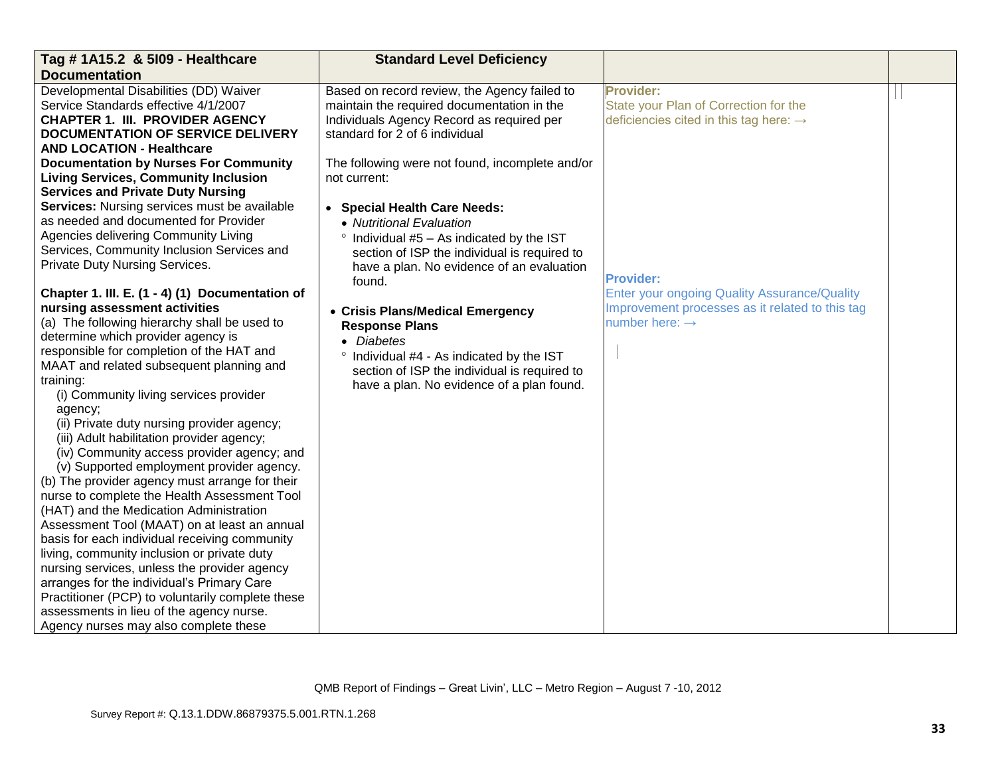| Tag # 1A15.2 & 5109 - Healthcare                 | <b>Standard Level Deficiency</b>                   |                                                     |  |
|--------------------------------------------------|----------------------------------------------------|-----------------------------------------------------|--|
| <b>Documentation</b>                             |                                                    |                                                     |  |
| Developmental Disabilities (DD) Waiver           | Based on record review, the Agency failed to       | <b>Provider:</b>                                    |  |
| Service Standards effective 4/1/2007             | maintain the required documentation in the         | State your Plan of Correction for the               |  |
| <b>CHAPTER 1. III. PROVIDER AGENCY</b>           | Individuals Agency Record as required per          | deficiencies cited in this tag here: $\rightarrow$  |  |
| <b>DOCUMENTATION OF SERVICE DELIVERY</b>         | standard for 2 of 6 individual                     |                                                     |  |
| <b>AND LOCATION - Healthcare</b>                 |                                                    |                                                     |  |
| <b>Documentation by Nurses For Community</b>     | The following were not found, incomplete and/or    |                                                     |  |
| <b>Living Services, Community Inclusion</b>      | not current:                                       |                                                     |  |
| <b>Services and Private Duty Nursing</b>         |                                                    |                                                     |  |
| Services: Nursing services must be available     | <b>Special Health Care Needs:</b><br>$\bullet$     |                                                     |  |
| as needed and documented for Provider            | • Nutritional Evaluation                           |                                                     |  |
| Agencies delivering Community Living             | Individual #5 - As indicated by the IST            |                                                     |  |
| Services, Community Inclusion Services and       | section of ISP the individual is required to       |                                                     |  |
| Private Duty Nursing Services.                   | have a plan. No evidence of an evaluation          |                                                     |  |
|                                                  | found.                                             | <b>Provider:</b>                                    |  |
| Chapter 1. III. E. (1 - 4) (1) Documentation of  |                                                    | <b>Enter your ongoing Quality Assurance/Quality</b> |  |
| nursing assessment activities                    | • Crisis Plans/Medical Emergency                   | Improvement processes as it related to this tag     |  |
| (a) The following hierarchy shall be used to     | <b>Response Plans</b>                              | number here: $\rightarrow$                          |  |
| determine which provider agency is               | • Diabetes                                         |                                                     |  |
| responsible for completion of the HAT and        | $\circ$<br>Individual #4 - As indicated by the IST |                                                     |  |
| MAAT and related subsequent planning and         | section of ISP the individual is required to       |                                                     |  |
| training:                                        | have a plan. No evidence of a plan found.          |                                                     |  |
| (i) Community living services provider           |                                                    |                                                     |  |
| agency;                                          |                                                    |                                                     |  |
| (ii) Private duty nursing provider agency;       |                                                    |                                                     |  |
| (iii) Adult habilitation provider agency;        |                                                    |                                                     |  |
| (iv) Community access provider agency; and       |                                                    |                                                     |  |
| (v) Supported employment provider agency.        |                                                    |                                                     |  |
| (b) The provider agency must arrange for their   |                                                    |                                                     |  |
| nurse to complete the Health Assessment Tool     |                                                    |                                                     |  |
| (HAT) and the Medication Administration          |                                                    |                                                     |  |
| Assessment Tool (MAAT) on at least an annual     |                                                    |                                                     |  |
| basis for each individual receiving community    |                                                    |                                                     |  |
| living, community inclusion or private duty      |                                                    |                                                     |  |
| nursing services, unless the provider agency     |                                                    |                                                     |  |
| arranges for the individual's Primary Care       |                                                    |                                                     |  |
| Practitioner (PCP) to voluntarily complete these |                                                    |                                                     |  |
| assessments in lieu of the agency nurse.         |                                                    |                                                     |  |
| Agency nurses may also complete these            |                                                    |                                                     |  |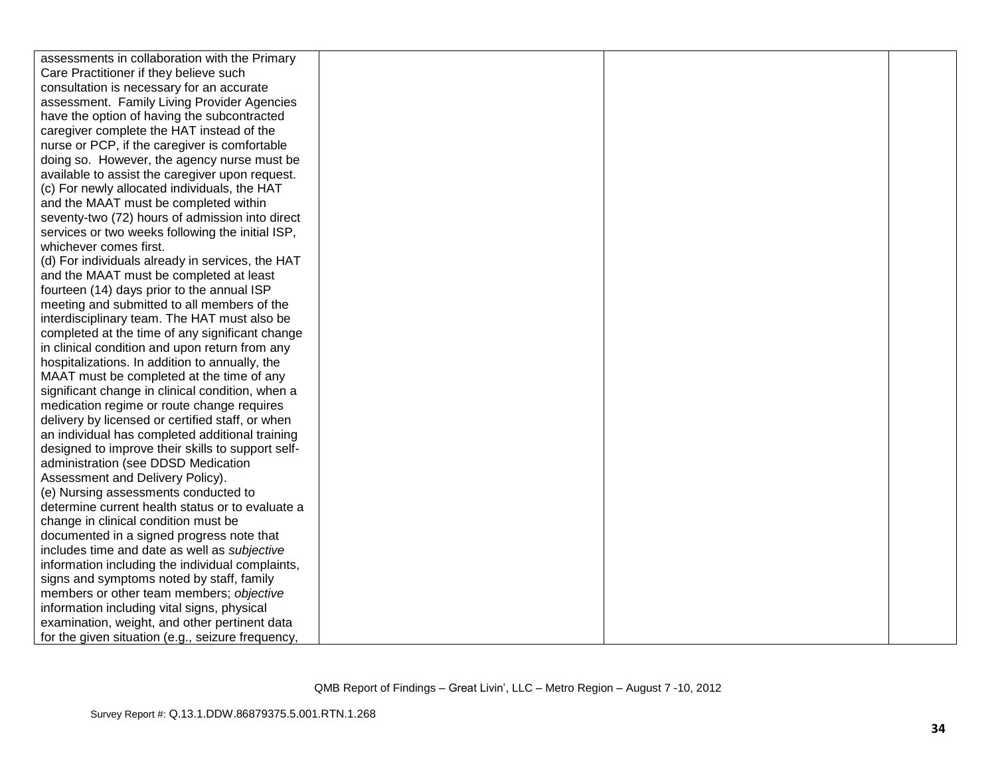| assessments in collaboration with the Primary     |  |  |
|---------------------------------------------------|--|--|
| Care Practitioner if they believe such            |  |  |
| consultation is necessary for an accurate         |  |  |
| assessment. Family Living Provider Agencies       |  |  |
| have the option of having the subcontracted       |  |  |
| caregiver complete the HAT instead of the         |  |  |
| nurse or PCP, if the caregiver is comfortable     |  |  |
| doing so. However, the agency nurse must be       |  |  |
| available to assist the caregiver upon request.   |  |  |
| (c) For newly allocated individuals, the HAT      |  |  |
| and the MAAT must be completed within             |  |  |
| seventy-two (72) hours of admission into direct   |  |  |
| services or two weeks following the initial ISP,  |  |  |
| whichever comes first.                            |  |  |
| (d) For individuals already in services, the HAT  |  |  |
| and the MAAT must be completed at least           |  |  |
| fourteen (14) days prior to the annual ISP        |  |  |
| meeting and submitted to all members of the       |  |  |
| interdisciplinary team. The HAT must also be      |  |  |
| completed at the time of any significant change   |  |  |
| in clinical condition and upon return from any    |  |  |
| hospitalizations. In addition to annually, the    |  |  |
| MAAT must be completed at the time of any         |  |  |
| significant change in clinical condition, when a  |  |  |
| medication regime or route change requires        |  |  |
| delivery by licensed or certified staff, or when  |  |  |
| an individual has completed additional training   |  |  |
| designed to improve their skills to support self- |  |  |
| administration (see DDSD Medication               |  |  |
| Assessment and Delivery Policy).                  |  |  |
| (e) Nursing assessments conducted to              |  |  |
| determine current health status or to evaluate a  |  |  |
| change in clinical condition must be              |  |  |
| documented in a signed progress note that         |  |  |
| includes time and date as well as subjective      |  |  |
| information including the individual complaints,  |  |  |
| signs and symptoms noted by staff, family         |  |  |
| members or other team members; objective          |  |  |
| information including vital signs, physical       |  |  |
| examination, weight, and other pertinent data     |  |  |
| for the given situation (e.g., seizure frequency, |  |  |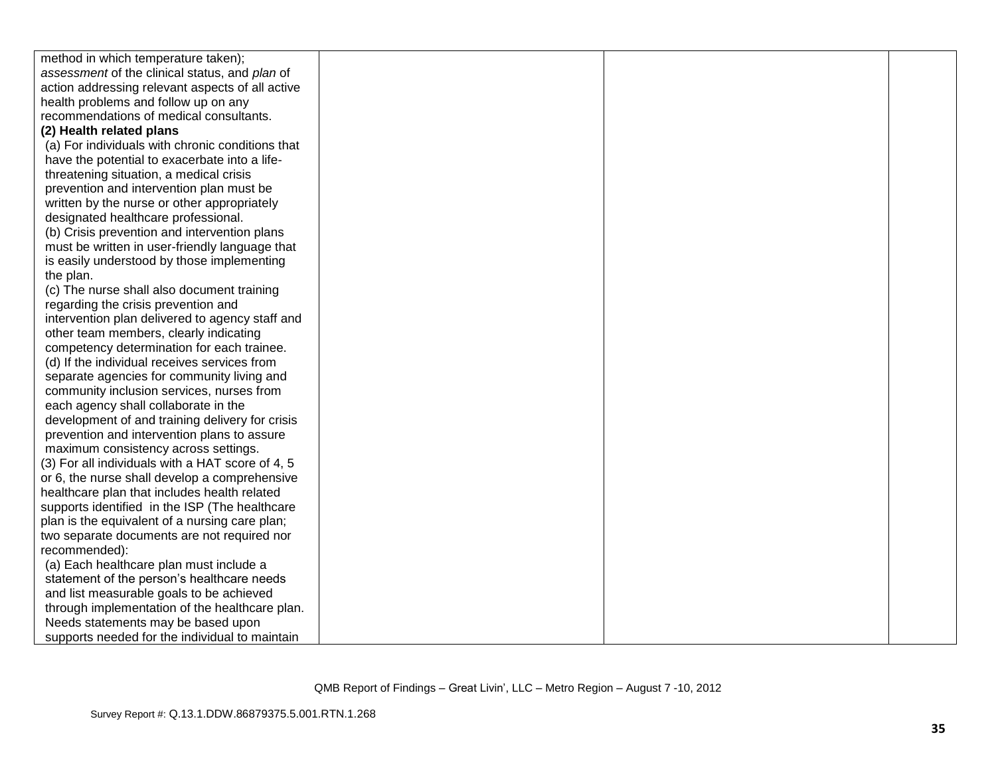| method in which temperature taken);              |  |  |
|--------------------------------------------------|--|--|
| assessment of the clinical status, and plan of   |  |  |
| action addressing relevant aspects of all active |  |  |
| health problems and follow up on any             |  |  |
| recommendations of medical consultants.          |  |  |
| (2) Health related plans                         |  |  |
| (a) For individuals with chronic conditions that |  |  |
| have the potential to exacerbate into a life-    |  |  |
| threatening situation, a medical crisis          |  |  |
| prevention and intervention plan must be         |  |  |
| written by the nurse or other appropriately      |  |  |
| designated healthcare professional.              |  |  |
| (b) Crisis prevention and intervention plans     |  |  |
| must be written in user-friendly language that   |  |  |
| is easily understood by those implementing       |  |  |
| the plan.                                        |  |  |
| (c) The nurse shall also document training       |  |  |
| regarding the crisis prevention and              |  |  |
| intervention plan delivered to agency staff and  |  |  |
| other team members, clearly indicating           |  |  |
| competency determination for each trainee.       |  |  |
| (d) If the individual receives services from     |  |  |
| separate agencies for community living and       |  |  |
| community inclusion services, nurses from        |  |  |
| each agency shall collaborate in the             |  |  |
| development of and training delivery for crisis  |  |  |
| prevention and intervention plans to assure      |  |  |
| maximum consistency across settings.             |  |  |
| (3) For all individuals with a HAT score of 4, 5 |  |  |
| or 6, the nurse shall develop a comprehensive    |  |  |
| healthcare plan that includes health related     |  |  |
| supports identified in the ISP (The healthcare   |  |  |
| plan is the equivalent of a nursing care plan;   |  |  |
| two separate documents are not required nor      |  |  |
| recommended):                                    |  |  |
| (a) Each healthcare plan must include a          |  |  |
| statement of the person's healthcare needs       |  |  |
| and list measurable goals to be achieved         |  |  |
| through implementation of the healthcare plan.   |  |  |
| Needs statements may be based upon               |  |  |
| supports needed for the individual to maintain   |  |  |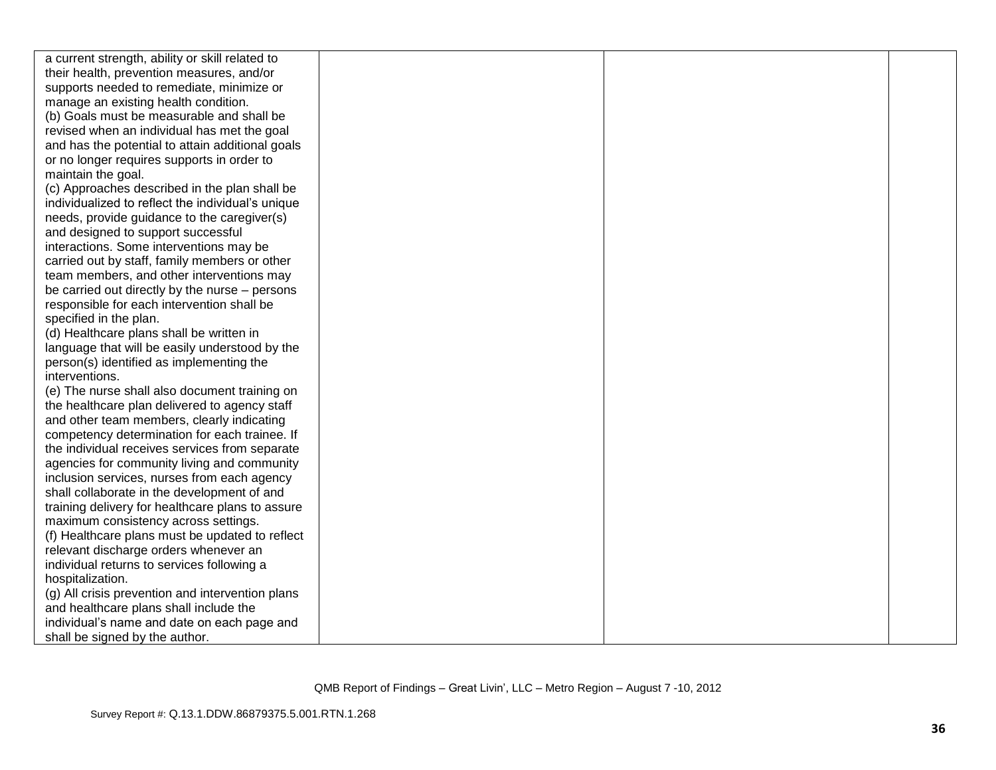| a current strength, ability or skill related to   |  |  |
|---------------------------------------------------|--|--|
| their health, prevention measures, and/or         |  |  |
| supports needed to remediate, minimize or         |  |  |
| manage an existing health condition.              |  |  |
| (b) Goals must be measurable and shall be         |  |  |
| revised when an individual has met the goal       |  |  |
| and has the potential to attain additional goals  |  |  |
| or no longer requires supports in order to        |  |  |
| maintain the goal.                                |  |  |
| (c) Approaches described in the plan shall be     |  |  |
| individualized to reflect the individual's unique |  |  |
| needs, provide guidance to the caregiver(s)       |  |  |
| and designed to support successful                |  |  |
| interactions. Some interventions may be           |  |  |
| carried out by staff, family members or other     |  |  |
| team members, and other interventions may         |  |  |
| be carried out directly by the nurse - persons    |  |  |
| responsible for each intervention shall be        |  |  |
| specified in the plan.                            |  |  |
| (d) Healthcare plans shall be written in          |  |  |
| language that will be easily understood by the    |  |  |
| person(s) identified as implementing the          |  |  |
| interventions.                                    |  |  |
| (e) The nurse shall also document training on     |  |  |
| the healthcare plan delivered to agency staff     |  |  |
| and other team members, clearly indicating        |  |  |
| competency determination for each trainee. If     |  |  |
| the individual receives services from separate    |  |  |
| agencies for community living and community       |  |  |
| inclusion services, nurses from each agency       |  |  |
| shall collaborate in the development of and       |  |  |
| training delivery for healthcare plans to assure  |  |  |
| maximum consistency across settings.              |  |  |
| (f) Healthcare plans must be updated to reflect   |  |  |
| relevant discharge orders whenever an             |  |  |
| individual returns to services following a        |  |  |
| hospitalization.                                  |  |  |
| (g) All crisis prevention and intervention plans  |  |  |
| and healthcare plans shall include the            |  |  |
| individual's name and date on each page and       |  |  |
| shall be signed by the author.                    |  |  |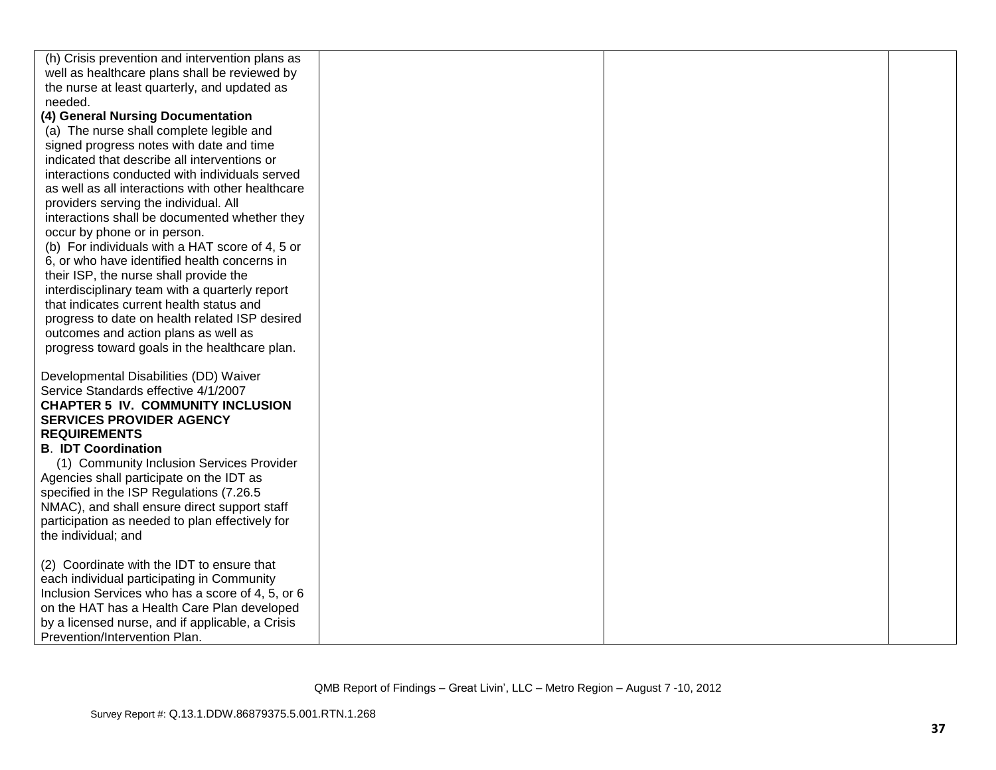| (h) Crisis prevention and intervention plans as   |  |  |
|---------------------------------------------------|--|--|
| well as healthcare plans shall be reviewed by     |  |  |
| the nurse at least quarterly, and updated as      |  |  |
| needed.                                           |  |  |
| (4) General Nursing Documentation                 |  |  |
| (a) The nurse shall complete legible and          |  |  |
| signed progress notes with date and time          |  |  |
| indicated that describe all interventions or      |  |  |
| interactions conducted with individuals served    |  |  |
| as well as all interactions with other healthcare |  |  |
| providers serving the individual. All             |  |  |
| interactions shall be documented whether they     |  |  |
| occur by phone or in person.                      |  |  |
| (b) For individuals with a HAT score of 4, 5 or   |  |  |
| 6, or who have identified health concerns in      |  |  |
| their ISP, the nurse shall provide the            |  |  |
| interdisciplinary team with a quarterly report    |  |  |
| that indicates current health status and          |  |  |
| progress to date on health related ISP desired    |  |  |
| outcomes and action plans as well as              |  |  |
| progress toward goals in the healthcare plan.     |  |  |
|                                                   |  |  |
| Developmental Disabilities (DD) Waiver            |  |  |
| Service Standards effective 4/1/2007              |  |  |
| <b>CHAPTER 5 IV. COMMUNITY INCLUSION</b>          |  |  |
| <b>SERVICES PROVIDER AGENCY</b>                   |  |  |
| <b>REQUIREMENTS</b>                               |  |  |
| <b>B. IDT Coordination</b>                        |  |  |
| (1) Community Inclusion Services Provider         |  |  |
| Agencies shall participate on the IDT as          |  |  |
| specified in the ISP Regulations (7.26.5          |  |  |
| NMAC), and shall ensure direct support staff      |  |  |
| participation as needed to plan effectively for   |  |  |
| the individual; and                               |  |  |
|                                                   |  |  |
| (2) Coordinate with the IDT to ensure that        |  |  |
| each individual participating in Community        |  |  |
| Inclusion Services who has a score of 4, 5, or 6  |  |  |
| on the HAT has a Health Care Plan developed       |  |  |
| by a licensed nurse, and if applicable, a Crisis  |  |  |
| Prevention/Intervention Plan.                     |  |  |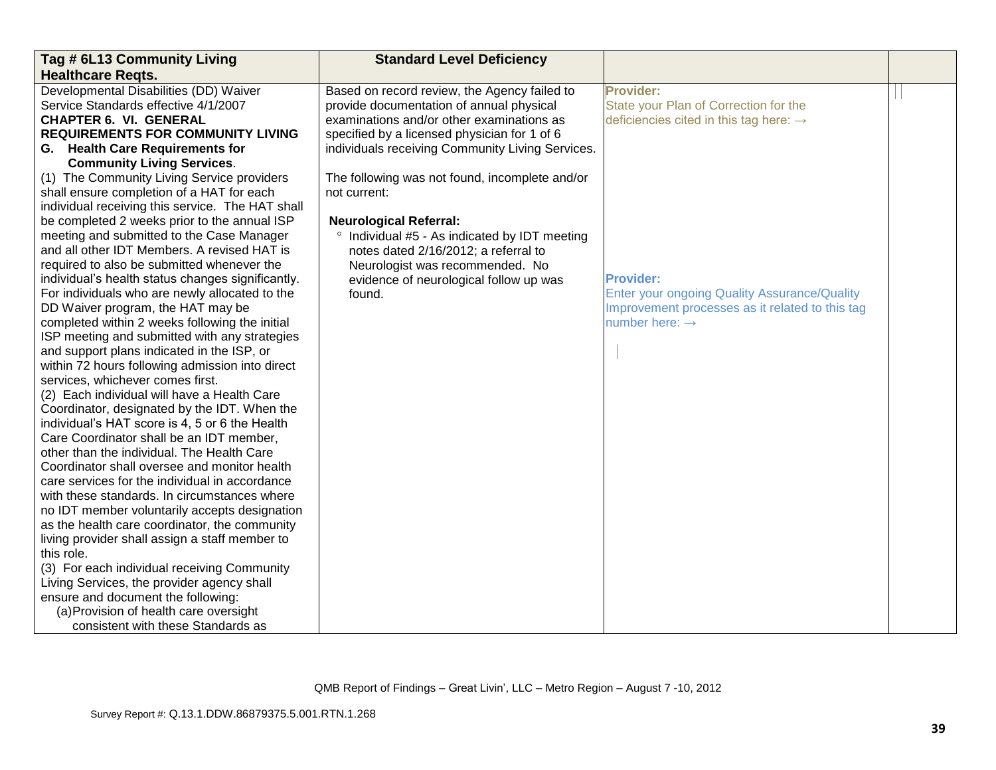| Tag # 6L13 Community Living                       | <b>Standard Level Deficiency</b>                 |                                                     |  |
|---------------------------------------------------|--------------------------------------------------|-----------------------------------------------------|--|
| <b>Healthcare Regts.</b>                          |                                                  |                                                     |  |
| Developmental Disabilities (DD) Waiver            | Based on record review, the Agency failed to     | <b>Provider:</b>                                    |  |
| Service Standards effective 4/1/2007              | provide documentation of annual physical         | State your Plan of Correction for the               |  |
| <b>CHAPTER 6. VI. GENERAL</b>                     | examinations and/or other examinations as        | deficiencies cited in this tag here: $\rightarrow$  |  |
| <b>REQUIREMENTS FOR COMMUNITY LIVING</b>          | specified by a licensed physician for 1 of 6     |                                                     |  |
| G. Health Care Requirements for                   | individuals receiving Community Living Services. |                                                     |  |
| <b>Community Living Services.</b>                 |                                                  |                                                     |  |
| (1) The Community Living Service providers        | The following was not found, incomplete and/or   |                                                     |  |
| shall ensure completion of a HAT for each         | not current:                                     |                                                     |  |
| individual receiving this service. The HAT shall  |                                                  |                                                     |  |
| be completed 2 weeks prior to the annual ISP      | <b>Neurological Referral:</b>                    |                                                     |  |
| meeting and submitted to the Case Manager         | ° Individual #5 - As indicated by IDT meeting    |                                                     |  |
| and all other IDT Members. A revised HAT is       | notes dated 2/16/2012; a referral to             |                                                     |  |
| required to also be submitted whenever the        | Neurologist was recommended. No                  |                                                     |  |
| individual's health status changes significantly. | evidence of neurological follow up was           | <b>Provider:</b>                                    |  |
| For individuals who are newly allocated to the    | found.                                           | <b>Enter your ongoing Quality Assurance/Quality</b> |  |
| DD Waiver program, the HAT may be                 |                                                  | Improvement processes as it related to this tag     |  |
| completed within 2 weeks following the initial    |                                                  | number here: $\rightarrow$                          |  |
| ISP meeting and submitted with any strategies     |                                                  |                                                     |  |
| and support plans indicated in the ISP, or        |                                                  |                                                     |  |
| within 72 hours following admission into direct   |                                                  |                                                     |  |
| services, whichever comes first.                  |                                                  |                                                     |  |
| (2) Each individual will have a Health Care       |                                                  |                                                     |  |
| Coordinator, designated by the IDT. When the      |                                                  |                                                     |  |
| individual's HAT score is 4, 5 or 6 the Health    |                                                  |                                                     |  |
| Care Coordinator shall be an IDT member,          |                                                  |                                                     |  |
| other than the individual. The Health Care        |                                                  |                                                     |  |
| Coordinator shall oversee and monitor health      |                                                  |                                                     |  |
| care services for the individual in accordance    |                                                  |                                                     |  |
| with these standards. In circumstances where      |                                                  |                                                     |  |
| no IDT member voluntarily accepts designation     |                                                  |                                                     |  |
| as the health care coordinator, the community     |                                                  |                                                     |  |
| living provider shall assign a staff member to    |                                                  |                                                     |  |
| this role.                                        |                                                  |                                                     |  |
| (3) For each individual receiving Community       |                                                  |                                                     |  |
| Living Services, the provider agency shall        |                                                  |                                                     |  |
| ensure and document the following:                |                                                  |                                                     |  |
| (a) Provision of health care oversight            |                                                  |                                                     |  |
| consistent with these Standards as                |                                                  |                                                     |  |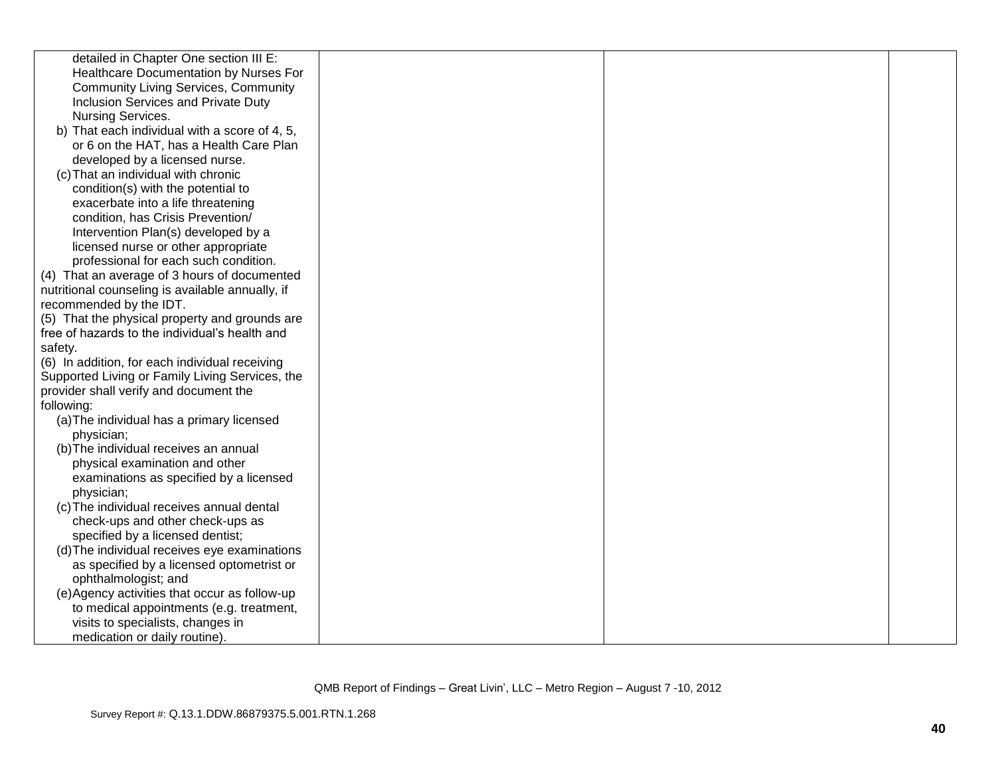| detailed in Chapter One section III E:           |  |  |
|--------------------------------------------------|--|--|
| Healthcare Documentation by Nurses For           |  |  |
| <b>Community Living Services, Community</b>      |  |  |
| Inclusion Services and Private Duty              |  |  |
| Nursing Services.                                |  |  |
| b) That each individual with a score of 4, 5,    |  |  |
| or 6 on the HAT, has a Health Care Plan          |  |  |
| developed by a licensed nurse.                   |  |  |
| (c) That an individual with chronic              |  |  |
| condition(s) with the potential to               |  |  |
| exacerbate into a life threatening               |  |  |
| condition, has Crisis Prevention/                |  |  |
| Intervention Plan(s) developed by a              |  |  |
| licensed nurse or other appropriate              |  |  |
| professional for each such condition.            |  |  |
| (4) That an average of 3 hours of documented     |  |  |
| nutritional counseling is available annually, if |  |  |
| recommended by the IDT.                          |  |  |
| (5) That the physical property and grounds are   |  |  |
| free of hazards to the individual's health and   |  |  |
| safety.                                          |  |  |
| (6) In addition, for each individual receiving   |  |  |
| Supported Living or Family Living Services, the  |  |  |
| provider shall verify and document the           |  |  |
| following:                                       |  |  |
| (a) The individual has a primary licensed        |  |  |
| physician;                                       |  |  |
| (b) The individual receives an annual            |  |  |
| physical examination and other                   |  |  |
| examinations as specified by a licensed          |  |  |
| physician;                                       |  |  |
| (c) The individual receives annual dental        |  |  |
| check-ups and other check-ups as                 |  |  |
| specified by a licensed dentist;                 |  |  |
| (d) The individual receives eye examinations     |  |  |
| as specified by a licensed optometrist or        |  |  |
| ophthalmologist; and                             |  |  |
| (e) Agency activities that occur as follow-up    |  |  |
| to medical appointments (e.g. treatment,         |  |  |
| visits to specialists, changes in                |  |  |
| medication or daily routine).                    |  |  |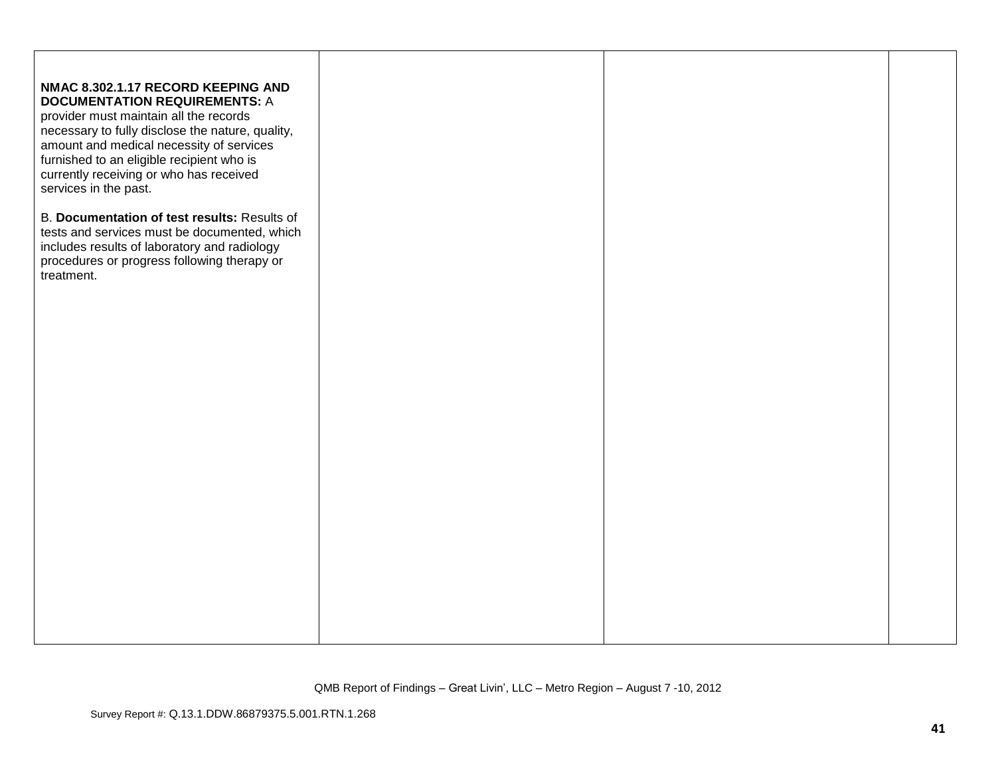| NMAC 8.302.1.17 RECORD KEEPING AND<br><b>DOCUMENTATION REQUIREMENTS: A</b><br>provider must maintain all the records<br>necessary to fully disclose the nature, quality,<br>amount and medical necessity of services<br>furnished to an eligible recipient who is<br>currently receiving or who has received<br>services in the past. |  |  |
|---------------------------------------------------------------------------------------------------------------------------------------------------------------------------------------------------------------------------------------------------------------------------------------------------------------------------------------|--|--|
| B. Documentation of test results: Results of<br>tests and services must be documented, which<br>includes results of laboratory and radiology<br>procedures or progress following therapy or<br>treatment.                                                                                                                             |  |  |
|                                                                                                                                                                                                                                                                                                                                       |  |  |
|                                                                                                                                                                                                                                                                                                                                       |  |  |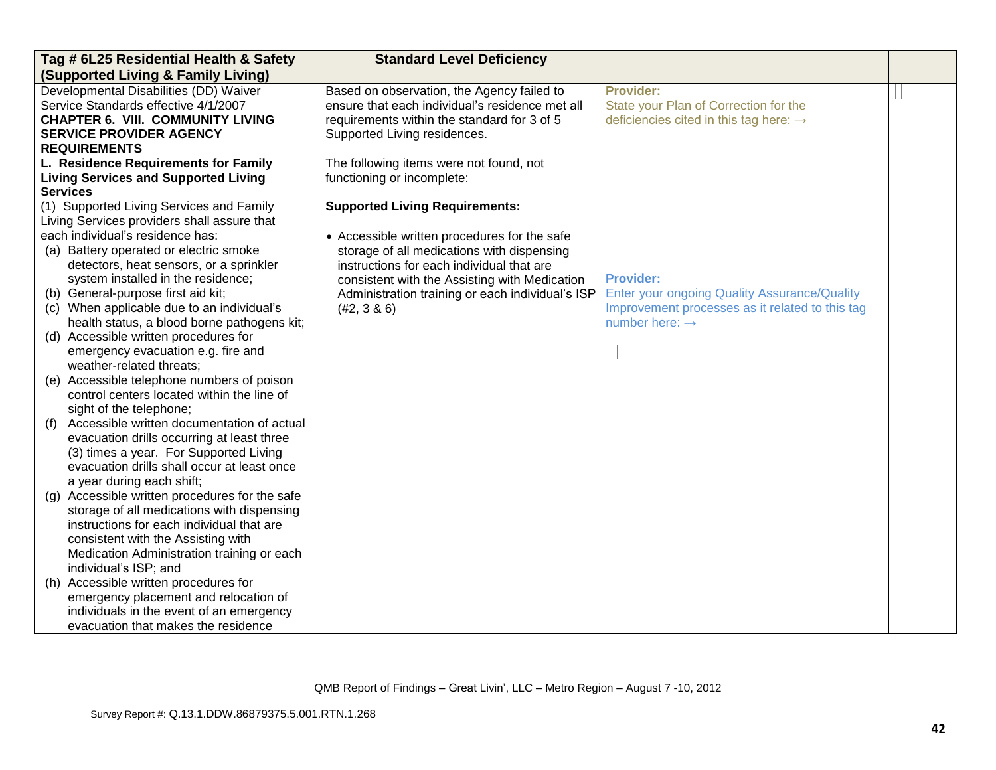| Tag # 6L25 Residential Health & Safety                                 | <b>Standard Level Deficiency</b>                 |                                                     |  |
|------------------------------------------------------------------------|--------------------------------------------------|-----------------------------------------------------|--|
| (Supported Living & Family Living)                                     |                                                  |                                                     |  |
| Developmental Disabilities (DD) Waiver                                 | Based on observation, the Agency failed to       | <b>Provider:</b>                                    |  |
| Service Standards effective 4/1/2007                                   | ensure that each individual's residence met all  | State your Plan of Correction for the               |  |
| <b>CHAPTER 6. VIII. COMMUNITY LIVING</b>                               | requirements within the standard for 3 of 5      | deficiencies cited in this tag here: $\rightarrow$  |  |
| <b>SERVICE PROVIDER AGENCY</b>                                         | Supported Living residences.                     |                                                     |  |
| <b>REQUIREMENTS</b>                                                    |                                                  |                                                     |  |
| L. Residence Requirements for Family                                   | The following items were not found, not          |                                                     |  |
| <b>Living Services and Supported Living</b>                            | functioning or incomplete:                       |                                                     |  |
| <b>Services</b>                                                        |                                                  |                                                     |  |
| (1) Supported Living Services and Family                               | <b>Supported Living Requirements:</b>            |                                                     |  |
| Living Services providers shall assure that                            |                                                  |                                                     |  |
| each individual's residence has:                                       | • Accessible written procedures for the safe     |                                                     |  |
| (a) Battery operated or electric smoke                                 | storage of all medications with dispensing       |                                                     |  |
| detectors, heat sensors, or a sprinkler                                | instructions for each individual that are        |                                                     |  |
| system installed in the residence;                                     | consistent with the Assisting with Medication    | <b>Provider:</b>                                    |  |
| (b) General-purpose first aid kit;                                     | Administration training or each individual's ISP | <b>Enter your ongoing Quality Assurance/Quality</b> |  |
| (c) When applicable due to an individual's                             | (#2, 3 & 6)                                      | Improvement processes as it related to this tag     |  |
| health status, a blood borne pathogens kit;                            |                                                  | number here: $\rightarrow$                          |  |
| (d) Accessible written procedures for                                  |                                                  |                                                     |  |
| emergency evacuation e.g. fire and                                     |                                                  |                                                     |  |
| weather-related threats;<br>(e) Accessible telephone numbers of poison |                                                  |                                                     |  |
| control centers located within the line of                             |                                                  |                                                     |  |
| sight of the telephone;                                                |                                                  |                                                     |  |
| Accessible written documentation of actual<br>(f)                      |                                                  |                                                     |  |
| evacuation drills occurring at least three                             |                                                  |                                                     |  |
| (3) times a year. For Supported Living                                 |                                                  |                                                     |  |
| evacuation drills shall occur at least once                            |                                                  |                                                     |  |
| a year during each shift;                                              |                                                  |                                                     |  |
| Accessible written procedures for the safe<br>(g)                      |                                                  |                                                     |  |
| storage of all medications with dispensing                             |                                                  |                                                     |  |
| instructions for each individual that are                              |                                                  |                                                     |  |
| consistent with the Assisting with                                     |                                                  |                                                     |  |
| Medication Administration training or each                             |                                                  |                                                     |  |
| individual's ISP; and                                                  |                                                  |                                                     |  |
| (h) Accessible written procedures for                                  |                                                  |                                                     |  |
| emergency placement and relocation of                                  |                                                  |                                                     |  |
| individuals in the event of an emergency                               |                                                  |                                                     |  |
| evacuation that makes the residence                                    |                                                  |                                                     |  |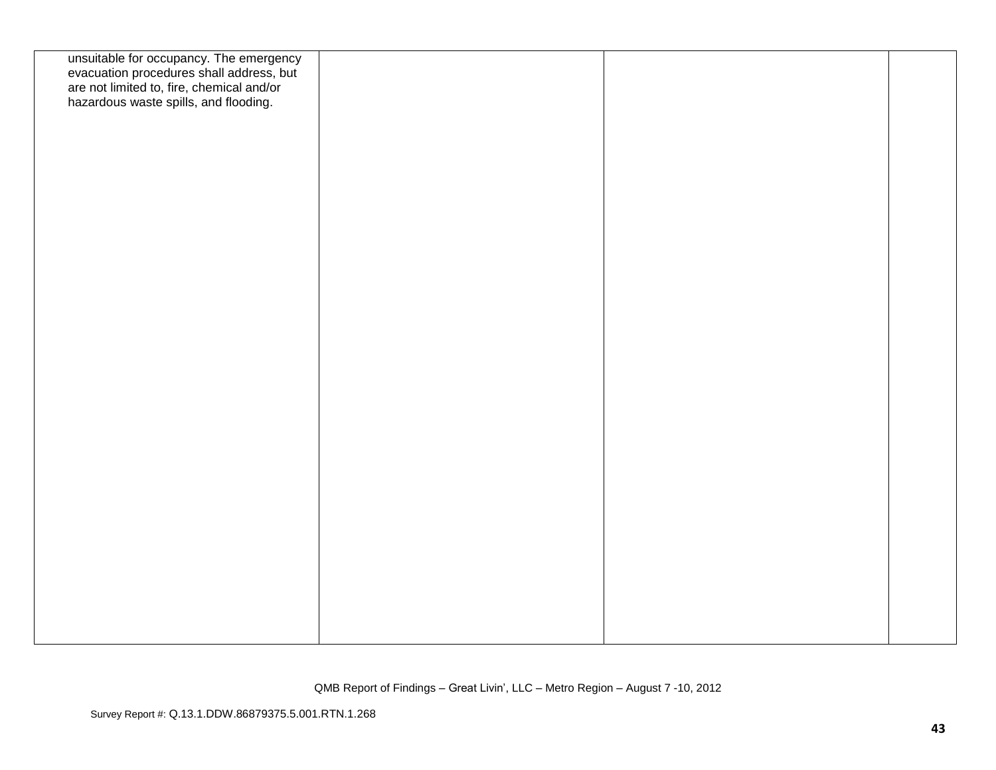| unsuitable for occupancy. The emergency<br>evacuation procedures shall address, but<br>are not limited to, fire, chemical and/or<br>hazardous waste spills, and flooding. |  |  |
|---------------------------------------------------------------------------------------------------------------------------------------------------------------------------|--|--|
|                                                                                                                                                                           |  |  |
|                                                                                                                                                                           |  |  |
|                                                                                                                                                                           |  |  |
|                                                                                                                                                                           |  |  |
|                                                                                                                                                                           |  |  |
|                                                                                                                                                                           |  |  |
|                                                                                                                                                                           |  |  |
|                                                                                                                                                                           |  |  |
|                                                                                                                                                                           |  |  |
|                                                                                                                                                                           |  |  |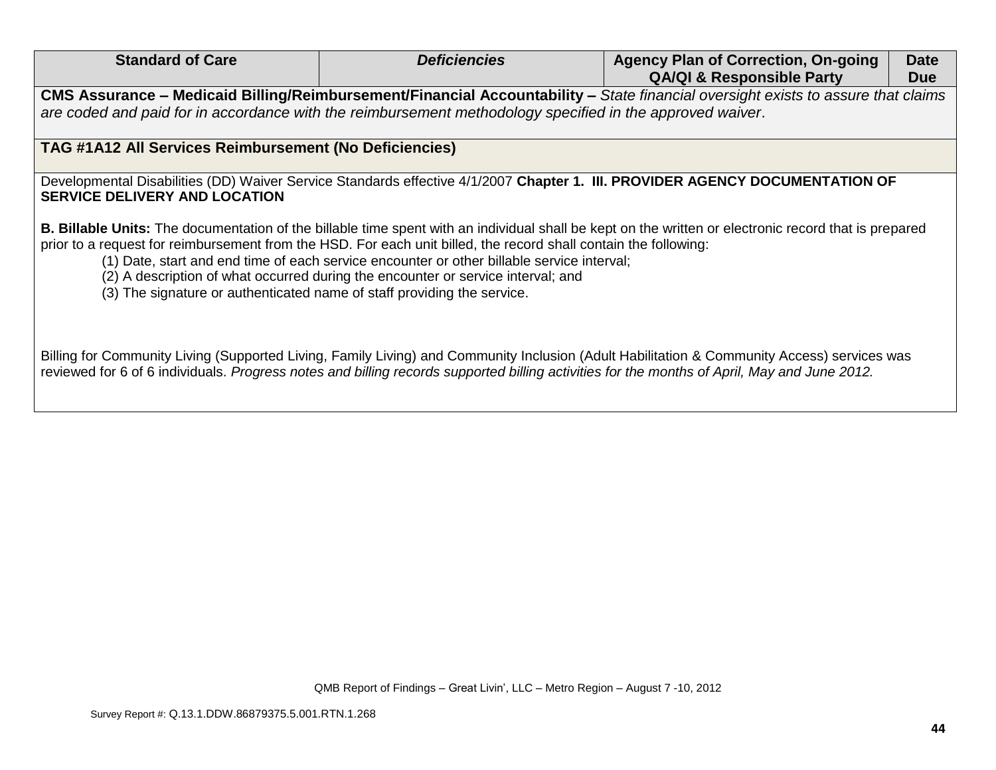| <b>Standard of Care</b>                                                                                                                                                                     | <b>Deficiencies</b>                                                                                                                                                            | <b>Agency Plan of Correction, On-going</b><br><b>QA/QI &amp; Responsible Party</b>                                                                           | <b>Date</b><br><b>Due</b> |
|---------------------------------------------------------------------------------------------------------------------------------------------------------------------------------------------|--------------------------------------------------------------------------------------------------------------------------------------------------------------------------------|--------------------------------------------------------------------------------------------------------------------------------------------------------------|---------------------------|
|                                                                                                                                                                                             |                                                                                                                                                                                | CMS Assurance – Medicaid Billing/Reimbursement/Financial Accountability – State financial oversight exists to assure that claims                             |                           |
| are coded and paid for in accordance with the reimbursement methodology specified in the approved waiver.                                                                                   |                                                                                                                                                                                |                                                                                                                                                              |                           |
|                                                                                                                                                                                             |                                                                                                                                                                                |                                                                                                                                                              |                           |
| <b>TAG #1A12 All Services Reimbursement (No Deficiencies)</b>                                                                                                                               |                                                                                                                                                                                |                                                                                                                                                              |                           |
| <b>SERVICE DELIVERY AND LOCATION</b>                                                                                                                                                        |                                                                                                                                                                                | Developmental Disabilities (DD) Waiver Service Standards effective 4/1/2007 Chapter 1. III. PROVIDER AGENCY DOCUMENTATION OF                                 |                           |
| prior to a request for reimbursement from the HSD. For each unit billed, the record shall contain the following:<br>(3) The signature or authenticated name of staff providing the service. | (1) Date, start and end time of each service encounter or other billable service interval;<br>(2) A description of what occurred during the encounter or service interval; and | <b>B. Billable Units:</b> The documentation of the billable time spent with an individual shall be kept on the written or electronic record that is prepared |                           |
|                                                                                                                                                                                             |                                                                                                                                                                                | Billing for Community Living (Supported Living, Family Living) and Community Inclusion (Adult Habilitation & Community Access) services was                  |                           |